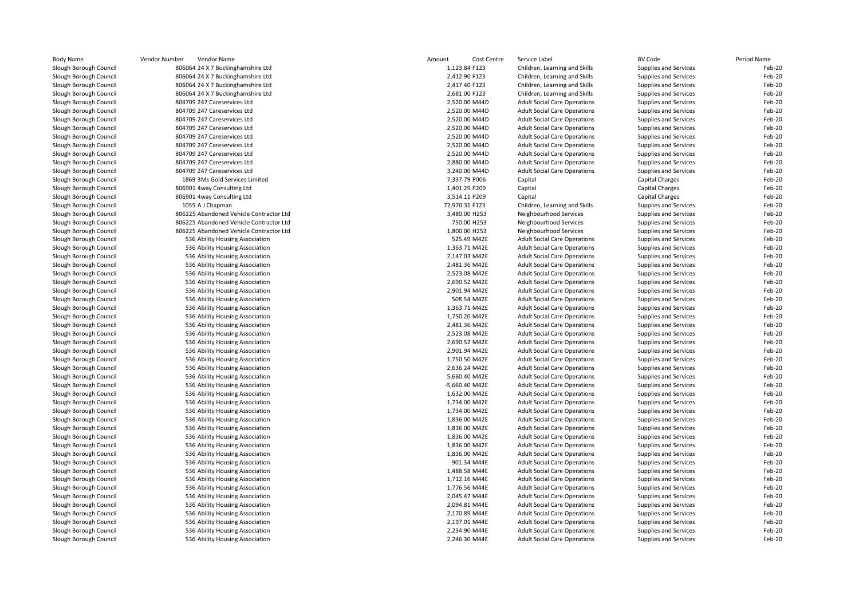| Slough Borough Council | 806064 24 X 7 Buckinghamshire Ltd       | 1,123.84 F123  |             | Children, Learning and Skills       |                              |        |
|------------------------|-----------------------------------------|----------------|-------------|-------------------------------------|------------------------------|--------|
|                        |                                         |                |             |                                     | Supplies and Services        | Feb-20 |
| Slough Borough Council | 806064 24 X 7 Buckinghamshire Ltd       | 2,412.90 F123  |             | Children, Learning and Skills       | Supplies and Services        | Feb-20 |
| Slough Borough Council | 806064 24 X 7 Buckinghamshire Ltd       | 2,417.40 F123  |             | Children, Learning and Skills       | Supplies and Services        | Feb-20 |
| Slough Borough Council | 806064 24 X 7 Buckinghamshire Ltd       | 2,681.00 F123  |             | Children, Learning and Skills       | Supplies and Services        | Feb-20 |
| Slough Borough Council | 804709 247 Careservices Ltd             | 2,520.00 M44D  |             | <b>Adult Social Care Operations</b> | Supplies and Services        | Feb-20 |
| Slough Borough Council | 804709 247 Careservices Ltd             | 2,520.00 M44D  |             | <b>Adult Social Care Operations</b> | Supplies and Services        | Feb-20 |
| Slough Borough Council | 804709 247 Careservices Ltd             | 2,520.00 M44D  |             | <b>Adult Social Care Operations</b> | Supplies and Services        | Feb-20 |
| Slough Borough Council | 804709 247 Careservices Ltd             | 2,520.00 M44D  |             | <b>Adult Social Care Operations</b> | Supplies and Services        | Feb-20 |
| Slough Borough Council | 804709 247 Careservices Ltd             | 2,520.00 M44D  |             | <b>Adult Social Care Operations</b> | Supplies and Services        | Feb-20 |
| Slough Borough Council | 804709 247 Careservices Ltd             | 2,520.00 M44D  |             | <b>Adult Social Care Operations</b> | Supplies and Services        | Feb-20 |
| Slough Borough Council | 804709 247 Careservices Ltd             | 2,520.00 M44D  |             | <b>Adult Social Care Operations</b> | Supplies and Services        | Feb-20 |
| Slough Borough Council | 804709 247 Careservices Ltd             | 2,880.00 M44D  |             | <b>Adult Social Care Operations</b> | <b>Supplies and Services</b> | Feb-20 |
| Slough Borough Council | 804709 247 Careservices Ltd             | 3,240.00 M44D  |             | <b>Adult Social Care Operations</b> | Supplies and Services        | Feb-20 |
| Slough Borough Council | 1869 3Ms Gold Services Limited          | 7,337.79 P006  |             | Capital                             | <b>Capital Charges</b>       | Feb-20 |
| Slough Borough Council | 806901 4way Consulting Ltd              | 1,401.29 P209  |             | Capital                             | Capital Charges              | Feb-20 |
| Slough Borough Council | 806901 4way Consulting Ltd              | 3,514.11 P209  |             | Capital                             | <b>Capital Charges</b>       | Feb-20 |
| Slough Borough Council | 1055 A J Chapman                        | 72,970.31 F123 |             | Children, Learning and Skills       | Supplies and Services        | Feb-20 |
| Slough Borough Council | 806225 Abandoned Vehicle Contractor Ltd | 3,480.00 H253  |             | Neighbourhood Services              | Supplies and Services        | Feb-20 |
| Slough Borough Council | 806225 Abandoned Vehicle Contractor Ltd | 750.00 H253    |             | Neighbourhood Services              | Supplies and Services        | Feb-20 |
| Slough Borough Council | 806225 Abandoned Vehicle Contractor Ltd | 1,800.00 H253  |             | Neighbourhood Services              | Supplies and Services        | Feb-20 |
| Slough Borough Council | 536 Ability Housing Association         | 525.49 M42E    |             | <b>Adult Social Care Operations</b> | <b>Supplies and Services</b> | Feb-20 |
| Slough Borough Council | 536 Ability Housing Association         | 1,363.71 M42E  |             | <b>Adult Social Care Operations</b> | Supplies and Services        | Feb-20 |
| Slough Borough Council | 536 Ability Housing Association         | 2,147.03 M42E  |             | <b>Adult Social Care Operations</b> | Supplies and Services        | Feb-20 |
| Slough Borough Council | 536 Ability Housing Association         | 2,481.36 M42E  |             | <b>Adult Social Care Operations</b> | Supplies and Services        | Feb-20 |
| Slough Borough Council | 536 Ability Housing Association         | 2,523.08 M42E  |             | <b>Adult Social Care Operations</b> | Supplies and Services        | Feb-20 |
| Slough Borough Council | 536 Ability Housing Association         | 2,690.52 M42E  |             | <b>Adult Social Care Operations</b> | Supplies and Services        | Feb-20 |
| Slough Borough Council | 536 Ability Housing Association         | 2,901.94 M42E  |             | <b>Adult Social Care Operations</b> | Supplies and Services        | Feb-20 |
| Slough Borough Council | 536 Ability Housing Association         |                | 508.54 M42E | <b>Adult Social Care Operations</b> | Supplies and Services        | Feb-20 |
| Slough Borough Council | 536 Ability Housing Association         | 1,363.71 M42E  |             | <b>Adult Social Care Operations</b> | Supplies and Services        | Feb-20 |
| Slough Borough Council | 536 Ability Housing Association         | 1,750.20 M42E  |             | <b>Adult Social Care Operations</b> | Supplies and Services        | Feb-20 |
| Slough Borough Council | 536 Ability Housing Association         | 2,481.36 M42E  |             | <b>Adult Social Care Operations</b> | Supplies and Services        | Feb-20 |
| Slough Borough Council | 536 Ability Housing Association         | 2,523.08 M42E  |             | <b>Adult Social Care Operations</b> | Supplies and Services        | Feb-20 |
| Slough Borough Council | 536 Ability Housing Association         | 2,690.52 M42E  |             | <b>Adult Social Care Operations</b> | Supplies and Services        | Feb-20 |
| Slough Borough Council | 536 Ability Housing Association         | 2,901.94 M42E  |             | <b>Adult Social Care Operations</b> | Supplies and Services        | Feb-20 |
| Slough Borough Council | 536 Ability Housing Association         | 1,750.50 M42E  |             | <b>Adult Social Care Operations</b> | Supplies and Services        | Feb-20 |
| Slough Borough Council | 536 Ability Housing Association         | 2,636.24 M42E  |             | <b>Adult Social Care Operations</b> | Supplies and Services        | Feb-20 |
| Slough Borough Council | 536 Ability Housing Association         | 5,660.40 M42E  |             | <b>Adult Social Care Operations</b> | Supplies and Services        | Feb-20 |
| Slough Borough Council | 536 Ability Housing Association         | -5,660.40 M42E |             | <b>Adult Social Care Operations</b> | Supplies and Services        | Feb-20 |
| Slough Borough Council | 536 Ability Housing Association         | 1,632.00 M42E  |             | <b>Adult Social Care Operations</b> | Supplies and Services        | Feb-20 |
| Slough Borough Council | 536 Ability Housing Association         | 1,734.00 M42E  |             | <b>Adult Social Care Operations</b> | Supplies and Services        | Feb-20 |
| Slough Borough Council | 536 Ability Housing Association         | 1,734.00 M42E  |             | <b>Adult Social Care Operations</b> | Supplies and Services        | Feb-20 |
| Slough Borough Council | 536 Ability Housing Association         | 1,836.00 M42E  |             | <b>Adult Social Care Operations</b> | Supplies and Services        | Feb-20 |
| Slough Borough Council | 536 Ability Housing Association         | 1,836.00 M42E  |             | <b>Adult Social Care Operations</b> | Supplies and Services        | Feb-20 |
| Slough Borough Council | 536 Ability Housing Association         | 1,836.00 M42E  |             | <b>Adult Social Care Operations</b> | Supplies and Services        | Feb-20 |
| Slough Borough Council | 536 Ability Housing Association         | 1,836.00 M42E  |             | <b>Adult Social Care Operations</b> | Supplies and Services        | Feb-20 |
| Slough Borough Council | 536 Ability Housing Association         | 1,836.00 M42E  |             | <b>Adult Social Care Operations</b> | Supplies and Services        | Feb-20 |
| Slough Borough Council | 536 Ability Housing Association         | 901.34 M44E    |             | <b>Adult Social Care Operations</b> | Supplies and Services        | Feb-20 |
| Slough Borough Council | 536 Ability Housing Association         | 1,488.58 M44E  |             | <b>Adult Social Care Operations</b> | Supplies and Services        | Feb-20 |
| Slough Borough Council | 536 Ability Housing Association         | 1,712.16 M44E  |             | <b>Adult Social Care Operations</b> | Supplies and Services        | Feb-20 |
| Slough Borough Council | 536 Ability Housing Association         | 1,776.56 M44E  |             | <b>Adult Social Care Operations</b> | Supplies and Services        | Feb-20 |
| Slough Borough Council | 536 Ability Housing Association         | 2,045.47 M44E  |             | <b>Adult Social Care Operations</b> | Supplies and Services        | Feb-20 |
| Slough Borough Council | 536 Ability Housing Association         | 2,094.81 M44E  |             | <b>Adult Social Care Operations</b> | Supplies and Services        | Feb-20 |
| Slough Borough Council | 536 Ability Housing Association         | 2,170.89 M44E  |             | <b>Adult Social Care Operations</b> | Supplies and Services        | Feb-20 |
| Slough Borough Council | 536 Ability Housing Association         | 2,197.01 M44E  |             | <b>Adult Social Care Operations</b> | <b>Supplies and Services</b> | Feb-20 |
| Slough Borough Council | 536 Ability Housing Association         | 2,234.90 M44E  |             | <b>Adult Social Care Operations</b> | Supplies and Services        | Feb-20 |
| Slough Borough Council | 536 Ability Housing Association         | 2,246.30 M44E  |             | <b>Adult Social Care Operations</b> | Supplies and Services        | Feb-20 |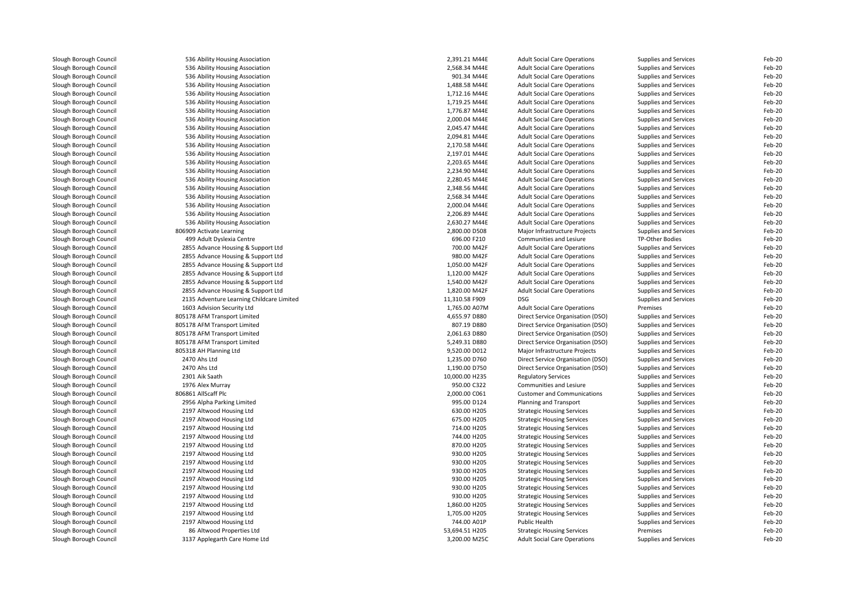| Slough Borough Council | 536 Ability Housing Association           | 2,391.21 M44E  | <b>Adult Social Care Operations</b> | Supplies and Services        | Feb-20 |
|------------------------|-------------------------------------------|----------------|-------------------------------------|------------------------------|--------|
| Slough Borough Council | 536 Ability Housing Association           | 2,568.34 M44E  | <b>Adult Social Care Operations</b> | Supplies and Services        | Feb-20 |
| Slough Borough Council | 536 Ability Housing Association           | 901.34 M44E    | <b>Adult Social Care Operations</b> | Supplies and Services        | Feb-20 |
| Slough Borough Council | 536 Ability Housing Association           | 1,488.58 M44E  | <b>Adult Social Care Operations</b> | Supplies and Services        | Feb-20 |
| Slough Borough Council | 536 Ability Housing Association           | 1,712.16 M44E  | <b>Adult Social Care Operations</b> | Supplies and Services        | Feb-20 |
| Slough Borough Council | 536 Ability Housing Association           | 1,719.25 M44E  | <b>Adult Social Care Operations</b> | Supplies and Services        | Feb-20 |
| Slough Borough Council | 536 Ability Housing Association           | 1,776.87 M44E  | <b>Adult Social Care Operations</b> | Supplies and Services        | Feb-20 |
| Slough Borough Council | 536 Ability Housing Association           | 2,000.04 M44E  | <b>Adult Social Care Operations</b> | Supplies and Services        | Feb-20 |
| Slough Borough Council | 536 Ability Housing Association           | 2,045.47 M44E  | <b>Adult Social Care Operations</b> | Supplies and Services        | Feb-20 |
| Slough Borough Council | 536 Ability Housing Association           | 2,094.81 M44E  | <b>Adult Social Care Operations</b> | Supplies and Services        | Feb-20 |
| Slough Borough Council | 536 Ability Housing Association           | 2,170.58 M44E  | <b>Adult Social Care Operations</b> | Supplies and Services        | Feb-20 |
| Slough Borough Council | 536 Ability Housing Association           | 2,197.01 M44E  | <b>Adult Social Care Operations</b> | <b>Supplies and Services</b> | Feb-20 |
| Slough Borough Council | 536 Ability Housing Association           | 2,203.65 M44E  | <b>Adult Social Care Operations</b> | Supplies and Services        | Feb-20 |
| Slough Borough Council | 536 Ability Housing Association           | 2,234.90 M44E  | <b>Adult Social Care Operations</b> | Supplies and Services        | Feb-20 |
| Slough Borough Council | 536 Ability Housing Association           | 2,280.45 M44E  | <b>Adult Social Care Operations</b> | Supplies and Services        | Feb-20 |
| Slough Borough Council | 536 Ability Housing Association           | 2,348.56 M44E  | <b>Adult Social Care Operations</b> | Supplies and Services        | Feb-20 |
| Slough Borough Council | 536 Ability Housing Association           | 2,568.34 M44E  | <b>Adult Social Care Operations</b> | Supplies and Services        | Feb-20 |
| Slough Borough Council | 536 Ability Housing Association           | 2,000.04 M44E  | <b>Adult Social Care Operations</b> | Supplies and Services        | Feb-20 |
| Slough Borough Council | 536 Ability Housing Association           | 2.206.89 M44E  | <b>Adult Social Care Operations</b> | Supplies and Services        | Feb-20 |
| Slough Borough Council |                                           | 2,630.27 M44E  |                                     |                              | Feb-20 |
|                        | 536 Ability Housing Association           | 2,800.00 D508  | <b>Adult Social Care Operations</b> | Supplies and Services        | Feb-20 |
| Slough Borough Council | 806909 Activate Learning                  |                | Major Infrastructure Projects       | Supplies and Services        |        |
| Slough Borough Council | 499 Adult Dyslexia Centre                 | 696.00 F210    | Communities and Lesiure             | TP-Other Bodies              | Feb-20 |
| Slough Borough Council | 2855 Advance Housing & Support Ltd        | 700.00 M42F    | <b>Adult Social Care Operations</b> | Supplies and Services        | Feb-20 |
| Slough Borough Council | 2855 Advance Housing & Support Ltd        | 980.00 M42F    | <b>Adult Social Care Operations</b> | Supplies and Services        | Feb-20 |
| Slough Borough Council | 2855 Advance Housing & Support Ltd        | 1,050.00 M42F  | <b>Adult Social Care Operations</b> | Supplies and Services        | Feb-20 |
| Slough Borough Council | 2855 Advance Housing & Support Ltd        | 1,120.00 M42F  | <b>Adult Social Care Operations</b> | Supplies and Services        | Feb-20 |
| Slough Borough Council | 2855 Advance Housing & Support Ltd        | 1,540.00 M42F  | <b>Adult Social Care Operations</b> | Supplies and Services        | Feb-20 |
| Slough Borough Council | 2855 Advance Housing & Support Ltd        | 1,820.00 M42F  | <b>Adult Social Care Operations</b> | <b>Supplies and Services</b> | Feb-20 |
| Slough Borough Council | 2135 Adventure Learning Childcare Limited | 11,310.58 F909 | <b>DSG</b>                          | Supplies and Services        | Feb-20 |
| Slough Borough Council | 1603 Advision Security Ltd                | 1,765.00 A07M  | <b>Adult Social Care Operations</b> | Premises                     | Feb-20 |
| Slough Borough Council | 805178 AFM Transport Limited              | 4,655.97 D880  | Direct Service Organisation (DSO)   | Supplies and Services        | Feb-20 |
| Slough Borough Council | 805178 AFM Transport Limited              | 807.19 D880    | Direct Service Organisation (DSO)   | <b>Supplies and Services</b> | Feb-20 |
| Slough Borough Council | 805178 AFM Transport Limited              | 2,061.63 D880  | Direct Service Organisation (DSO)   | Supplies and Services        | Feb-20 |
| Slough Borough Council | 805178 AFM Transport Limited              | 5,249.31 D880  | Direct Service Organisation (DSO)   | Supplies and Services        | Feb-20 |
| Slough Borough Council | 805318 AH Planning Ltd                    | 9,520.00 D012  | Major Infrastructure Projects       | Supplies and Services        | Feb-20 |
| Slough Borough Council | 2470 Ahs Ltd                              | 1,235.00 D760  | Direct Service Organisation (DSO)   | Supplies and Services        | Feb-20 |
| Slough Borough Council | 2470 Ahs Ltd                              | 1,190.00 D750  | Direct Service Organisation (DSO)   | Supplies and Services        | Feb-20 |
| Slough Borough Council | 2301 Aik Saath                            | 10,000.00 H235 | <b>Regulatory Services</b>          | Supplies and Services        | Feb-20 |
| Slough Borough Council | 1976 Alex Murray                          | 950.00 C322    | Communities and Lesiure             | Supplies and Services        | Feb-20 |
| Slough Borough Council | 806861 AllScaff Plc                       | 2,000.00 C061  | <b>Customer and Communications</b>  | Supplies and Services        | Feb-20 |
| Slough Borough Council | 2956 Alpha Parking Limited                | 995.00 D124    | Planning and Transport              | Supplies and Services        | Feb-20 |
| Slough Borough Council | 2197 Altwood Housing Ltd                  | 630.00 H205    | <b>Strategic Housing Services</b>   | Supplies and Services        | Feb-20 |
| Slough Borough Council | 2197 Altwood Housing Ltd                  | 675.00 H205    | <b>Strategic Housing Services</b>   | Supplies and Services        | Feb-20 |
| Slough Borough Council | 2197 Altwood Housing Ltd                  | 714.00 H205    | <b>Strategic Housing Services</b>   | Supplies and Services        | Feb-20 |
| Slough Borough Council | 2197 Altwood Housing Ltd                  | 744.00 H205    | <b>Strategic Housing Services</b>   | Supplies and Services        | Feb-20 |
| Slough Borough Council | 2197 Altwood Housing Ltd                  | 870.00 H205    | <b>Strategic Housing Services</b>   | Supplies and Services        | Feb-20 |
| Slough Borough Council | 2197 Altwood Housing Ltd                  | 930.00 H205    | <b>Strategic Housing Services</b>   | <b>Supplies and Services</b> | Feb-20 |
| Slough Borough Council | 2197 Altwood Housing Ltd                  | 930.00 H205    | <b>Strategic Housing Services</b>   | Supplies and Services        | Feb-20 |
| Slough Borough Council | 2197 Altwood Housing Ltd                  | 930.00 H205    | <b>Strategic Housing Services</b>   | Supplies and Services        | Feb-20 |
| Slough Borough Council | 2197 Altwood Housing Ltd                  | 930.00 H205    | <b>Strategic Housing Services</b>   | Supplies and Services        | Feb-20 |
| Slough Borough Council | 2197 Altwood Housing Ltd                  | 930.00 H205    | <b>Strategic Housing Services</b>   | Supplies and Services        | Feb-20 |
| Slough Borough Council | 2197 Altwood Housing Ltd                  | 930.00 H205    | <b>Strategic Housing Services</b>   | <b>Supplies and Services</b> | Feb-20 |
| Slough Borough Council | 2197 Altwood Housing Ltd                  | 1,860.00 H205  | <b>Strategic Housing Services</b>   | Supplies and Services        | Feb-20 |
| Slough Borough Council | 2197 Altwood Housing Ltd                  | 1,705.00 H205  | <b>Strategic Housing Services</b>   | Supplies and Services        | Feb-20 |
| Slough Borough Council | 2197 Altwood Housing Ltd                  | 744.00 A01P    | Public Health                       | Supplies and Services        | Feb-20 |
| Slough Borough Council | 86 Altwood Properties Ltd                 | 53,694.51 H205 | <b>Strategic Housing Services</b>   | Premises                     | Feb-20 |
| Slough Borough Council | 3137 Applegarth Care Home Ltd             | 3,200.00 M25C  | <b>Adult Social Care Operations</b> | Supplies and Services        | Feb-20 |
|                        |                                           |                |                                     |                              |        |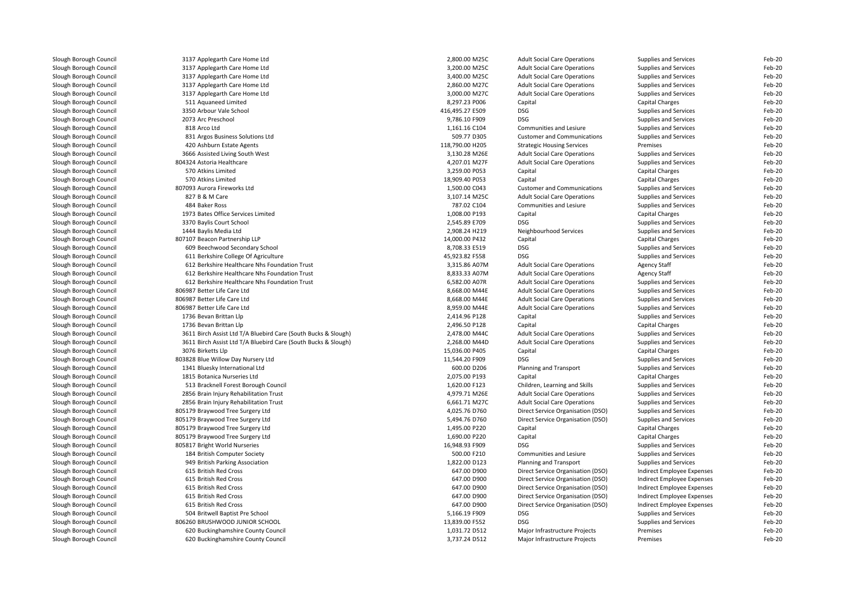| Slough Borough Council | 3137 Applegarth Care Home Ltd                                  | 2,800.00 M25C   | <b>Adult Social Care Operations</b> | Supplies and Services             | Feb-20 |
|------------------------|----------------------------------------------------------------|-----------------|-------------------------------------|-----------------------------------|--------|
| Slough Borough Council | 3137 Applegarth Care Home Ltd                                  | 3,200.00 M25C   | <b>Adult Social Care Operations</b> | Supplies and Services             | Feb-20 |
| Slough Borough Council | 3137 Applegarth Care Home Ltd                                  | 3,400.00 M25C   | <b>Adult Social Care Operations</b> | Supplies and Services             | Feb-20 |
| Slough Borough Council | 3137 Applegarth Care Home Ltd                                  | 2,860.00 M27C   | <b>Adult Social Care Operations</b> | Supplies and Services             | Feb-20 |
| Slough Borough Council | 3137 Applegarth Care Home Ltd                                  | 3,000.00 M27C   | <b>Adult Social Care Operations</b> | Supplies and Services             | Feb-20 |
| Slough Borough Council | 511 Aquaneed Limited                                           | 8,297.23 P006   | Capital                             | Capital Charges                   | Feb-20 |
| Slough Borough Council | 3350 Arbour Vale School                                        | 416,495.27 E509 | DSG                                 | Supplies and Services             | Feb-20 |
| Slough Borough Council | 2073 Arc Preschool                                             | 9,786.10 F909   | <b>DSG</b>                          | Supplies and Services             | Feb-20 |
| Slough Borough Council | 818 Arco Ltd                                                   | 1,161.16 C104   | Communities and Lesiure             | <b>Supplies and Services</b>      | Feb-20 |
| Slough Borough Council | 831 Argos Business Solutions Ltd                               | 509.77 D305     | <b>Customer and Communications</b>  | Supplies and Services             | Feb-20 |
| Slough Borough Council | 420 Ashburn Estate Agents                                      | 118,790.00 H205 | <b>Strategic Housing Services</b>   | Premises                          | Feb-20 |
| Slough Borough Council | 3666 Assisted Living South West                                | 3,130.28 M26E   | <b>Adult Social Care Operations</b> | Supplies and Services             | Feb-20 |
| Slough Borough Council | 804324 Astoria Healthcare                                      | 4,207.01 M27F   | <b>Adult Social Care Operations</b> | Supplies and Services             | Feb-20 |
| Slough Borough Council | 570 Atkins Limited                                             | 3,259.00 P053   | Capital                             | Capital Charges                   | Feb-20 |
| Slough Borough Council | 570 Atkins Limited                                             | 18,909.40 P053  | Capital                             | Capital Charges                   | Feb-20 |
| Slough Borough Council | 807093 Aurora Fireworks Ltd                                    | 1,500.00 C043   | <b>Customer and Communications</b>  | Supplies and Services             | Feb-20 |
| Slough Borough Council | 827 B & M Care                                                 | 3,107.14 M25C   | <b>Adult Social Care Operations</b> | Supplies and Services             | Feb-20 |
| Slough Borough Council | 484 Baker Ross                                                 | 787.02 C104     | Communities and Lesiure             | <b>Supplies and Services</b>      | Feb-20 |
| Slough Borough Council | 1973 Bates Office Services Limited                             | 1,008.00 P193   | Capital                             | Capital Charges                   | Feb-20 |
| Slough Borough Council | 3370 Baylis Court School                                       | 2,545.89 E709   | DSG                                 | Supplies and Services             | Feb-20 |
| Slough Borough Council | 1444 Baylis Media Ltd                                          | 2,908.24 H219   | Neighbourhood Services              | <b>Supplies and Services</b>      | Feb-20 |
|                        | 807107 Beacon Partnership LLP                                  | 14,000.00 P432  |                                     |                                   | Feb-20 |
| Slough Borough Council |                                                                |                 | Capital                             | Capital Charges                   |        |
| Slough Borough Council | 609 Beechwood Secondary School                                 | 8,708.33 E519   | DSG                                 | Supplies and Services             | Feb-20 |
| Slough Borough Council | 611 Berkshire College Of Agriculture                           | 45,923.82 F558  | <b>DSG</b>                          | <b>Supplies and Services</b>      | Feb-20 |
| Slough Borough Council | 612 Berkshire Healthcare Nhs Foundation Trust                  | 3,315.86 A07M   | <b>Adult Social Care Operations</b> | <b>Agency Staff</b>               | Feb-20 |
| Slough Borough Council | 612 Berkshire Healthcare Nhs Foundation Trust                  | 8,833.33 A07M   | <b>Adult Social Care Operations</b> | <b>Agency Staff</b>               | Feb-20 |
| Slough Borough Council | 612 Berkshire Healthcare Nhs Foundation Trust                  | 6,582.00 A07R   | <b>Adult Social Care Operations</b> | Supplies and Services             | Feb-20 |
| Slough Borough Council | 806987 Better Life Care Ltd                                    | 8,668.00 M44E   | <b>Adult Social Care Operations</b> | Supplies and Services             | Feb-20 |
| Slough Borough Council | 806987 Better Life Care Ltd                                    | 8,668.00 M44E   | <b>Adult Social Care Operations</b> | Supplies and Services             | Feb-20 |
| Slough Borough Council | 806987 Better Life Care Ltd                                    | 8,959.00 M44E   | <b>Adult Social Care Operations</b> | Supplies and Services             | Feb-20 |
| Slough Borough Council | 1736 Bevan Brittan Llp                                         | 2,414.96 P128   | Capital                             | Supplies and Services             | Feb-20 |
| Slough Borough Council | 1736 Bevan Brittan Llp                                         | 2,496.50 P128   | Capital                             | Capital Charges                   | Feb-20 |
| Slough Borough Council | 3611 Birch Assist Ltd T/A Bluebird Care (South Bucks & Slough) | 2,478.00 M44C   | <b>Adult Social Care Operations</b> | Supplies and Services             | Feb-20 |
| Slough Borough Council | 3611 Birch Assist Ltd T/A Bluebird Care (South Bucks & Slough) | 2,268.00 M44D   | <b>Adult Social Care Operations</b> | Supplies and Services             | Feb-20 |
| Slough Borough Council | 3076 Birketts Llp                                              | 15,036.00 P405  | Capital                             | Capital Charges                   | Feb-20 |
| Slough Borough Council | 803828 Blue Willow Day Nursery Ltd                             | 11,544.20 F909  | DSG                                 | Supplies and Services             | Feb-20 |
| Slough Borough Council | 1341 Bluesky International Ltd                                 | 600.00 D206     | Planning and Transport              | Supplies and Services             | Feb-20 |
| Slough Borough Council | 1815 Botanica Nurseries Ltd                                    | 2,075.00 P193   | Capital                             | Capital Charges                   | Feb-20 |
| Slough Borough Council | 513 Bracknell Forest Borough Council                           | 1,620.00 F123   | Children, Learning and Skills       | Supplies and Services             | Feb-20 |
| Slough Borough Council | 2856 Brain Injury Rehabilitation Trust                         | 4,979.71 M26E   | <b>Adult Social Care Operations</b> | Supplies and Services             | Feb-20 |
| Slough Borough Council | 2856 Brain Injury Rehabilitation Trust                         | 6,661.71 M27C   | <b>Adult Social Care Operations</b> | Supplies and Services             | Feb-20 |
| Slough Borough Council | 805179 Braywood Tree Surgery Ltd                               | 4,025.76 D760   | Direct Service Organisation (DSO)   | Supplies and Services             | Feb-20 |
| Slough Borough Council | 805179 Braywood Tree Surgery Ltd                               | 5,494.76 D760   | Direct Service Organisation (DSO)   | Supplies and Services             | Feb-20 |
| Slough Borough Council | 805179 Braywood Tree Surgery Ltd                               | 1,495.00 P220   | Capital                             | Capital Charges                   | Feb-20 |
| Slough Borough Council | 805179 Braywood Tree Surgery Ltd                               | 1,690.00 P220   | Capital                             | Capital Charges                   | Feb-20 |
| Slough Borough Council | 805817 Bright World Nurseries                                  | 16,948.93 F909  | DSG                                 | Supplies and Services             | Feb-20 |
| Slough Borough Council | 184 British Computer Society                                   | 500.00 F210     | Communities and Lesiure             | Supplies and Services             | Feb-20 |
| Slough Borough Council | 949 British Parking Association                                | 1,822.00 D123   | Planning and Transport              | Supplies and Services             | Feb-20 |
| Slough Borough Council | 615 British Red Cross                                          | 647.00 D900     | Direct Service Organisation (DSO)   | Indirect Employee Expenses        | Feb-20 |
| Slough Borough Council | 615 British Red Cross                                          | 647.00 D900     | Direct Service Organisation (DSO)   | Indirect Employee Expenses        | Feb-20 |
| Slough Borough Council | 615 British Red Cross                                          | 647.00 D900     | Direct Service Organisation (DSO)   | <b>Indirect Employee Expenses</b> | Feb-20 |
| Slough Borough Council | 615 British Red Cross                                          | 647.00 D900     | Direct Service Organisation (DSO)   | Indirect Employee Expenses        | Feb-20 |
| Slough Borough Council | 615 British Red Cross                                          | 647.00 D900     | Direct Service Organisation (DSO)   | Indirect Employee Expenses        | Feb-20 |
| Slough Borough Council | 504 Britwell Baptist Pre School                                | 5,166.19 F909   | DSG                                 | <b>Supplies and Services</b>      | Feb-20 |
| Slough Borough Council | 806260 BRUSHWOOD JUNIOR SCHOOL                                 | 13,839.00 F552  | <b>DSG</b>                          | <b>Supplies and Services</b>      | Feb-20 |
| Slough Borough Council | 620 Buckinghamshire County Council                             | 1,031.72 D512   | Major Infrastructure Projects       | Premises                          | Feb-20 |
| Slough Borough Council | 620 Buckinghamshire County Council                             | 3,737.24 D512   | Major Infrastructure Projects       | Premises                          | Feb-20 |
|                        |                                                                |                 |                                     |                                   |        |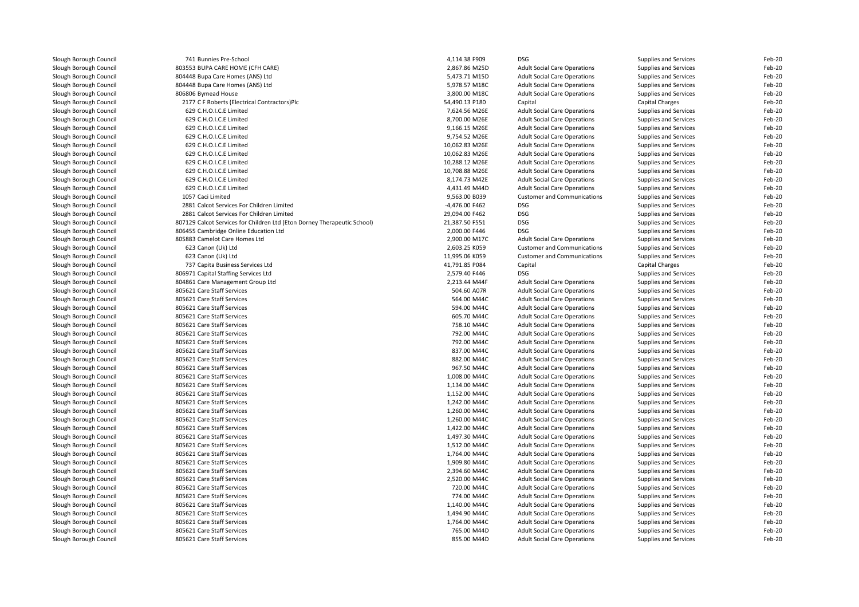| Slough Borough Council | 741 Bunnies Pre-School                                                   | 4,114.38 F909  | <b>DSG</b>                          | Supplies and Services        | Feb-20           |
|------------------------|--------------------------------------------------------------------------|----------------|-------------------------------------|------------------------------|------------------|
| Slough Borough Council | 803553 BUPA CARE HOME (CFH CARE)                                         | 2,867.86 M25D  | <b>Adult Social Care Operations</b> | Supplies and Services        | Feb-20           |
| Slough Borough Council | 804448 Bupa Care Homes (ANS) Ltd                                         | 5,473.71 M15D  | <b>Adult Social Care Operations</b> | Supplies and Services        | Feb-20           |
| Slough Borough Council | 804448 Bupa Care Homes (ANS) Ltd                                         | 5,978.57 M18C  | <b>Adult Social Care Operations</b> | Supplies and Services        | Feb-20           |
| Slough Borough Council | 806806 Bymead House                                                      | 3,800.00 M18C  | <b>Adult Social Care Operations</b> | Supplies and Services        | Feb-20           |
| Slough Borough Council | 2177 C F Roberts (Electrical Contractors)Plc                             | 54,490.13 P180 | Capital                             | Capital Charges              | Feb-20           |
| Slough Borough Council | 629 C.H.O.I.C.E Limited                                                  | 7,624.56 M26E  | <b>Adult Social Care Operations</b> | Supplies and Services        | Feb-20           |
| Slough Borough Council | 629 C.H.O.I.C.E Limited                                                  | 8,700.00 M26E  | <b>Adult Social Care Operations</b> | Supplies and Services        | Feb-20           |
| Slough Borough Council | 629 C.H.O.I.C.E Limited                                                  | 9,166.15 M26E  | <b>Adult Social Care Operations</b> | Supplies and Services        | Feb-20           |
| Slough Borough Council | 629 C.H.O.I.C.E Limited                                                  | 9,754.52 M26E  | <b>Adult Social Care Operations</b> | Supplies and Services        | Feb-20           |
| Slough Borough Council | 629 C.H.O.I.C.E Limited                                                  | 10,062.83 M26E | <b>Adult Social Care Operations</b> | Supplies and Services        | Feb-20           |
| Slough Borough Council | 629 C.H.O.I.C.E Limited                                                  | 10,062.83 M26E | <b>Adult Social Care Operations</b> | Supplies and Services        | Feb-20           |
| Slough Borough Council | 629 C.H.O.I.C.E Limited                                                  | 10,288.12 M26E | <b>Adult Social Care Operations</b> | Supplies and Services        | Feb-20           |
| Slough Borough Council | 629 C.H.O.I.C.E Limited                                                  | 10,708.88 M26E | <b>Adult Social Care Operations</b> | Supplies and Services        | Feb-20           |
| Slough Borough Council | 629 C.H.O.I.C.E Limited                                                  | 8,174.73 M42E  | <b>Adult Social Care Operations</b> | Supplies and Services        | Feb-20           |
| Slough Borough Council | 629 C.H.O.I.C.E Limited                                                  | 4,431.49 M44D  | <b>Adult Social Care Operations</b> | Supplies and Services        | Feb-20           |
| Slough Borough Council | 1057 Caci Limited                                                        | 9,563.00 B039  | <b>Customer and Communications</b>  | Supplies and Services        | Feb-20           |
| Slough Borough Council | 2881 Calcot Services For Children Limited                                | -4,476.00 F462 | <b>DSG</b>                          | Supplies and Services        | Feb-20           |
| Slough Borough Council | 2881 Calcot Services For Children Limited                                | 29.094.00 F462 | <b>DSG</b>                          | Supplies and Services        | Feb-20           |
| Slough Borough Council | 807129 Calcot Services for Children Ltd (Eton Dorney Therapeutic School) | 21,387.50 F551 | <b>DSG</b>                          | Supplies and Services        | Feb-20           |
| Slough Borough Council | 806455 Cambridge Online Education Ltd                                    | 2,000.00 F446  | <b>DSG</b>                          | Supplies and Services        | Feb-20           |
| Slough Borough Council | 805883 Camelot Care Homes Ltd                                            |                |                                     |                              |                  |
|                        |                                                                          | 2,900.00 M17C  | <b>Adult Social Care Operations</b> | Supplies and Services        | Feb-20<br>Feb-20 |
| Slough Borough Council | 623 Canon (Uk) Ltd                                                       | 2,603.25 K059  | <b>Customer and Communications</b>  | Supplies and Services        |                  |
| Slough Borough Council | 623 Canon (Uk) Ltd                                                       | 11,995.06 K059 | <b>Customer and Communications</b>  | Supplies and Services        | Feb-20           |
| Slough Borough Council | 737 Capita Business Services Ltd                                         | 41,791.85 P084 | Capital                             | Capital Charges              | Feb-20           |
| Slough Borough Council | 806971 Capital Staffing Services Ltd                                     | 2,579.40 F446  | <b>DSG</b>                          | Supplies and Services        | Feb-20           |
| Slough Borough Council | 804861 Care Management Group Ltd                                         | 2.213.44 M44F  | <b>Adult Social Care Operations</b> | Supplies and Services        | Feb-20           |
| Slough Borough Council | 805621 Care Staff Services                                               | 504.60 A07R    | <b>Adult Social Care Operations</b> | Supplies and Services        | Feb-20           |
| Slough Borough Council | 805621 Care Staff Services                                               | 564.00 M44C    | <b>Adult Social Care Operations</b> | Supplies and Services        | Feb-20           |
| Slough Borough Council | 805621 Care Staff Services                                               | 594.00 M44C    | <b>Adult Social Care Operations</b> | Supplies and Services        | Feb-20           |
| Slough Borough Council | 805621 Care Staff Services                                               | 605.70 M44C    | <b>Adult Social Care Operations</b> | Supplies and Services        | Feb-20           |
| Slough Borough Council | 805621 Care Staff Services                                               | 758.10 M44C    | <b>Adult Social Care Operations</b> | Supplies and Services        | Feb-20           |
| Slough Borough Council | 805621 Care Staff Services                                               | 792.00 M44C    | <b>Adult Social Care Operations</b> | Supplies and Services        | Feb-20           |
| Slough Borough Council | 805621 Care Staff Services                                               | 792.00 M44C    | <b>Adult Social Care Operations</b> | Supplies and Services        | Feb-20           |
| Slough Borough Council | 805621 Care Staff Services                                               | 837.00 M44C    | <b>Adult Social Care Operations</b> | Supplies and Services        | Feb-20           |
| Slough Borough Council | 805621 Care Staff Services                                               | 882.00 M44C    | <b>Adult Social Care Operations</b> | Supplies and Services        | Feb-20           |
| Slough Borough Council | 805621 Care Staff Services                                               | 967.50 M44C    | <b>Adult Social Care Operations</b> | Supplies and Services        | Feb-20           |
| Slough Borough Council | 805621 Care Staff Services                                               | 1,008.00 M44C  | <b>Adult Social Care Operations</b> | Supplies and Services        | Feb-20           |
| Slough Borough Council | 805621 Care Staff Services                                               | 1,134.00 M44C  | <b>Adult Social Care Operations</b> | Supplies and Services        | Feb-20           |
| Slough Borough Council | 805621 Care Staff Services                                               | 1,152.00 M44C  | <b>Adult Social Care Operations</b> | Supplies and Services        | Feb-20           |
| Slough Borough Council | 805621 Care Staff Services                                               | 1,242.00 M44C  | <b>Adult Social Care Operations</b> | Supplies and Services        | Feb-20           |
| Slough Borough Council | 805621 Care Staff Services                                               | 1,260.00 M44C  | <b>Adult Social Care Operations</b> | Supplies and Services        | Feb-20           |
| Slough Borough Council | 805621 Care Staff Services                                               | 1,260.00 M44C  | <b>Adult Social Care Operations</b> | Supplies and Services        | Feb-20           |
| Slough Borough Council | 805621 Care Staff Services                                               | 1,422.00 M44C  | <b>Adult Social Care Operations</b> | Supplies and Services        | Feb-20           |
| Slough Borough Council | 805621 Care Staff Services                                               | 1,497.30 M44C  | <b>Adult Social Care Operations</b> | Supplies and Services        | Feb-20           |
| Slough Borough Council | 805621 Care Staff Services                                               | 1,512.00 M44C  | <b>Adult Social Care Operations</b> | Supplies and Services        | Feb-20           |
| Slough Borough Council | 805621 Care Staff Services                                               | 1,764.00 M44C  | <b>Adult Social Care Operations</b> | Supplies and Services        | Feb-20           |
| Slough Borough Council | 805621 Care Staff Services                                               | 1,909.80 M44C  | <b>Adult Social Care Operations</b> | Supplies and Services        | Feb-20           |
| Slough Borough Council | 805621 Care Staff Services                                               | 2,394.60 M44C  | <b>Adult Social Care Operations</b> | Supplies and Services        | Feb-20           |
| Slough Borough Council | 805621 Care Staff Services                                               | 2,520.00 M44C  | <b>Adult Social Care Operations</b> | Supplies and Services        | Feb-20           |
| Slough Borough Council | 805621 Care Staff Services                                               | 720.00 M44C    | <b>Adult Social Care Operations</b> | Supplies and Services        | Feb-20           |
| Slough Borough Council | 805621 Care Staff Services                                               | 774.00 M44C    | <b>Adult Social Care Operations</b> | <b>Supplies and Services</b> | Feb-20           |
| Slough Borough Council | 805621 Care Staff Services                                               | 1,140.00 M44C  | <b>Adult Social Care Operations</b> | Supplies and Services        | Feb-20           |
| Slough Borough Council | 805621 Care Staff Services                                               | 1,494.90 M44C  | <b>Adult Social Care Operations</b> | Supplies and Services        | Feb-20           |
| Slough Borough Council | 805621 Care Staff Services                                               | 1,764.00 M44C  | <b>Adult Social Care Operations</b> | Supplies and Services        | Feb-20           |
| Slough Borough Council | 805621 Care Staff Services                                               | 765.00 M44D    | <b>Adult Social Care Operations</b> | Supplies and Services        | Feb-20           |
| Slough Borough Council | 805621 Care Staff Services                                               | 855.00 M44D    | <b>Adult Social Care Operations</b> | Supplies and Services        | Feb-20           |
|                        |                                                                          |                |                                     |                              |                  |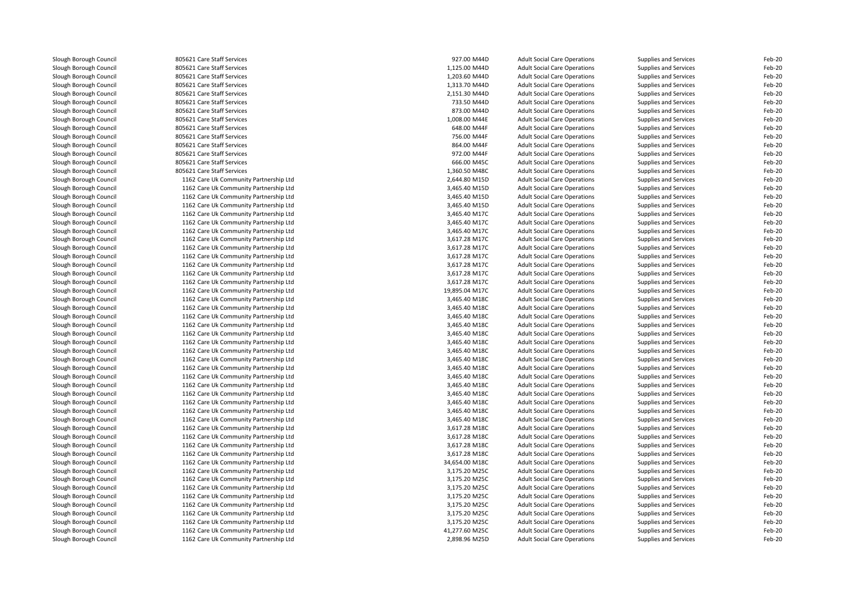| Slough Borough Council | 805621 Care Staff Services             | 927.00 M44D    | <b>Adult Social Care Operations</b> | Supplies and Services        | Feb-20 |
|------------------------|----------------------------------------|----------------|-------------------------------------|------------------------------|--------|
| Slough Borough Council | 805621 Care Staff Services             | 1,125.00 M44D  | <b>Adult Social Care Operations</b> | Supplies and Services        | Feb-20 |
| Slough Borough Council | 805621 Care Staff Services             | 1,203.60 M44D  | <b>Adult Social Care Operations</b> | <b>Supplies and Services</b> | Feb-20 |
| Slough Borough Council | 805621 Care Staff Services             | 1,313.70 M44D  | <b>Adult Social Care Operations</b> | Supplies and Services        | Feb-20 |
| Slough Borough Council | 805621 Care Staff Services             | 2,151.30 M44D  | <b>Adult Social Care Operations</b> | Supplies and Services        | Feb-20 |
| Slough Borough Council | 805621 Care Staff Services             | 733.50 M44D    | <b>Adult Social Care Operations</b> | Supplies and Services        | Feb-20 |
| Slough Borough Council | 805621 Care Staff Services             | 873.00 M44D    | <b>Adult Social Care Operations</b> | Supplies and Services        | Feb-20 |
| Slough Borough Council | 805621 Care Staff Services             | 1,008.00 M44E  | <b>Adult Social Care Operations</b> | Supplies and Services        | Feb-20 |
| Slough Borough Council | 805621 Care Staff Services             | 648.00 M44F    | <b>Adult Social Care Operations</b> | <b>Supplies and Services</b> | Feb-20 |
| Slough Borough Council | 805621 Care Staff Services             | 756.00 M44F    | <b>Adult Social Care Operations</b> | Supplies and Services        | Feb-20 |
| Slough Borough Council | 805621 Care Staff Services             | 864.00 M44F    | <b>Adult Social Care Operations</b> | Supplies and Services        | Feb-20 |
| Slough Borough Council | 805621 Care Staff Services             | 972.00 M44F    | <b>Adult Social Care Operations</b> | Supplies and Services        | Feb-20 |
| Slough Borough Council | 805621 Care Staff Services             | 666.00 M45C    | <b>Adult Social Care Operations</b> | Supplies and Services        | Feb-20 |
| Slough Borough Council | 805621 Care Staff Services             | 1,360.50 M48C  | <b>Adult Social Care Operations</b> | Supplies and Services        | Feb-20 |
| Slough Borough Council | 1162 Care Uk Community Partnership Ltd | 2,644.80 M15D  | <b>Adult Social Care Operations</b> | Supplies and Services        | Feb-20 |
| Slough Borough Council | 1162 Care Uk Community Partnership Ltd | 3,465.40 M15D  | <b>Adult Social Care Operations</b> | Supplies and Services        | Feb-20 |
| Slough Borough Council | 1162 Care Uk Community Partnership Ltd | 3,465.40 M15D  | <b>Adult Social Care Operations</b> | Supplies and Services        | Feb-20 |
| Slough Borough Council | 1162 Care Uk Community Partnership Ltd | 3,465.40 M15D  | <b>Adult Social Care Operations</b> | Supplies and Services        | Feb-20 |
| Slough Borough Council | 1162 Care Uk Community Partnership Ltd | 3,465.40 M17C  | <b>Adult Social Care Operations</b> | Supplies and Services        | Feb-20 |
| Slough Borough Council | 1162 Care Uk Community Partnership Ltd | 3,465.40 M17C  | <b>Adult Social Care Operations</b> | Supplies and Services        | Feb-20 |
| Slough Borough Council | 1162 Care Uk Community Partnership Ltd | 3,465.40 M17C  | <b>Adult Social Care Operations</b> | Supplies and Services        | Feb-20 |
| Slough Borough Council | 1162 Care Uk Community Partnership Ltd | 3,617.28 M17C  | <b>Adult Social Care Operations</b> | Supplies and Services        | Feb-20 |
| Slough Borough Council | 1162 Care Uk Community Partnership Ltd | 3,617.28 M17C  | <b>Adult Social Care Operations</b> | Supplies and Services        | Feb-20 |
| Slough Borough Council | 1162 Care Uk Community Partnership Ltd | 3,617.28 M17C  | <b>Adult Social Care Operations</b> | Supplies and Services        | Feb-20 |
| Slough Borough Council | 1162 Care Uk Community Partnership Ltd | 3,617.28 M17C  | <b>Adult Social Care Operations</b> | Supplies and Services        | Feb-20 |
| Slough Borough Council | 1162 Care Uk Community Partnership Ltd | 3,617.28 M17C  | <b>Adult Social Care Operations</b> | Supplies and Services        | Feb-20 |
| Slough Borough Council | 1162 Care Uk Community Partnership Ltd | 3,617.28 M17C  | <b>Adult Social Care Operations</b> | Supplies and Services        | Feb-20 |
| Slough Borough Council | 1162 Care Uk Community Partnership Ltd | 19,895.04 M17C | <b>Adult Social Care Operations</b> | Supplies and Services        | Feb-20 |
|                        | 1162 Care Uk Community Partnership Ltd | 3,465.40 M18C  |                                     |                              | Feb-20 |
| Slough Borough Council |                                        |                | <b>Adult Social Care Operations</b> | Supplies and Services        | Feb-20 |
| Slough Borough Council | 1162 Care Uk Community Partnership Ltd | 3,465.40 M18C  | <b>Adult Social Care Operations</b> | Supplies and Services        |        |
| Slough Borough Council | 1162 Care Uk Community Partnership Ltd | 3,465.40 M18C  | <b>Adult Social Care Operations</b> | Supplies and Services        | Feb-20 |
| Slough Borough Council | 1162 Care Uk Community Partnership Ltd | 3,465.40 M18C  | <b>Adult Social Care Operations</b> | Supplies and Services        | Feb-20 |
| Slough Borough Council | 1162 Care Uk Community Partnership Ltd | 3,465.40 M18C  | <b>Adult Social Care Operations</b> | Supplies and Services        | Feb-20 |
| Slough Borough Council | 1162 Care Uk Community Partnership Ltd | 3,465.40 M18C  | <b>Adult Social Care Operations</b> | Supplies and Services        | Feb-20 |
| Slough Borough Council | 1162 Care Uk Community Partnership Ltd | 3,465.40 M18C  | <b>Adult Social Care Operations</b> | Supplies and Services        | Feb-20 |
| Slough Borough Council | 1162 Care Uk Community Partnership Ltd | 3,465.40 M18C  | <b>Adult Social Care Operations</b> | Supplies and Services        | Feb-20 |
| Slough Borough Council | 1162 Care Uk Community Partnership Ltd | 3,465.40 M18C  | <b>Adult Social Care Operations</b> | Supplies and Services        | Feb-20 |
| Slough Borough Council | 1162 Care Uk Community Partnership Ltd | 3,465.40 M18C  | <b>Adult Social Care Operations</b> | Supplies and Services        | Feb-20 |
| Slough Borough Council | 1162 Care Uk Community Partnership Ltd | 3,465.40 M18C  | <b>Adult Social Care Operations</b> | Supplies and Services        | Feb-20 |
| Slough Borough Council | 1162 Care Uk Community Partnership Ltd | 3,465.40 M18C  | <b>Adult Social Care Operations</b> | Supplies and Services        | Feb-20 |
| Slough Borough Council | 1162 Care Uk Community Partnership Ltd | 3,465.40 M18C  | <b>Adult Social Care Operations</b> | Supplies and Services        | Feb-20 |
| Slough Borough Council | 1162 Care Uk Community Partnership Ltd | 3,465.40 M18C  | <b>Adult Social Care Operations</b> | Supplies and Services        | Feb-20 |
| Slough Borough Council | 1162 Care Uk Community Partnership Ltd | 3,465.40 M18C  | <b>Adult Social Care Operations</b> | Supplies and Services        | Feb-20 |
| Slough Borough Council | 1162 Care Uk Community Partnership Ltd | 3,617.28 M18C  | <b>Adult Social Care Operations</b> | Supplies and Services        | Feb-20 |
| Slough Borough Council | 1162 Care Uk Community Partnership Ltd | 3,617.28 M18C  | <b>Adult Social Care Operations</b> | Supplies and Services        | Feb-20 |
| Slough Borough Council | 1162 Care Uk Community Partnership Ltd | 3,617.28 M18C  | <b>Adult Social Care Operations</b> | Supplies and Services        | Feb-20 |
| Slough Borough Council | 1162 Care Uk Community Partnership Ltd | 3,617.28 M18C  | <b>Adult Social Care Operations</b> | Supplies and Services        | Feb-20 |
| Slough Borough Council | 1162 Care Uk Community Partnership Ltd | 34,654.00 M18C | <b>Adult Social Care Operations</b> | Supplies and Services        | Feb-20 |
| Slough Borough Council | 1162 Care Uk Community Partnership Ltd | 3,175.20 M25C  | <b>Adult Social Care Operations</b> | Supplies and Services        | Feb-20 |
| Slough Borough Council | 1162 Care Uk Community Partnership Ltd | 3,175.20 M25C  | <b>Adult Social Care Operations</b> | Supplies and Services        | Feb-20 |
| Slough Borough Council | 1162 Care Uk Community Partnership Ltd | 3,175.20 M25C  | <b>Adult Social Care Operations</b> | Supplies and Services        | Feb-20 |
| Slough Borough Council | 1162 Care Uk Community Partnership Ltd | 3,175.20 M25C  | <b>Adult Social Care Operations</b> | Supplies and Services        | Feb-20 |
| Slough Borough Council | 1162 Care Uk Community Partnership Ltd | 3,175.20 M25C  | <b>Adult Social Care Operations</b> | Supplies and Services        | Feb-20 |
| Slough Borough Council | 1162 Care Uk Community Partnership Ltd | 3,175.20 M25C  | <b>Adult Social Care Operations</b> | Supplies and Services        | Feb-20 |
| Slough Borough Council | 1162 Care Uk Community Partnership Ltd | 3,175.20 M25C  | <b>Adult Social Care Operations</b> | Supplies and Services        | Feb-20 |
| Slough Borough Council | 1162 Care Uk Community Partnership Ltd | 41,277.60 M25C | <b>Adult Social Care Operations</b> | Supplies and Services        | Feb-20 |
| Slough Borough Council | 1162 Care Uk Community Partnership Ltd | 2,898.96 M25D  | <b>Adult Social Care Operations</b> | Supplies and Services        | Feb-20 |
|                        |                                        |                |                                     |                              |        |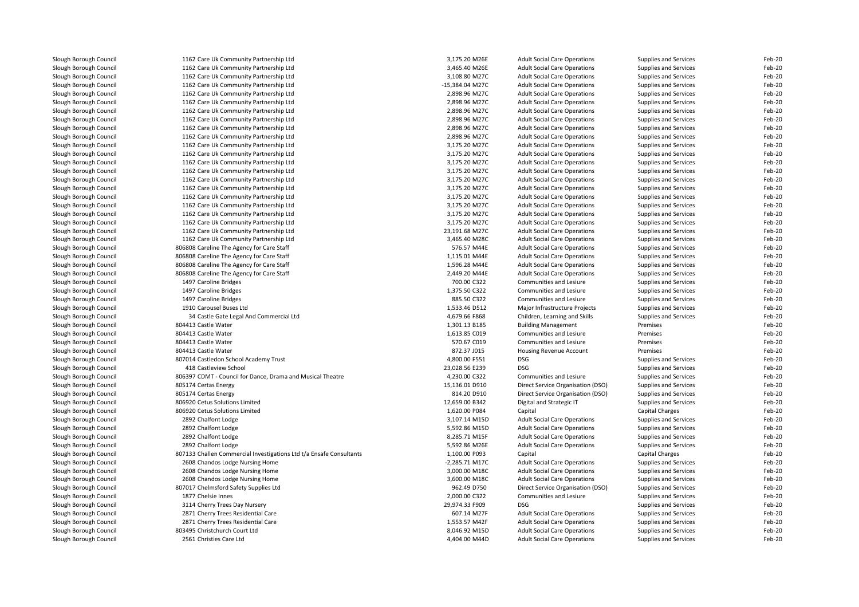| Slough Borough Council | 1162 Care Uk Community Partnership Ltd                              | 3,175.20 M26E   | <b>Adult Social Care Operations</b>            | Supplies and Services                    | Feb-20 |
|------------------------|---------------------------------------------------------------------|-----------------|------------------------------------------------|------------------------------------------|--------|
| Slough Borough Council | 1162 Care Uk Community Partnership Ltd                              | 3,465.40 M26E   | <b>Adult Social Care Operations</b>            | Supplies and Services                    | Feb-20 |
| Slough Borough Council | 1162 Care Uk Community Partnership Ltd                              | 3,108.80 M27C   | <b>Adult Social Care Operations</b>            | Supplies and Services                    | Feb-20 |
| Slough Borough Council | 1162 Care Uk Community Partnership Ltd                              | -15,384.04 M27C | <b>Adult Social Care Operations</b>            | Supplies and Services                    | Feb-20 |
| Slough Borough Council | 1162 Care Uk Community Partnership Ltd                              | 2,898.96 M27C   | <b>Adult Social Care Operations</b>            | Supplies and Services                    | Feb-20 |
| Slough Borough Council | 1162 Care Uk Community Partnership Ltd                              | 2,898.96 M27C   | <b>Adult Social Care Operations</b>            | Supplies and Services                    | Feb-20 |
| Slough Borough Council | 1162 Care Uk Community Partnership Ltd                              | 2,898.96 M27C   | <b>Adult Social Care Operations</b>            | Supplies and Services                    | Feb-20 |
| Slough Borough Council | 1162 Care Uk Community Partnership Ltd                              | 2,898.96 M27C   | <b>Adult Social Care Operations</b>            | Supplies and Services                    | Feb-20 |
| Slough Borough Council | 1162 Care Uk Community Partnership Ltd                              | 2,898.96 M27C   | <b>Adult Social Care Operations</b>            | Supplies and Services                    | Feb-20 |
| Slough Borough Council | 1162 Care Uk Community Partnership Ltd                              | 2,898.96 M27C   | <b>Adult Social Care Operations</b>            | Supplies and Services                    | Feb-20 |
| Slough Borough Council | 1162 Care Uk Community Partnership Ltd                              | 3,175.20 M27C   | <b>Adult Social Care Operations</b>            | Supplies and Services                    | Feb-20 |
| Slough Borough Council | 1162 Care Uk Community Partnership Ltd                              | 3,175.20 M27C   | <b>Adult Social Care Operations</b>            | Supplies and Services                    | Feb-20 |
| Slough Borough Council | 1162 Care Uk Community Partnership Ltd                              | 3,175.20 M27C   | <b>Adult Social Care Operations</b>            | Supplies and Services                    | Feb-20 |
| Slough Borough Council | 1162 Care Uk Community Partnership Ltd                              | 3,175.20 M27C   | <b>Adult Social Care Operations</b>            | Supplies and Services                    | Feb-20 |
| Slough Borough Council | 1162 Care Uk Community Partnership Ltd                              | 3,175.20 M27C   | <b>Adult Social Care Operations</b>            | Supplies and Services                    | Feb-20 |
| Slough Borough Council | 1162 Care Uk Community Partnership Ltd                              | 3,175.20 M27C   | <b>Adult Social Care Operations</b>            | Supplies and Services                    | Feb-20 |
| Slough Borough Council | 1162 Care Uk Community Partnership Ltd                              | 3,175.20 M27C   | <b>Adult Social Care Operations</b>            | Supplies and Services                    | Feb-20 |
| Slough Borough Council | 1162 Care Uk Community Partnership Ltd                              | 3,175.20 M27C   | <b>Adult Social Care Operations</b>            | Supplies and Services                    | Feb-20 |
|                        |                                                                     |                 |                                                |                                          |        |
| Slough Borough Council | 1162 Care Uk Community Partnership Ltd                              | 3,175.20 M27C   | <b>Adult Social Care Operations</b>            | Supplies and Services                    | Feb-20 |
| Slough Borough Council | 1162 Care Uk Community Partnership Ltd                              | 3,175.20 M27C   | <b>Adult Social Care Operations</b>            | Supplies and Services                    | Feb-20 |
| Slough Borough Council | 1162 Care Uk Community Partnership Ltd                              | 23,191.68 M27C  | <b>Adult Social Care Operations</b>            | Supplies and Services                    | Feb-20 |
| Slough Borough Council | 1162 Care Uk Community Partnership Ltd                              | 3,465.40 M28C   | <b>Adult Social Care Operations</b>            | Supplies and Services                    | Feb-20 |
| Slough Borough Council | 806808 Careline The Agency for Care Staff                           | 576.57 M44E     | <b>Adult Social Care Operations</b>            | Supplies and Services                    | Feb-20 |
| Slough Borough Council | 806808 Careline The Agency for Care Staff                           | 1,115.01 M44E   | <b>Adult Social Care Operations</b>            | Supplies and Services                    | Feb-20 |
| Slough Borough Council | 806808 Careline The Agency for Care Staff                           | 1,596.28 M44E   | <b>Adult Social Care Operations</b>            | Supplies and Services                    | Feb-20 |
| Slough Borough Council | 806808 Careline The Agency for Care Staff                           | 2,449.20 M44E   | <b>Adult Social Care Operations</b>            | Supplies and Services                    | Feb-20 |
| Slough Borough Council | 1497 Caroline Bridges                                               | 700.00 C322     | Communities and Lesiure                        | Supplies and Services                    | Feb-20 |
| Slough Borough Council | 1497 Caroline Bridges                                               | 1,375.50 C322   | Communities and Lesiure                        | Supplies and Services                    | Feb-20 |
| Slough Borough Council | 1497 Caroline Bridges                                               | 885.50 C322     | Communities and Lesiure                        | Supplies and Services                    | Feb-20 |
| Slough Borough Council | 1910 Carousel Buses Ltd                                             | 1,533.46 D512   | Major Infrastructure Projects                  | Supplies and Services                    | Feb-20 |
| Slough Borough Council | 34 Castle Gate Legal And Commercial Ltd                             | 4,679.66 F868   | Children, Learning and Skills                  | Supplies and Services                    | Feb-20 |
| Slough Borough Council | 804413 Castle Water                                                 | 1,301.13 B185   | <b>Building Management</b>                     | Premises                                 | Feb-20 |
| Slough Borough Council | 804413 Castle Water                                                 | 1,613.85 C019   | Communities and Lesiure                        | Premises                                 | Feb-20 |
| Slough Borough Council | 804413 Castle Water                                                 | 570.67 C019     | Communities and Lesiure                        | Premises                                 | Feb-20 |
| Slough Borough Council | 804413 Castle Water                                                 | 872.37 J015     | Housing Revenue Account                        | Premises                                 | Feb-20 |
| Slough Borough Council | 807014 Castledon School Academy Trust                               | 4,800.00 F551   | <b>DSG</b>                                     | Supplies and Services                    | Feb-20 |
| Slough Borough Council | 418 Castleview School                                               | 23,028.56 E239  | <b>DSG</b>                                     | Supplies and Services                    | Feb-20 |
| Slough Borough Council | 806397 CDMT - Council for Dance, Drama and Musical Theatre          | 4,230.00 C322   | Communities and Lesiure                        | Supplies and Services                    | Feb-20 |
| Slough Borough Council | 805174 Certas Energy                                                | 15,136.01 D910  | Direct Service Organisation (DSO)              | Supplies and Services                    | Feb-20 |
| Slough Borough Council | 805174 Certas Energy                                                | 814.20 D910     | Direct Service Organisation (DSO)              | Supplies and Services                    | Feb-20 |
| Slough Borough Council | 806920 Cetus Solutions Limited                                      | 12,659.00 B342  | Digital and Strategic IT                       | Supplies and Services                    | Feb-20 |
| Slough Borough Council | 806920 Cetus Solutions Limited                                      | 1,620.00 P084   | Capital                                        | <b>Capital Charges</b>                   | Feb-20 |
| Slough Borough Council | 2892 Chalfont Lodge                                                 | 3,107.14 M15D   | <b>Adult Social Care Operations</b>            | Supplies and Services                    | Feb-20 |
| Slough Borough Council | 2892 Chalfont Lodge                                                 | 5,592.86 M15D   | <b>Adult Social Care Operations</b>            | Supplies and Services                    | Feb-20 |
| Slough Borough Council | 2892 Chalfont Lodge                                                 | 8,285.71 M15F   | <b>Adult Social Care Operations</b>            | Supplies and Services                    | Feb-20 |
|                        | 2892 Chalfont Lodge                                                 | 5,592.86 M26E   |                                                |                                          | Feb-20 |
| Slough Borough Council | 807133 Challen Commercial Investigations Ltd t/a Ensafe Consultants | 1,100.00 P093   | <b>Adult Social Care Operations</b><br>Capital | Supplies and Services<br>Capital Charges | Feb-20 |
| Slough Borough Council | 2608 Chandos Lodge Nursing Home                                     | -2,285.71 M17C  |                                                | Supplies and Services                    | Feb-20 |
| Slough Borough Council |                                                                     |                 | <b>Adult Social Care Operations</b>            |                                          |        |
| Slough Borough Council | 2608 Chandos Lodge Nursing Home                                     | 3,000.00 M18C   | <b>Adult Social Care Operations</b>            | Supplies and Services                    | Feb-20 |
| Slough Borough Council | 2608 Chandos Lodge Nursing Home                                     | 3,600.00 M18C   | <b>Adult Social Care Operations</b>            | Supplies and Services                    | Feb-20 |
| Slough Borough Council | 807017 Chelmsford Safety Supplies Ltd                               | 962.49 D750     | Direct Service Organisation (DSO)              | Supplies and Services                    | Feb-20 |
| Slough Borough Council | 1877 Chelsie Innes                                                  | 2,000.00 C322   | Communities and Lesiure                        | Supplies and Services                    | Feb-20 |
| Slough Borough Council | 3114 Cherry Trees Day Nursery                                       | 29,974.33 F909  | <b>DSG</b>                                     | Supplies and Services                    | Feb-20 |
| Slough Borough Council | 2871 Cherry Trees Residential Care                                  | 607.14 M27F     | <b>Adult Social Care Operations</b>            | Supplies and Services                    | Feb-20 |
| Slough Borough Council | 2871 Cherry Trees Residential Care                                  | 1,553.57 M42F   | <b>Adult Social Care Operations</b>            | Supplies and Services                    | Feb-20 |
| Slough Borough Council | 803495 Christchurch Court Ltd                                       | 8,046.92 M15D   | <b>Adult Social Care Operations</b>            | Supplies and Services                    | Feb-20 |
| Slough Borough Council | 2561 Christies Care Ltd                                             | 4,404.00 M44D   | <b>Adult Social Care Operations</b>            | Supplies and Services                    | Feb-20 |
|                        |                                                                     |                 |                                                |                                          |        |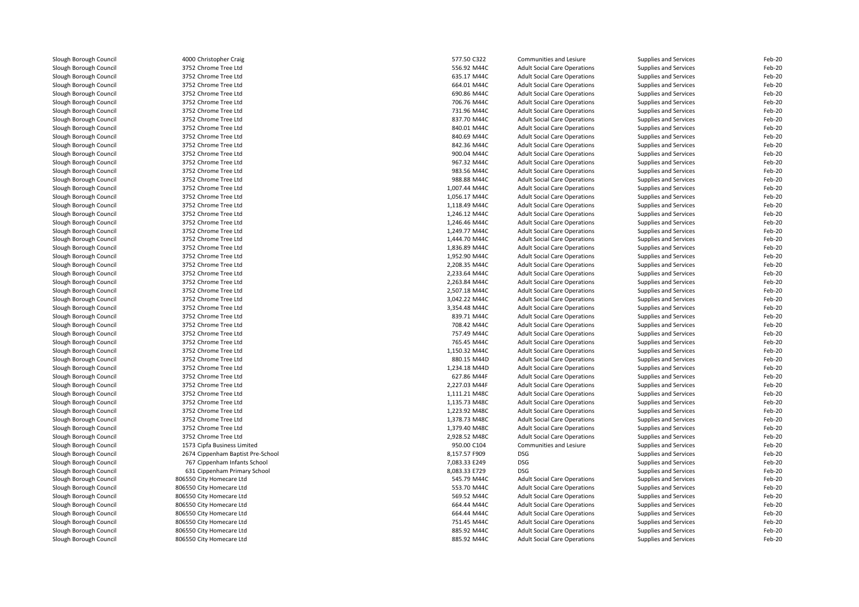| Slough Borough Council | 4000 Christopher Craig            | 577.50 C322   | Communities and Lesiure             | Supplies and Services | Feb-20 |
|------------------------|-----------------------------------|---------------|-------------------------------------|-----------------------|--------|
| Slough Borough Council | 3752 Chrome Tree Ltd              | 556.92 M44C   | <b>Adult Social Care Operations</b> | Supplies and Services | Feb-20 |
| Slough Borough Council | 3752 Chrome Tree Ltd              | 635.17 M44C   | <b>Adult Social Care Operations</b> | Supplies and Services | Feb-20 |
| Slough Borough Council | 3752 Chrome Tree Ltd              | 664.01 M44C   | <b>Adult Social Care Operations</b> | Supplies and Services | Feb-20 |
| Slough Borough Council | 3752 Chrome Tree Ltd              | 690.86 M44C   | <b>Adult Social Care Operations</b> | Supplies and Services | Feb-20 |
| Slough Borough Council | 3752 Chrome Tree Ltd              | 706.76 M44C   | <b>Adult Social Care Operations</b> | Supplies and Services | Feb-20 |
| Slough Borough Council | 3752 Chrome Tree Ltd              | 731.96 M44C   | <b>Adult Social Care Operations</b> | Supplies and Services | Feb-20 |
| Slough Borough Council | 3752 Chrome Tree Ltd              | 837.70 M44C   | <b>Adult Social Care Operations</b> | Supplies and Services | Feb-20 |
| Slough Borough Council | 3752 Chrome Tree Ltd              | 840.01 M44C   | <b>Adult Social Care Operations</b> | Supplies and Services | Feb-20 |
| Slough Borough Council | 3752 Chrome Tree Ltd              | 840.69 M44C   | <b>Adult Social Care Operations</b> | Supplies and Services | Feb-20 |
| Slough Borough Council | 3752 Chrome Tree Ltd              | 842.36 M44C   | <b>Adult Social Care Operations</b> | Supplies and Services | Feb-20 |
| Slough Borough Council | 3752 Chrome Tree Ltd              | 900.04 M44C   | <b>Adult Social Care Operations</b> | Supplies and Services | Feb-20 |
| Slough Borough Council | 3752 Chrome Tree Ltd              | 967.32 M44C   | <b>Adult Social Care Operations</b> | Supplies and Services | Feb-20 |
| Slough Borough Council | 3752 Chrome Tree Ltd              | 983.56 M44C   | <b>Adult Social Care Operations</b> | Supplies and Services | Feb-20 |
| Slough Borough Council | 3752 Chrome Tree Ltd              | 988.88 M44C   | <b>Adult Social Care Operations</b> | Supplies and Services | Feb-20 |
| Slough Borough Council | 3752 Chrome Tree Ltd              | 1,007.44 M44C | <b>Adult Social Care Operations</b> | Supplies and Services | Feb-20 |
| Slough Borough Council | 3752 Chrome Tree Ltd              | 1,056.17 M44C | <b>Adult Social Care Operations</b> | Supplies and Services | Feb-20 |
| Slough Borough Council | 3752 Chrome Tree Ltd              | 1,118.49 M44C | <b>Adult Social Care Operations</b> | Supplies and Services | Feb-20 |
| Slough Borough Council | 3752 Chrome Tree Ltd              | 1,246.12 M44C | <b>Adult Social Care Operations</b> | Supplies and Services | Feb-20 |
| Slough Borough Council | 3752 Chrome Tree Ltd              | 1,246.46 M44C | <b>Adult Social Care Operations</b> | Supplies and Services | Feb-20 |
|                        | 3752 Chrome Tree Ltd              | 1,249.77 M44C |                                     |                       | Feb-20 |
| Slough Borough Council |                                   |               | <b>Adult Social Care Operations</b> | Supplies and Services |        |
| Slough Borough Council | 3752 Chrome Tree Ltd              | 1,444.70 M44C | <b>Adult Social Care Operations</b> | Supplies and Services | Feb-20 |
| Slough Borough Council | 3752 Chrome Tree Ltd              | 1,836.89 M44C | <b>Adult Social Care Operations</b> | Supplies and Services | Feb-20 |
| Slough Borough Council | 3752 Chrome Tree Ltd              | 1.952.90 M44C | <b>Adult Social Care Operations</b> | Supplies and Services | Feb-20 |
| Slough Borough Council | 3752 Chrome Tree Ltd              | 2,208.35 M44C | <b>Adult Social Care Operations</b> | Supplies and Services | Feb-20 |
| Slough Borough Council | 3752 Chrome Tree Ltd              | 2,233.64 M44C | <b>Adult Social Care Operations</b> | Supplies and Services | Feb-20 |
| Slough Borough Council | 3752 Chrome Tree Ltd              | 2,263.84 M44C | <b>Adult Social Care Operations</b> | Supplies and Services | Feb-20 |
| Slough Borough Council | 3752 Chrome Tree Ltd              | 2,507.18 M44C | <b>Adult Social Care Operations</b> | Supplies and Services | Feb-20 |
| Slough Borough Council | 3752 Chrome Tree Ltd              | 3,042.22 M44C | <b>Adult Social Care Operations</b> | Supplies and Services | Feb-20 |
| Slough Borough Council | 3752 Chrome Tree Ltd              | 3,354.48 M44C | <b>Adult Social Care Operations</b> | Supplies and Services | Feb-20 |
| Slough Borough Council | 3752 Chrome Tree Ltd              | 839.71 M44C   | <b>Adult Social Care Operations</b> | Supplies and Services | Feb-20 |
| Slough Borough Council | 3752 Chrome Tree Ltd              | 708.42 M44C   | <b>Adult Social Care Operations</b> | Supplies and Services | Feb-20 |
| Slough Borough Council | 3752 Chrome Tree Ltd              | 757.49 M44C   | <b>Adult Social Care Operations</b> | Supplies and Services | Feb-20 |
| Slough Borough Council | 3752 Chrome Tree Ltd              | 765.45 M44C   | <b>Adult Social Care Operations</b> | Supplies and Services | Feb-20 |
| Slough Borough Council | 3752 Chrome Tree Ltd              | 1,150.32 M44C | <b>Adult Social Care Operations</b> | Supplies and Services | Feb-20 |
| Slough Borough Council | 3752 Chrome Tree Ltd              | 880.15 M44D   | <b>Adult Social Care Operations</b> | Supplies and Services | Feb-20 |
| Slough Borough Council | 3752 Chrome Tree Ltd              | 1,234.18 M44D | <b>Adult Social Care Operations</b> | Supplies and Services | Feb-20 |
| Slough Borough Council | 3752 Chrome Tree Ltd              | 627.86 M44F   | <b>Adult Social Care Operations</b> | Supplies and Services | Feb-20 |
| Slough Borough Council | 3752 Chrome Tree Ltd              | 2,227.03 M44F | <b>Adult Social Care Operations</b> | Supplies and Services | Feb-20 |
| Slough Borough Council | 3752 Chrome Tree Ltd              | 1,111.21 M48C | <b>Adult Social Care Operations</b> | Supplies and Services | Feb-20 |
| Slough Borough Council | 3752 Chrome Tree Ltd              | 1,135.73 M48C | <b>Adult Social Care Operations</b> | Supplies and Services | Feb-20 |
| Slough Borough Council | 3752 Chrome Tree Ltd              | 1,223.92 M48C | <b>Adult Social Care Operations</b> | Supplies and Services | Feb-20 |
| Slough Borough Council | 3752 Chrome Tree Ltd              | 1,378.73 M48C | <b>Adult Social Care Operations</b> | Supplies and Services | Feb-20 |
| Slough Borough Council | 3752 Chrome Tree Ltd              | 1,379.40 M48C | <b>Adult Social Care Operations</b> | Supplies and Services | Feb-20 |
| Slough Borough Council | 3752 Chrome Tree Ltd              | 2,928.52 M48C | <b>Adult Social Care Operations</b> | Supplies and Services | Feb-20 |
| Slough Borough Council | 1573 Cipfa Business Limited       | 950.00 C104   | Communities and Lesiure             | Supplies and Services | Feb-20 |
| Slough Borough Council | 2674 Cippenham Baptist Pre-School | 8,157.57 F909 | <b>DSG</b>                          | Supplies and Services | Feb-20 |
| Slough Borough Council | 767 Cippenham Infants School      | 7,083.33 E249 | <b>DSG</b>                          | Supplies and Services | Feb-20 |
| Slough Borough Council | 631 Cippenham Primary School      | 8,083.33 E729 | <b>DSG</b>                          | Supplies and Services | Feb-20 |
| Slough Borough Council | 806550 City Homecare Ltd          | 545.79 M44C   | <b>Adult Social Care Operations</b> | Supplies and Services | Feb-20 |
| Slough Borough Council | 806550 City Homecare Ltd          | 553.70 M44C   | <b>Adult Social Care Operations</b> | Supplies and Services | Feb-20 |
| Slough Borough Council | 806550 City Homecare Ltd          | 569.52 M44C   | <b>Adult Social Care Operations</b> | Supplies and Services | Feb-20 |
| Slough Borough Council | 806550 City Homecare Ltd          | 664.44 M44C   | <b>Adult Social Care Operations</b> | Supplies and Services | Feb-20 |
| Slough Borough Council | 806550 City Homecare Ltd          | 664.44 M44C   | <b>Adult Social Care Operations</b> | Supplies and Services | Feb-20 |
| Slough Borough Council | 806550 City Homecare Ltd          | 751.45 M44C   | <b>Adult Social Care Operations</b> | Supplies and Services | Feb-20 |
| Slough Borough Council | 806550 City Homecare Ltd          | 885.92 M44C   | <b>Adult Social Care Operations</b> | Supplies and Services | Feb-20 |
| Slough Borough Council | 806550 City Homecare Ltd          | 885.92 M44C   | <b>Adult Social Care Operations</b> | Supplies and Services | Feb-20 |
|                        |                                   |               |                                     |                       |        |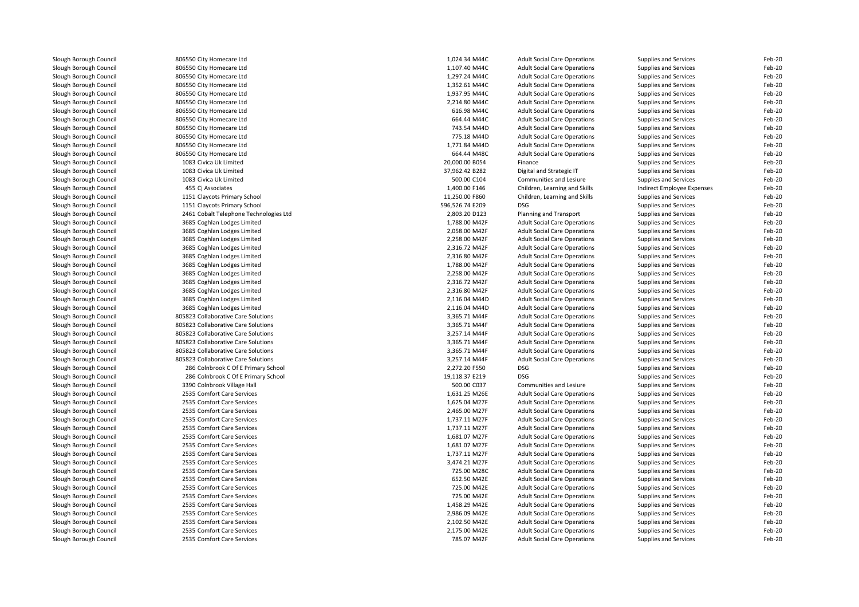| Slough Borough Council | 806550 City Homecare Ltd               | 1,024.34 M44C   | <b>Adult Social Care Operations</b> | Supplies and Services      | Feb-20 |
|------------------------|----------------------------------------|-----------------|-------------------------------------|----------------------------|--------|
| Slough Borough Council | 806550 City Homecare Ltd               | 1,107.40 M44C   | <b>Adult Social Care Operations</b> | Supplies and Services      | Feb-20 |
| Slough Borough Council | 806550 City Homecare Ltd               | 1,297.24 M44C   | <b>Adult Social Care Operations</b> | Supplies and Services      | Feb-20 |
| Slough Borough Council | 806550 City Homecare Ltd               | 1,352.61 M44C   | <b>Adult Social Care Operations</b> | Supplies and Services      | Feb-20 |
| Slough Borough Council | 806550 City Homecare Ltd               | 1,937.95 M44C   | <b>Adult Social Care Operations</b> | Supplies and Services      | Feb-20 |
| Slough Borough Council | 806550 City Homecare Ltd               | 2,214.80 M44C   | <b>Adult Social Care Operations</b> | Supplies and Services      | Feb-20 |
| Slough Borough Council | 806550 City Homecare Ltd               | 616.98 M44C     | <b>Adult Social Care Operations</b> | Supplies and Services      | Feb-20 |
| Slough Borough Council | 806550 City Homecare Ltd               | 664.44 M44C     | <b>Adult Social Care Operations</b> | Supplies and Services      | Feb-20 |
| Slough Borough Council | 806550 City Homecare Ltd               | 743.54 M44D     | <b>Adult Social Care Operations</b> | Supplies and Services      | Feb-20 |
| Slough Borough Council | 806550 City Homecare Ltd               | 775.18 M44D     | <b>Adult Social Care Operations</b> | Supplies and Services      | Feb-20 |
| Slough Borough Council | 806550 City Homecare Ltd               | 1,771.84 M44D   | <b>Adult Social Care Operations</b> | Supplies and Services      | Feb-20 |
| Slough Borough Council | 806550 City Homecare Ltd               | 664.44 M48C     | <b>Adult Social Care Operations</b> | Supplies and Services      | Feb-20 |
| Slough Borough Council | 1083 Civica Uk Limited                 | 20,000.00 B054  | Finance                             | Supplies and Services      | Feb-20 |
| Slough Borough Council | 1083 Civica Uk Limited                 | 37,962.42 B282  | Digital and Strategic IT            | Supplies and Services      | Feb-20 |
| Slough Borough Council | 1083 Civica Uk Limited                 | 500.00 C104     | Communities and Lesiure             | Supplies and Services      | Feb-20 |
| Slough Borough Council | 455 Ci Associates                      | 1,400.00 F146   | Children, Learning and Skills       | Indirect Employee Expenses | Feb-20 |
| Slough Borough Council | 1151 Claycots Primary School           | 11,250.00 F860  | Children, Learning and Skills       | Supplies and Services      | Feb-20 |
| Slough Borough Council | 1151 Claycots Primary School           | 596,526.74 E209 | <b>DSG</b>                          | Supplies and Services      | Feb-20 |
|                        |                                        |                 |                                     |                            |        |
| Slough Borough Council | 2461 Cobalt Telephone Technologies Ltd | 2,803.20 D123   | Planning and Transport              | Supplies and Services      | Feb-20 |
| Slough Borough Council | 3685 Coghlan Lodges Limited            | 1,788.00 M42F   | <b>Adult Social Care Operations</b> | Supplies and Services      | Feb-20 |
| Slough Borough Council | 3685 Coghlan Lodges Limited            | 2,058.00 M42F   | <b>Adult Social Care Operations</b> | Supplies and Services      | Feb-20 |
| Slough Borough Council | 3685 Coghlan Lodges Limited            | 2,258.00 M42F   | <b>Adult Social Care Operations</b> | Supplies and Services      | Feb-20 |
| Slough Borough Council | 3685 Coghlan Lodges Limited            | 2,316.72 M42F   | <b>Adult Social Care Operations</b> | Supplies and Services      | Feb-20 |
| Slough Borough Council | 3685 Coghlan Lodges Limited            | 2,316.80 M42F   | <b>Adult Social Care Operations</b> | Supplies and Services      | Feb-20 |
| Slough Borough Council | 3685 Coghlan Lodges Limited            | 1,788.00 M42F   | <b>Adult Social Care Operations</b> | Supplies and Services      | Feb-20 |
| Slough Borough Council | 3685 Coghlan Lodges Limited            | 2,258.00 M42F   | <b>Adult Social Care Operations</b> | Supplies and Services      | Feb-20 |
| Slough Borough Council | 3685 Coghlan Lodges Limited            | 2,316.72 M42F   | <b>Adult Social Care Operations</b> | Supplies and Services      | Feb-20 |
| Slough Borough Council | 3685 Coghlan Lodges Limited            | 2,316.80 M42F   | <b>Adult Social Care Operations</b> | Supplies and Services      | Feb-20 |
| Slough Borough Council | 3685 Coghlan Lodges Limited            | 2,116.04 M44D   | <b>Adult Social Care Operations</b> | Supplies and Services      | Feb-20 |
| Slough Borough Council | 3685 Coghlan Lodges Limited            | 2,116.04 M44D   | <b>Adult Social Care Operations</b> | Supplies and Services      | Feb-20 |
| Slough Borough Council | 805823 Collaborative Care Solutions    | 3,365.71 M44F   | <b>Adult Social Care Operations</b> | Supplies and Services      | Feb-20 |
| Slough Borough Council | 805823 Collaborative Care Solutions    | 3,365.71 M44F   | <b>Adult Social Care Operations</b> | Supplies and Services      | Feb-20 |
| Slough Borough Council | 805823 Collaborative Care Solutions    | 3,257.14 M44F   | <b>Adult Social Care Operations</b> | Supplies and Services      | Feb-20 |
| Slough Borough Council | 805823 Collaborative Care Solutions    | 3,365.71 M44F   | <b>Adult Social Care Operations</b> | Supplies and Services      | Feb-20 |
| Slough Borough Council | 805823 Collaborative Care Solutions    | 3,365.71 M44F   | <b>Adult Social Care Operations</b> | Supplies and Services      | Feb-20 |
| Slough Borough Council | 805823 Collaborative Care Solutions    | 3,257.14 M44F   | <b>Adult Social Care Operations</b> | Supplies and Services      | Feb-20 |
| Slough Borough Council | 286 Colnbrook C Of E Primary School    | 2,272.20 F550   | <b>DSG</b>                          | Supplies and Services      | Feb-20 |
| Slough Borough Council | 286 Colnbrook C Of E Primary School    | 19,118.37 E219  | <b>DSG</b>                          | Supplies and Services      | Feb-20 |
| Slough Borough Council | 3390 Colnbrook Village Hall            | 500.00 C037     | Communities and Lesiure             | Supplies and Services      | Feb-20 |
| Slough Borough Council | 2535 Comfort Care Services             | 1,631.25 M26E   | <b>Adult Social Care Operations</b> | Supplies and Services      | Feb-20 |
| Slough Borough Council | 2535 Comfort Care Services             | 1,625.04 M27F   | <b>Adult Social Care Operations</b> | Supplies and Services      | Feb-20 |
| Slough Borough Council | 2535 Comfort Care Services             | 2,465.00 M27F   | <b>Adult Social Care Operations</b> | Supplies and Services      | Feb-20 |
| Slough Borough Council | 2535 Comfort Care Services             | 1,737.11 M27F   | <b>Adult Social Care Operations</b> | Supplies and Services      | Feb-20 |
| Slough Borough Council | 2535 Comfort Care Services             | 1,737.11 M27F   | <b>Adult Social Care Operations</b> | Supplies and Services      | Feb-20 |
| Slough Borough Council | 2535 Comfort Care Services             | 1,681.07 M27F   | <b>Adult Social Care Operations</b> | Supplies and Services      | Feb-20 |
| Slough Borough Council | 2535 Comfort Care Services             | 1,681.07 M27F   | <b>Adult Social Care Operations</b> | Supplies and Services      | Feb-20 |
| Slough Borough Council | 2535 Comfort Care Services             | 1,737.11 M27F   | <b>Adult Social Care Operations</b> | Supplies and Services      | Feb-20 |
| Slough Borough Council | 2535 Comfort Care Services             | 3,474.21 M27F   | <b>Adult Social Care Operations</b> | Supplies and Services      | Feb-20 |
| Slough Borough Council | 2535 Comfort Care Services             | 725.00 M28C     | <b>Adult Social Care Operations</b> | Supplies and Services      | Feb-20 |
| Slough Borough Council | 2535 Comfort Care Services             | 652.50 M42E     | <b>Adult Social Care Operations</b> | Supplies and Services      | Feb-20 |
|                        | 2535 Comfort Care Services             | 725.00 M42E     |                                     |                            | Feb-20 |
| Slough Borough Council |                                        |                 | <b>Adult Social Care Operations</b> | Supplies and Services      |        |
| Slough Borough Council | 2535 Comfort Care Services             | 725.00 M42E     | <b>Adult Social Care Operations</b> | Supplies and Services      | Feb-20 |
| Slough Borough Council | 2535 Comfort Care Services             | 1,458.29 M42E   | <b>Adult Social Care Operations</b> | Supplies and Services      | Feb-20 |
| Slough Borough Council | 2535 Comfort Care Services             | 2,986.09 M42E   | <b>Adult Social Care Operations</b> | Supplies and Services      | Feb-20 |
| Slough Borough Council | 2535 Comfort Care Services             | 2,102.50 M42E   | <b>Adult Social Care Operations</b> | Supplies and Services      | Feb-20 |
| Slough Borough Council | 2535 Comfort Care Services             | 2,175.00 M42E   | <b>Adult Social Care Operations</b> | Supplies and Services      | Feb-20 |
| Slough Borough Council | 2535 Comfort Care Services             | 785.07 M42F     | <b>Adult Social Care Operations</b> | Supplies and Services      | Feb-20 |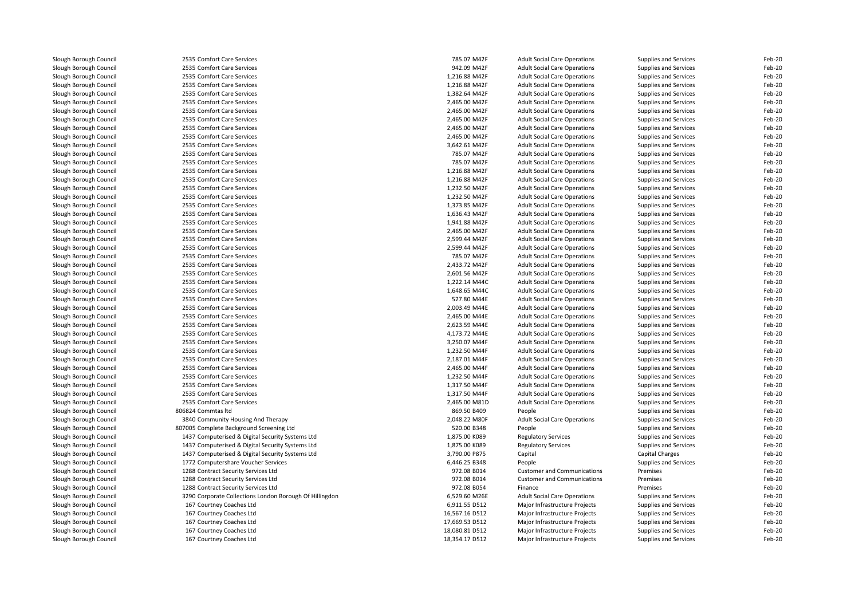| Slough Borough Council | 2535 Comfort Care Services                              | 785.07 M42F    | <b>Adult Social Care Operations</b> | Supplies and Services | Feb-20 |
|------------------------|---------------------------------------------------------|----------------|-------------------------------------|-----------------------|--------|
| Slough Borough Council | 2535 Comfort Care Services                              | 942.09 M42F    | <b>Adult Social Care Operations</b> | Supplies and Services | Feb-20 |
| Slough Borough Council | 2535 Comfort Care Services                              | 1,216.88 M42F  | <b>Adult Social Care Operations</b> | Supplies and Services | Feb-20 |
| Slough Borough Council | 2535 Comfort Care Services                              | 1,216.88 M42F  | <b>Adult Social Care Operations</b> | Supplies and Services | Feb-20 |
| Slough Borough Council | 2535 Comfort Care Services                              | 1,382.64 M42F  | <b>Adult Social Care Operations</b> | Supplies and Services | Feb-20 |
| Slough Borough Council | 2535 Comfort Care Services                              | 2,465.00 M42F  | <b>Adult Social Care Operations</b> | Supplies and Services | Feb-20 |
| Slough Borough Council | 2535 Comfort Care Services                              | 2,465.00 M42F  | <b>Adult Social Care Operations</b> | Supplies and Services | Feb-20 |
| Slough Borough Council | 2535 Comfort Care Services                              | 2,465.00 M42F  | <b>Adult Social Care Operations</b> | Supplies and Services | Feb-20 |
| Slough Borough Council | 2535 Comfort Care Services                              | 2,465.00 M42F  | <b>Adult Social Care Operations</b> | Supplies and Services | Feb-20 |
| Slough Borough Council | 2535 Comfort Care Services                              | 2,465.00 M42F  | <b>Adult Social Care Operations</b> | Supplies and Services | Feb-20 |
| Slough Borough Council | 2535 Comfort Care Services                              | 3,642.61 M42F  | <b>Adult Social Care Operations</b> | Supplies and Services | Feb-20 |
| Slough Borough Council | 2535 Comfort Care Services                              | 785.07 M42F    | <b>Adult Social Care Operations</b> | Supplies and Services | Feb-20 |
| Slough Borough Council | 2535 Comfort Care Services                              | 785.07 M42F    | <b>Adult Social Care Operations</b> | Supplies and Services | Feb-20 |
| Slough Borough Council | 2535 Comfort Care Services                              | 1,216.88 M42F  | <b>Adult Social Care Operations</b> | Supplies and Services | Feb-20 |
| Slough Borough Council | 2535 Comfort Care Services                              | 1,216.88 M42F  | <b>Adult Social Care Operations</b> | Supplies and Services | Feb-20 |
| Slough Borough Council | 2535 Comfort Care Services                              | 1,232.50 M42F  | <b>Adult Social Care Operations</b> | Supplies and Services | Feb-20 |
| Slough Borough Council | 2535 Comfort Care Services                              | 1,232.50 M42F  | <b>Adult Social Care Operations</b> | Supplies and Services | Feb-20 |
| Slough Borough Council | 2535 Comfort Care Services                              | 1,373.85 M42F  | <b>Adult Social Care Operations</b> | Supplies and Services | Feb-20 |
| Slough Borough Council | 2535 Comfort Care Services                              | 1,636.43 M42F  | <b>Adult Social Care Operations</b> | Supplies and Services | Feb-20 |
| Slough Borough Council | 2535 Comfort Care Services                              | 1,941.88 M42F  | <b>Adult Social Care Operations</b> | Supplies and Services | Feb-20 |
| Slough Borough Council | 2535 Comfort Care Services                              | 2,465.00 M42F  | <b>Adult Social Care Operations</b> | Supplies and Services | Feb-20 |
| Slough Borough Council | 2535 Comfort Care Services                              | 2.599.44 M42F  | <b>Adult Social Care Operations</b> | Supplies and Services | Feb-20 |
| Slough Borough Council | 2535 Comfort Care Services                              | 2,599.44 M42F  | <b>Adult Social Care Operations</b> | Supplies and Services | Feb-20 |
| Slough Borough Council | 2535 Comfort Care Services                              | 785.07 M42F    | <b>Adult Social Care Operations</b> | Supplies and Services | Feb-20 |
| Slough Borough Council | 2535 Comfort Care Services                              | 2,433.72 M42F  | <b>Adult Social Care Operations</b> | Supplies and Services | Feb-20 |
| Slough Borough Council | 2535 Comfort Care Services                              | 2,601.56 M42F  | <b>Adult Social Care Operations</b> | Supplies and Services | Feb-20 |
| Slough Borough Council | 2535 Comfort Care Services                              | 1,222.14 M44C  | <b>Adult Social Care Operations</b> | Supplies and Services | Feb-20 |
| Slough Borough Council | 2535 Comfort Care Services                              | 1,648.65 M44C  | <b>Adult Social Care Operations</b> | Supplies and Services | Feb-20 |
| Slough Borough Council | 2535 Comfort Care Services                              | 527.80 M44E    | <b>Adult Social Care Operations</b> | Supplies and Services | Feb-20 |
| Slough Borough Council | 2535 Comfort Care Services                              | 2,003.49 M44E  | <b>Adult Social Care Operations</b> | Supplies and Services | Feb-20 |
| Slough Borough Council | 2535 Comfort Care Services                              | 2,465.00 M44E  | <b>Adult Social Care Operations</b> | Supplies and Services | Feb-20 |
| Slough Borough Council | 2535 Comfort Care Services                              | 2,623.59 M44E  | <b>Adult Social Care Operations</b> | Supplies and Services | Feb-20 |
| Slough Borough Council | 2535 Comfort Care Services                              | 4,173.72 M44E  | <b>Adult Social Care Operations</b> | Supplies and Services | Feb-20 |
| Slough Borough Council | 2535 Comfort Care Services                              | 3,250.07 M44F  | <b>Adult Social Care Operations</b> | Supplies and Services | Feb-20 |
| Slough Borough Council | 2535 Comfort Care Services                              | 1,232.50 M44F  | <b>Adult Social Care Operations</b> | Supplies and Services | Feb-20 |
| Slough Borough Council | 2535 Comfort Care Services                              | 2,187.01 M44F  | <b>Adult Social Care Operations</b> | Supplies and Services | Feb-20 |
| Slough Borough Council | 2535 Comfort Care Services                              | 2,465.00 M44F  | <b>Adult Social Care Operations</b> | Supplies and Services | Feb-20 |
| Slough Borough Council | 2535 Comfort Care Services                              | 1,232.50 M44F  | <b>Adult Social Care Operations</b> | Supplies and Services | Feb-20 |
| Slough Borough Council | 2535 Comfort Care Services                              | 1,317.50 M44F  | <b>Adult Social Care Operations</b> | Supplies and Services | Feb-20 |
| Slough Borough Council | 2535 Comfort Care Services                              | 1,317.50 M44F  | <b>Adult Social Care Operations</b> | Supplies and Services | Feb-20 |
| Slough Borough Council | 2535 Comfort Care Services                              | 2,465.00 M81D  | <b>Adult Social Care Operations</b> | Supplies and Services | Feb-20 |
| Slough Borough Council | 806824 Commtas Itd                                      | 869.50 B409    | People                              | Supplies and Services | Feb-20 |
| Slough Borough Council | 3840 Community Housing And Therapy                      | 2,048.22 M80F  | <b>Adult Social Care Operations</b> | Supplies and Services | Feb-20 |
| Slough Borough Council | 807005 Complete Background Screening Ltd                | 520.00 B348    | People                              | Supplies and Services | Feb-20 |
| Slough Borough Council | 1437 Computerised & Digital Security Systems Ltd        | 1,875.00 K089  | <b>Regulatory Services</b>          | Supplies and Services | Feb-20 |
| Slough Borough Council | 1437 Computerised & Digital Security Systems Ltd        | 1,875.00 K089  | <b>Regulatory Services</b>          | Supplies and Services | Feb-20 |
| Slough Borough Council | 1437 Computerised & Digital Security Systems Ltd        | 3,790.00 P875  | Capital                             | Capital Charges       | Feb-20 |
| Slough Borough Council | 1772 Computershare Voucher Services                     | 6,446.25 B348  | People                              | Supplies and Services | Feb-20 |
| Slough Borough Council | 1288 Contract Security Services Ltd                     | 972.08 B014    | <b>Customer and Communications</b>  | Premises              | Feb-20 |
| Slough Borough Council | 1288 Contract Security Services Ltd                     | 972.08 B014    | <b>Customer and Communications</b>  | Premises              | Feb-20 |
| Slough Borough Council | 1288 Contract Security Services Ltd                     | 972.08 B054    | Finance                             | Premises              | Feb-20 |
| Slough Borough Council | 3290 Corporate Collections London Borough Of Hillingdon | 6,529.60 M26E  | <b>Adult Social Care Operations</b> | Supplies and Services | Feb-20 |
| Slough Borough Council | 167 Courtney Coaches Ltd                                | 6,911.55 D512  | Major Infrastructure Projects       | Supplies and Services | Feb-20 |
| Slough Borough Council | 167 Courtney Coaches Ltd                                | 16,567.16 D512 | Major Infrastructure Projects       | Supplies and Services | Feb-20 |
| Slough Borough Council | 167 Courtney Coaches Ltd                                | 17,669.53 D512 | Major Infrastructure Projects       | Supplies and Services | Feb-20 |
| Slough Borough Council | 167 Courtney Coaches Ltd                                | 18,080.81 D512 | Major Infrastructure Projects       | Supplies and Services | Feb-20 |
| Slough Borough Council | 167 Courtney Coaches Ltd                                | 18,354.17 D512 | Major Infrastructure Projects       | Supplies and Services | Feb-20 |
|                        |                                                         |                |                                     |                       |        |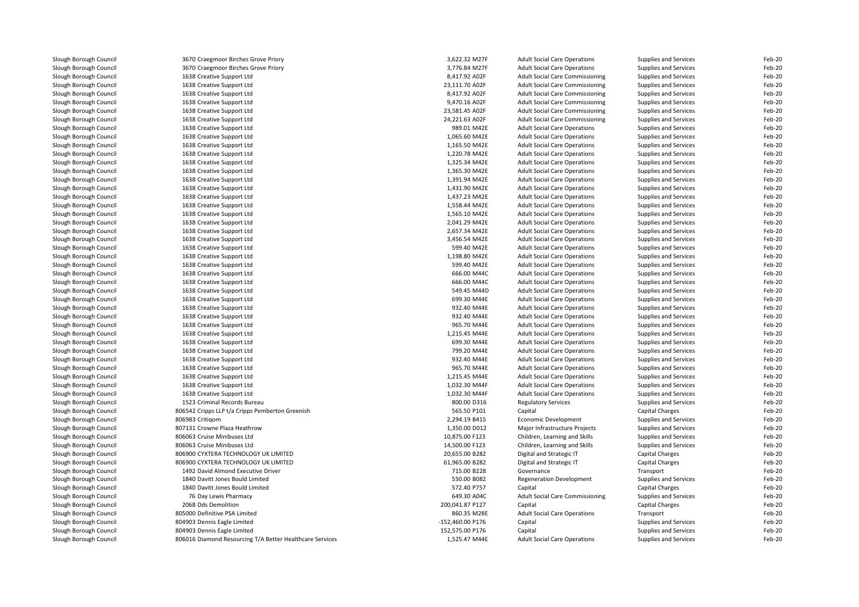| Slough Borough Council                           | 3670 Craegmoor Birches Grove Priory                      | 3,622.32 M27F                  | <b>Adult Social Care Operations</b>    | Supplies and Services        | Feb-20           |
|--------------------------------------------------|----------------------------------------------------------|--------------------------------|----------------------------------------|------------------------------|------------------|
| Slough Borough Council                           | 3670 Craegmoor Birches Grove Priory                      | 3,776.84 M27F                  | <b>Adult Social Care Operations</b>    | Supplies and Services        | Feb-20           |
| Slough Borough Council                           | 1638 Creative Support Ltd                                | 8,417.92 A02F                  | Adult Social Care Commissioning        | Supplies and Services        | Feb-20           |
| Slough Borough Council                           | 1638 Creative Support Ltd                                | 23,111.70 A02F                 | Adult Social Care Commissioning        | Supplies and Services        | Feb-20           |
| Slough Borough Council                           | 1638 Creative Support Ltd                                | 8,417.92 A02F                  | Adult Social Care Commissioning        | Supplies and Services        | Feb-20           |
| Slough Borough Council                           | 1638 Creative Support Ltd                                | 9,470.16 A02F                  | Adult Social Care Commissioning        | Supplies and Services        | Feb-20           |
| Slough Borough Council                           | 1638 Creative Support Ltd                                | 23,581.45 A02F                 | Adult Social Care Commissioning        | Supplies and Services        | Feb-20           |
| Slough Borough Council                           | 1638 Creative Support Ltd                                | 24,221.63 A02F                 | <b>Adult Social Care Commissioning</b> | Supplies and Services        | Feb-20           |
| Slough Borough Council                           | 1638 Creative Support Ltd                                | 989.01 M42E                    | <b>Adult Social Care Operations</b>    | Supplies and Services        | Feb-20           |
| Slough Borough Council                           | 1638 Creative Support Ltd                                | 1,065.60 M42E                  | <b>Adult Social Care Operations</b>    | Supplies and Services        | Feb-20           |
| Slough Borough Council                           | 1638 Creative Support Ltd                                | 1,165.50 M42E                  | <b>Adult Social Care Operations</b>    | Supplies and Services        | Feb-20           |
|                                                  |                                                          |                                |                                        |                              |                  |
| Slough Borough Council<br>Slough Borough Council | 1638 Creative Support Ltd                                | 1,220.78 M42E<br>1,325.34 M42E | <b>Adult Social Care Operations</b>    | Supplies and Services        | Feb-20<br>Feb-20 |
|                                                  | 1638 Creative Support Ltd                                |                                | <b>Adult Social Care Operations</b>    | Supplies and Services        |                  |
| Slough Borough Council                           | 1638 Creative Support Ltd                                | 1,365.30 M42E                  | <b>Adult Social Care Operations</b>    | Supplies and Services        | Feb-20           |
| Slough Borough Council                           | 1638 Creative Support Ltd                                | 1,391.94 M42E                  | <b>Adult Social Care Operations</b>    | Supplies and Services        | Feb-20           |
| Slough Borough Council                           | 1638 Creative Support Ltd                                | 1,431.90 M42E                  | <b>Adult Social Care Operations</b>    | Supplies and Services        | Feb-20           |
| Slough Borough Council                           | 1638 Creative Support Ltd                                | 1,437.23 M42E                  | <b>Adult Social Care Operations</b>    | Supplies and Services        | Feb-20           |
| Slough Borough Council                           | 1638 Creative Support Ltd                                | 1,558.44 M42E                  | <b>Adult Social Care Operations</b>    | Supplies and Services        | Feb-20           |
| Slough Borough Council                           | 1638 Creative Support Ltd                                | 1,565.10 M42E                  | <b>Adult Social Care Operations</b>    | Supplies and Services        | Feb-20           |
| Slough Borough Council                           | 1638 Creative Support Ltd                                | 2,041.29 M42E                  | <b>Adult Social Care Operations</b>    | Supplies and Services        | Feb-20           |
| Slough Borough Council                           | 1638 Creative Support Ltd                                | 2,657.34 M42E                  | <b>Adult Social Care Operations</b>    | Supplies and Services        | Feb-20           |
| Slough Borough Council                           | 1638 Creative Support Ltd                                | 3,456.54 M42E                  | <b>Adult Social Care Operations</b>    | Supplies and Services        | Feb-20           |
| Slough Borough Council                           | 1638 Creative Support Ltd                                | 599.40 M42E                    | <b>Adult Social Care Operations</b>    | Supplies and Services        | Feb-20           |
| Slough Borough Council                           | 1638 Creative Support Ltd                                | 1,198.80 M42E                  | <b>Adult Social Care Operations</b>    | Supplies and Services        | Feb-20           |
| Slough Borough Council                           | 1638 Creative Support Ltd                                | 599.40 M42E                    | <b>Adult Social Care Operations</b>    | Supplies and Services        | Feb-20           |
| Slough Borough Council                           | 1638 Creative Support Ltd                                | 666.00 M44C                    | <b>Adult Social Care Operations</b>    | Supplies and Services        | Feb-20           |
| Slough Borough Council                           | 1638 Creative Support Ltd                                | 666.00 M44C                    | <b>Adult Social Care Operations</b>    | Supplies and Services        | Feb-20           |
| Slough Borough Council                           | 1638 Creative Support Ltd                                | 549.45 M44D                    | <b>Adult Social Care Operations</b>    | Supplies and Services        | Feb-20           |
| Slough Borough Council                           | 1638 Creative Support Ltd                                | 699.30 M44E                    | <b>Adult Social Care Operations</b>    | Supplies and Services        | Feb-20           |
| Slough Borough Council                           | 1638 Creative Support Ltd                                | 932.40 M44E                    | <b>Adult Social Care Operations</b>    | Supplies and Services        | Feb-20           |
| Slough Borough Council                           | 1638 Creative Support Ltd                                | 932.40 M44E                    | <b>Adult Social Care Operations</b>    | Supplies and Services        | Feb-20           |
| Slough Borough Council                           | 1638 Creative Support Ltd                                | 965.70 M44E                    | <b>Adult Social Care Operations</b>    | Supplies and Services        | Feb-20           |
| Slough Borough Council                           | 1638 Creative Support Ltd                                | 1,215.45 M44E                  | <b>Adult Social Care Operations</b>    | Supplies and Services        | Feb-20           |
| Slough Borough Council                           | 1638 Creative Support Ltd                                | 699.30 M44E                    | <b>Adult Social Care Operations</b>    | Supplies and Services        | Feb-20           |
| Slough Borough Council                           | 1638 Creative Support Ltd                                | 799.20 M44E                    | <b>Adult Social Care Operations</b>    | Supplies and Services        | Feb-20           |
| Slough Borough Council                           | 1638 Creative Support Ltd                                | 932.40 M44E                    | <b>Adult Social Care Operations</b>    | Supplies and Services        | Feb-20           |
| Slough Borough Council                           | 1638 Creative Support Ltd                                | 965.70 M44E                    | <b>Adult Social Care Operations</b>    | Supplies and Services        | Feb-20           |
|                                                  |                                                          |                                |                                        |                              |                  |
| Slough Borough Council                           | 1638 Creative Support Ltd                                | 1,215.45 M44E                  | <b>Adult Social Care Operations</b>    | Supplies and Services        | Feb-20           |
| Slough Borough Council                           | 1638 Creative Support Ltd                                | 1,032.30 M44F                  | <b>Adult Social Care Operations</b>    | <b>Supplies and Services</b> | Feb-20           |
| Slough Borough Council                           | 1638 Creative Support Ltd                                | 1,032.30 M44F                  | <b>Adult Social Care Operations</b>    | Supplies and Services        | Feb-20           |
| Slough Borough Council                           | 1523 Criminal Records Bureau                             | 800.00 D316                    | <b>Regulatory Services</b>             | Supplies and Services        | Feb-20           |
| Slough Borough Council                           | 806542 Cripps LLP t/a Cripps Pemberton Greenish          | 565.50 P101                    | Capital                                | Capital Charges              | Feb-20           |
| Slough Borough Council                           | 806983 Critigom                                          | 2,294.19 B415                  | Economic Development                   | Supplies and Services        | Feb-20           |
| Slough Borough Council                           | 807131 Crowne Plaza Heathrow                             | 1,350.00 D012                  | Major Infrastructure Projects          | Supplies and Services        | Feb-20           |
| Slough Borough Council                           | 806063 Cruise Minibuses Ltd                              | 10,875.00 F123                 | Children, Learning and Skills          | Supplies and Services        | Feb-20           |
| Slough Borough Council                           | 806063 Cruise Minibuses Ltd                              | 14,500.00 F123                 | Children, Learning and Skills          | Supplies and Services        | Feb-20           |
| Slough Borough Council                           | 806900 CYXTERA TECHNOLOGY UK LIMITED                     | 20,655.00 B282                 | Digital and Strategic IT               | Capital Charges              | Feb-20           |
| Slough Borough Council                           | 806900 CYXTERA TECHNOLOGY UK LIMITED                     | 61,965.00 B282                 | Digital and Strategic IT               | Capital Charges              | Feb-20           |
| Slough Borough Council                           | 1492 David Almond Executive Driver                       | 715.00 B228                    | Governance                             | Transport                    | Feb-20           |
| Slough Borough Council                           | 1840 Davitt Jones Bould Limited                          | 550.00 B082                    | <b>Regeneration Development</b>        | Supplies and Services        | Feb-20           |
| Slough Borough Council                           | 1840 Davitt Jones Bould Limited                          | 572.40 P757                    | Capital                                | Capital Charges              | Feb-20           |
| Slough Borough Council                           | 76 Day Lewis Pharmacy                                    | 649.30 A04C                    | Adult Social Care Commissioning        | Supplies and Services        | Feb-20           |
| Slough Borough Council                           | 2068 Dds Demolition                                      | 200,041.87 P127                | Capital                                | Capital Charges              | Feb-20           |
| Slough Borough Council                           | 805000 Definitive PSA Limited                            | 860.35 M28E                    | <b>Adult Social Care Operations</b>    | Transport                    | Feb-20           |
| Slough Borough Council                           | 804903 Dennis Eagle Limited                              | -152,460.00 P176               | Capital                                | Supplies and Services        | Feb-20           |
| Slough Borough Council                           | 804903 Dennis Eagle Limited                              | 152,575.00 P176                | Capital                                | Supplies and Services        | Feb-20           |
| Slough Borough Council                           | 806016 Diamond Resourcing T/A Better Healthcare Services | 1,525.47 M44E                  | <b>Adult Social Care Operations</b>    | Supplies and Services        | Feb-20           |
|                                                  |                                                          |                                |                                        |                              |                  |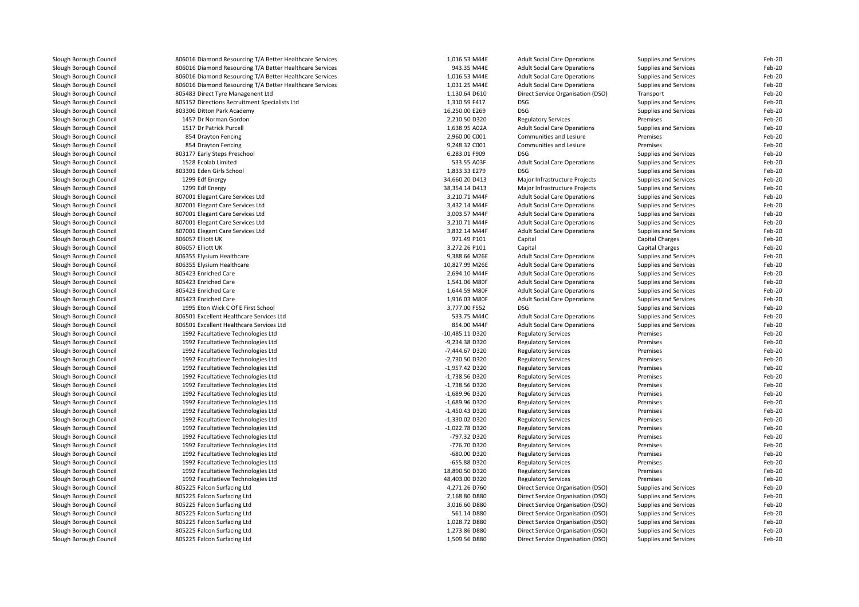| Slough Borough Council | 806016 Diamond Resourcing T/A Better Healthcare Services | 1,016.53 M44E   | <b>Adult Social Care Operations</b> | Supplies and Services                                 | Feb-20           |
|------------------------|----------------------------------------------------------|-----------------|-------------------------------------|-------------------------------------------------------|------------------|
| Slough Borough Council | 806016 Diamond Resourcing T/A Better Healthcare Services | 943.35 M44E     | <b>Adult Social Care Operations</b> | <b>Supplies and Services</b>                          | Feb-20           |
| Slough Borough Council | 806016 Diamond Resourcing T/A Better Healthcare Services | 1,016.53 M44E   | <b>Adult Social Care Operations</b> | <b>Supplies and Services</b>                          | Feb-20           |
| Slough Borough Council | 806016 Diamond Resourcing T/A Better Healthcare Services | 1,031.25 M44E   | <b>Adult Social Care Operations</b> | <b>Supplies and Services</b>                          | Feb-20           |
| Slough Borough Council | 805483 Direct Tyre Managenent Ltd                        | 1,130.64 D610   | Direct Service Organisation (DSO)   | Transport                                             | Feb-20           |
| Slough Borough Council | 805152 Directions Recruitment Specialists Ltd            | 1,310.59 F417   | DSG.                                | Supplies and Services                                 | Feb-20           |
| Slough Borough Council | 803306 Ditton Park Academy                               | 16,250.00 E269  | DSG                                 | <b>Supplies and Services</b>                          | Feb-20           |
| Slough Borough Council | 1457 Dr Norman Gordon                                    | 2,210.50 D320   | <b>Regulatory Services</b>          | Premises                                              | Feb-20           |
| Slough Borough Council | 1517 Dr Patrick Purcell                                  | 1,638.95 A02A   | <b>Adult Social Care Operations</b> | Supplies and Services                                 | Feb-20           |
| Slough Borough Council | 854 Drayton Fencing                                      | 2,960.00 C001   | Communities and Lesiure             | Premises                                              | Feb-20           |
| Slough Borough Council | 854 Drayton Fencing                                      | 9,248.32 C001   | Communities and Lesiure             | Premises                                              | Feb-20           |
| Slough Borough Council | 803177 Early Steps Preschool                             | 6,283.01 F909   | <b>DSG</b>                          | <b>Supplies and Services</b>                          | Feb-20           |
| Slough Borough Council | 1528 Ecolab Limited                                      | 533.55 A03F     | <b>Adult Social Care Operations</b> | <b>Supplies and Services</b>                          | Feb-20           |
| Slough Borough Council | 803301 Eden Girls School                                 | 1,833.33 E279   | DSG.                                | Supplies and Services                                 | Feb-20           |
| Slough Borough Council | 1299 Edf Energy                                          | 34,660.20 D413  | Major Infrastructure Projects       | Supplies and Services                                 | Feb-20           |
| Slough Borough Council | 1299 Edf Energy                                          | 38,354.14 D413  | Major Infrastructure Projects       | Supplies and Services                                 | Feb-20           |
| Slough Borough Council | 807001 Elegant Care Services Ltd                         | 3,210.71 M44F   | <b>Adult Social Care Operations</b> | Supplies and Services                                 | Feb-20           |
| Slough Borough Council | 807001 Elegant Care Services Ltd                         | 3,432.14 M44F   | <b>Adult Social Care Operations</b> | Supplies and Services                                 | Feb-20           |
|                        |                                                          |                 |                                     |                                                       |                  |
| Slough Borough Council | 807001 Elegant Care Services Ltd                         | 3,003.57 M44F   | <b>Adult Social Care Operations</b> | Supplies and Services                                 | Feb-20           |
| Slough Borough Council | 807001 Elegant Care Services Ltd                         | 3,210.71 M44F   | <b>Adult Social Care Operations</b> | Supplies and Services                                 | Feb-20           |
| Slough Borough Council | 807001 Elegant Care Services Ltd                         | 3,832.14 M44F   | <b>Adult Social Care Operations</b> | Supplies and Services                                 | Feb-20           |
| Slough Borough Council | 806057 Elliott UK                                        | 971.49 P101     | Capital                             | Capital Charges                                       | Feb-20           |
| Slough Borough Council | 806057 Elliott UK                                        | 3,272.26 P101   | Capital                             | Capital Charges                                       | Feb-20           |
| Slough Borough Council | 806355 Elysium Healthcare                                | 9,388.66 M26E   | <b>Adult Social Care Operations</b> | Supplies and Services                                 | Feb-20           |
| Slough Borough Council | 806355 Elysium Healthcare                                | 10,827.99 M26E  | <b>Adult Social Care Operations</b> | <b>Supplies and Services</b>                          | Feb-20           |
| Slough Borough Council | 805423 Enriched Care                                     | 2,694.10 M44F   | <b>Adult Social Care Operations</b> | Supplies and Services                                 | Feb-20           |
| Slough Borough Council | 805423 Enriched Care                                     | 1,541.06 M80F   | <b>Adult Social Care Operations</b> | Supplies and Services                                 | Feb-20           |
| Slough Borough Council | 805423 Enriched Care                                     | 1,644.59 M80F   | <b>Adult Social Care Operations</b> | <b>Supplies and Services</b>                          | Feb-20           |
| Slough Borough Council | 805423 Enriched Care                                     | 1,916.03 M80F   | <b>Adult Social Care Operations</b> | Supplies and Services                                 | Feb-20           |
| Slough Borough Council | 1995 Eton Wick C Of E First School                       | 3,777.00 F552   | <b>DSG</b>                          | Supplies and Services                                 | Feb-20           |
| Slough Borough Council | 806501 Excellent Healthcare Services Ltd                 | 533.75 M44C     | <b>Adult Social Care Operations</b> | <b>Supplies and Services</b>                          | Feb-20           |
| Slough Borough Council | 806501 Excellent Healthcare Services Ltd                 | 854.00 M44F     | <b>Adult Social Care Operations</b> | Supplies and Services                                 | Feb-20           |
| Slough Borough Council | 1992 Facultatieve Technologies Ltd                       | -10,485.11 D320 | <b>Regulatory Services</b>          | Premises                                              | Feb-20           |
| Slough Borough Council | 1992 Facultatieve Technologies Ltd                       | -9,234.38 D320  | <b>Regulatory Services</b>          | Premises                                              | Feb-20           |
| Slough Borough Council | 1992 Facultatieve Technologies Ltd                       | -7,444.67 D320  | <b>Regulatory Services</b>          | Premises                                              | Feb-20           |
| Slough Borough Council | 1992 Facultatieve Technologies Ltd                       | -2,730.50 D320  | <b>Regulatory Services</b>          | Premises                                              | Feb-20           |
| Slough Borough Council | 1992 Facultatieve Technologies Ltd                       | -1,957.42 D320  | <b>Regulatory Services</b>          | Premises                                              | Feb-20           |
| Slough Borough Council | 1992 Facultatieve Technologies Ltd                       | -1,738.56 D320  | <b>Regulatory Services</b>          | Premises                                              | Feb-20           |
| Slough Borough Council | 1992 Facultatieve Technologies Ltd                       | -1,738.56 D320  | <b>Regulatory Services</b>          | Premises                                              | Feb-20           |
| Slough Borough Council | 1992 Facultatieve Technologies Ltd                       | -1,689.96 D320  | <b>Regulatory Services</b>          | Premises                                              | Feb-20           |
| Slough Borough Council | 1992 Facultatieve Technologies Ltd                       | -1,689.96 D320  | <b>Regulatory Services</b>          | Premises                                              | Feb-20           |
| Slough Borough Council | 1992 Facultatieve Technologies Ltd                       | -1,450.43 D320  | <b>Regulatory Services</b>          | Premises                                              | Feb-20           |
| Slough Borough Council | 1992 Facultatieve Technologies Ltd                       | -1,330.02 D320  | <b>Regulatory Services</b>          | Premises                                              | Feb-20           |
| Slough Borough Council | 1992 Facultatieve Technologies Ltd                       | -1,022.78 D320  | <b>Regulatory Services</b>          | Premises                                              | Feb-20           |
| Slough Borough Council | 1992 Facultatieve Technologies Ltd                       | -797.32 D320    | <b>Regulatory Services</b>          | Premises                                              | Feb-20           |
| Slough Borough Council | 1992 Facultatieve Technologies Ltd                       | -776.70 D320    | <b>Regulatory Services</b>          | Premises                                              | Feb-20           |
| Slough Borough Council | 1992 Facultatieve Technologies Ltd                       | -680.00 D320    | <b>Regulatory Services</b>          | Premises                                              | Feb-20           |
| Slough Borough Council | 1992 Facultatieve Technologies Ltd                       | -655.88 D320    | <b>Regulatory Services</b>          | Premises                                              | Feb-20           |
| Slough Borough Council | 1992 Facultatieve Technologies Ltd                       | 18,890.50 D320  | <b>Regulatory Services</b>          | Premises                                              | Feb-20           |
| Slough Borough Council | 1992 Facultatieve Technologies Ltd                       | 48,403.00 D320  | <b>Regulatory Services</b>          | Premises                                              | Feb-20           |
| Slough Borough Council | 805225 Falcon Surfacing Ltd                              | 4,271.26 D760   | Direct Service Organisation (DSO)   |                                                       | Feb-20           |
| Slough Borough Council | 805225 Falcon Surfacing Ltd                              | 2,168.80 D880   | Direct Service Organisation (DSO)   | <b>Supplies and Services</b><br>Supplies and Services | Feb-20           |
|                        |                                                          | 3,016.60 D880   |                                     |                                                       | Feb-20           |
| Slough Borough Council | 805225 Falcon Surfacing Ltd                              |                 | Direct Service Organisation (DSO)   | Supplies and Services                                 |                  |
| Slough Borough Council | 805225 Falcon Surfacing Ltd                              | 561.14 D880     | Direct Service Organisation (DSO)   | <b>Supplies and Services</b>                          | Feb-20<br>Feb-20 |
| Slough Borough Council | 805225 Falcon Surfacing Ltd                              | 1,028.72 D880   | Direct Service Organisation (DSO)   | Supplies and Services                                 |                  |
| Slough Borough Council | 805225 Falcon Surfacing Ltd                              | 1,273.86 D880   | Direct Service Organisation (DSO)   | <b>Supplies and Services</b>                          | Feb-20           |
| Slough Borough Council | 805225 Falcon Surfacing Ltd                              | 1,509.56 D880   | Direct Service Organisation (DSO)   | <b>Supplies and Services</b>                          | Feb-20           |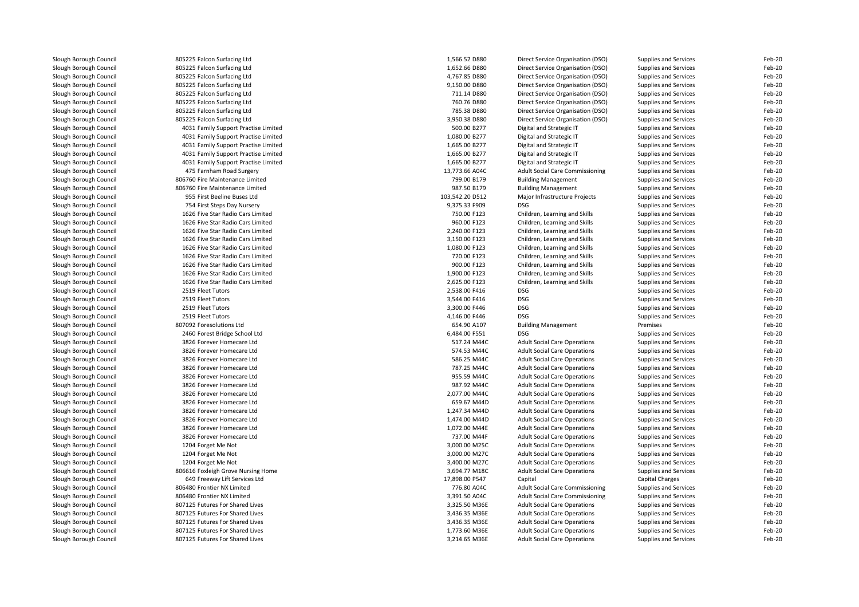| Slough Borough Council | 805225 Falcon Surfacing Ltd          | 1,566.52 D880   | Direct Service Organisation (DSO)   | Supplies and Services | Feb-20 |
|------------------------|--------------------------------------|-----------------|-------------------------------------|-----------------------|--------|
| Slough Borough Council | 805225 Falcon Surfacing Ltd          | 1,652.66 D880   | Direct Service Organisation (DSO)   | Supplies and Services | Feb-20 |
| Slough Borough Council | 805225 Falcon Surfacing Ltd          | 4,767.85 D880   | Direct Service Organisation (DSO)   | Supplies and Services | Feb-20 |
| Slough Borough Council | 805225 Falcon Surfacing Ltd          | 9,150.00 D880   | Direct Service Organisation (DSO)   | Supplies and Services | Feb-20 |
| Slough Borough Council | 805225 Falcon Surfacing Ltd          | 711.14 D880     | Direct Service Organisation (DSO)   | Supplies and Services | Feb-20 |
| Slough Borough Council | 805225 Falcon Surfacing Ltd          | 760.76 D880     | Direct Service Organisation (DSO)   | Supplies and Services | Feb-20 |
| Slough Borough Council | 805225 Falcon Surfacing Ltd          | 785.38 D880     | Direct Service Organisation (DSO)   | Supplies and Services | Feb-20 |
| Slough Borough Council | 805225 Falcon Surfacing Ltd          | 3,950.38 D880   | Direct Service Organisation (DSO)   | Supplies and Services | Feb-20 |
| Slough Borough Council | 4031 Family Support Practise Limited | 500.00 B277     | Digital and Strategic IT            | Supplies and Services | Feb-20 |
| Slough Borough Council | 4031 Family Support Practise Limited | 1,080.00 B277   | Digital and Strategic IT            | Supplies and Services | Feb-20 |
| Slough Borough Council | 4031 Family Support Practise Limited | 1,665.00 B277   | Digital and Strategic IT            | Supplies and Services | Feb-20 |
| Slough Borough Council | 4031 Family Support Practise Limited | 1,665.00 B277   | Digital and Strategic IT            | Supplies and Services | Feb-20 |
| Slough Borough Council | 4031 Family Support Practise Limited | 1,665.00 B277   | Digital and Strategic IT            | Supplies and Services | Feb-20 |
| Slough Borough Council | 475 Farnham Road Surgery             | 13,773.66 A04C  | Adult Social Care Commissioning     | Supplies and Services | Feb-20 |
| Slough Borough Council | 806760 Fire Maintenance Limited      | 799.00 B179     | <b>Building Management</b>          | Supplies and Services | Feb-20 |
| Slough Borough Council | 806760 Fire Maintenance Limited      | 987.50 B179     | <b>Building Management</b>          | Supplies and Services | Feb-20 |
| Slough Borough Council | 955 First Beeline Buses Ltd          | 103,542.20 D512 | Major Infrastructure Projects       | Supplies and Services | Feb-20 |
| Slough Borough Council | 754 First Steps Day Nursery          | 9,375.33 F909   | <b>DSG</b>                          | Supplies and Services | Feb-20 |
| Slough Borough Council | 1626 Five Star Radio Cars Limited    | 750.00 F123     | Children, Learning and Skills       | Supplies and Services | Feb-20 |
| Slough Borough Council | 1626 Five Star Radio Cars Limited    | 960.00 F123     | Children, Learning and Skills       | Supplies and Services | Feb-20 |
| Slough Borough Council | 1626 Five Star Radio Cars Limited    | 2,240.00 F123   | Children, Learning and Skills       | Supplies and Services | Feb-20 |
| Slough Borough Council | 1626 Five Star Radio Cars Limited    | 3,150.00 F123   | Children, Learning and Skills       | Supplies and Services | Feb-20 |
| Slough Borough Council | 1626 Five Star Radio Cars Limited    | 1,080.00 F123   | Children, Learning and Skills       | Supplies and Services | Feb-20 |
| Slough Borough Council | 1626 Five Star Radio Cars Limited    | 720.00 F123     | Children, Learning and Skills       | Supplies and Services | Feb-20 |
| Slough Borough Council | 1626 Five Star Radio Cars Limited    | 900.00 F123     | Children, Learning and Skills       | Supplies and Services | Feb-20 |
| Slough Borough Council | 1626 Five Star Radio Cars Limited    | 1,900.00 F123   | Children, Learning and Skills       |                       | Feb-20 |
|                        |                                      |                 |                                     | Supplies and Services |        |
| Slough Borough Council | 1626 Five Star Radio Cars Limited    | 2,625.00 F123   | Children, Learning and Skills       | Supplies and Services | Feb-20 |
| Slough Borough Council | 2519 Fleet Tutors                    | 2,538.00 F416   | <b>DSG</b>                          | Supplies and Services | Feb-20 |
| Slough Borough Council | 2519 Fleet Tutors                    | 3,544.00 F416   | <b>DSG</b>                          | Supplies and Services | Feb-20 |
| Slough Borough Council | 2519 Fleet Tutors                    | 3,300.00 F446   | <b>DSG</b>                          | Supplies and Services | Feb-20 |
| Slough Borough Council | 2519 Fleet Tutors                    | 4,146.00 F446   | <b>DSG</b>                          | Supplies and Services | Feb-20 |
| Slough Borough Council | 807092 Foresolutions Ltd             | 654.90 A107     | <b>Building Management</b>          | Premises              | Feb-20 |
| Slough Borough Council | 2460 Forest Bridge School Ltd        | 6,484.00 F551   | <b>DSG</b>                          | Supplies and Services | Feb-20 |
| Slough Borough Council | 3826 Forever Homecare Ltd            | 517.24 M44C     | <b>Adult Social Care Operations</b> | Supplies and Services | Feb-20 |
| Slough Borough Council | 3826 Forever Homecare Ltd            | 574.53 M44C     | <b>Adult Social Care Operations</b> | Supplies and Services | Feb-20 |
| Slough Borough Council | 3826 Forever Homecare Ltd            | 586.25 M44C     | <b>Adult Social Care Operations</b> | Supplies and Services | Feb-20 |
| Slough Borough Council | 3826 Forever Homecare Ltd            | 787.25 M44C     | <b>Adult Social Care Operations</b> | Supplies and Services | Feb-20 |
| Slough Borough Council | 3826 Forever Homecare Ltd            | 955.59 M44C     | <b>Adult Social Care Operations</b> | Supplies and Services | Feb-20 |
| Slough Borough Council | 3826 Forever Homecare Ltd            | 987.92 M44C     | <b>Adult Social Care Operations</b> | Supplies and Services | Feb-20 |
| Slough Borough Council | 3826 Forever Homecare Ltd            | 2,077.00 M44C   | <b>Adult Social Care Operations</b> | Supplies and Services | Feb-20 |
| Slough Borough Council | 3826 Forever Homecare Ltd            | 659.67 M44D     | <b>Adult Social Care Operations</b> | Supplies and Services | Feb-20 |
| Slough Borough Council | 3826 Forever Homecare Ltd            | 1,247.34 M44D   | <b>Adult Social Care Operations</b> | Supplies and Services | Feb-20 |
| Slough Borough Council | 3826 Forever Homecare Ltd            | 1,474.00 M44D   | <b>Adult Social Care Operations</b> | Supplies and Services | Feb-20 |
| Slough Borough Council | 3826 Forever Homecare Ltd            | 1.072.00 M44E   | <b>Adult Social Care Operations</b> | Supplies and Services | Feb-20 |
| Slough Borough Council | 3826 Forever Homecare Ltd            | 737.00 M44F     | <b>Adult Social Care Operations</b> | Supplies and Services | Feb-20 |
| Slough Borough Council | 1204 Forget Me Not                   | 3,000.00 M25C   | <b>Adult Social Care Operations</b> | Supplies and Services | Feb-20 |
| Slough Borough Council | 1204 Forget Me Not                   | 3,000.00 M27C   | <b>Adult Social Care Operations</b> | Supplies and Services | Feb-20 |
| Slough Borough Council | 1204 Forget Me Not                   | 3,400.00 M27C   | <b>Adult Social Care Operations</b> | Supplies and Services | Feb-20 |
| Slough Borough Council | 806616 Foxleigh Grove Nursing Home   | 3,694.77 M18C   | <b>Adult Social Care Operations</b> | Supplies and Services | Feb-20 |
| Slough Borough Council | 649 Freeway Lift Services Ltd        | 17,898.00 P547  | Capital                             | Capital Charges       | Feb-20 |
| Slough Borough Council | 806480 Frontier NX Limited           | 776.80 A04C     | Adult Social Care Commissioning     | Supplies and Services | Feb-20 |
| Slough Borough Council | 806480 Frontier NX Limited           | 3,391.50 A04C   | Adult Social Care Commissioning     | Supplies and Services | Feb-20 |
| Slough Borough Council | 807125 Futures For Shared Lives      | 3,325.50 M36E   | <b>Adult Social Care Operations</b> | Supplies and Services | Feb-20 |
| Slough Borough Council | 807125 Futures For Shared Lives      | 3,436.35 M36E   | <b>Adult Social Care Operations</b> | Supplies and Services | Feb-20 |
| Slough Borough Council | 807125 Futures For Shared Lives      | 3,436.35 M36E   | <b>Adult Social Care Operations</b> | Supplies and Services | Feb-20 |
| Slough Borough Council | 807125 Futures For Shared Lives      | 1,773.60 M36E   | <b>Adult Social Care Operations</b> | Supplies and Services | Feb-20 |
| Slough Borough Council | 807125 Futures For Shared Lives      | 3,214.65 M36E   | <b>Adult Social Care Operations</b> | Supplies and Services | Feb-20 |
|                        |                                      |                 |                                     |                       |        |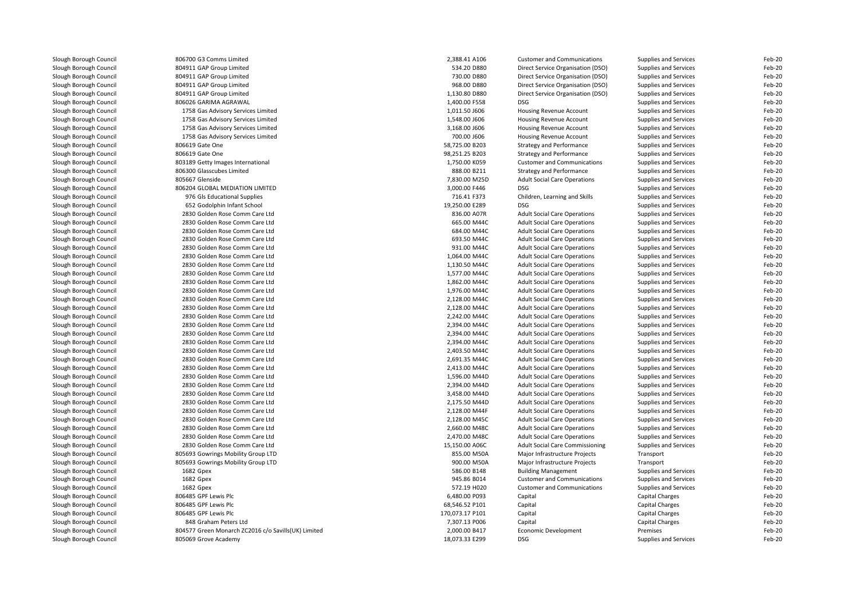| Slough Borough Council                           | 806700 G3 Comms Limited                             | 2,388.41 A106   | <b>Customer and Communications</b>     | Supplies and Services        | Feb-20 |
|--------------------------------------------------|-----------------------------------------------------|-----------------|----------------------------------------|------------------------------|--------|
| Slough Borough Council                           | 804911 GAP Group Limited                            | 534.20 D880     | Direct Service Organisation (DSO)      | Supplies and Services        | Feb-20 |
| Slough Borough Council                           | 804911 GAP Group Limited                            | 730.00 D880     | Direct Service Organisation (DSO)      | <b>Supplies and Services</b> | Feb-20 |
| Slough Borough Council                           | 804911 GAP Group Limited                            | 968.00 D880     | Direct Service Organisation (DSO)      | Supplies and Services        | Feb-20 |
| Slough Borough Council                           | 804911 GAP Group Limited                            | 1,130.80 D880   | Direct Service Organisation (DSO)      | Supplies and Services        | Feb-20 |
| Slough Borough Council                           | 806026 GARIMA AGRAWAL                               | 1,400.00 F558   | <b>DSG</b>                             | Supplies and Services        | Feb-20 |
| Slough Borough Council                           | 1758 Gas Advisory Services Limited                  | 1,011.50 J606   | Housing Revenue Account                | Supplies and Services        | Feb-20 |
| Slough Borough Council                           | 1758 Gas Advisory Services Limited                  | 1,548.00 J606   | Housing Revenue Account                | Supplies and Services        | Feb-20 |
| Slough Borough Council                           | 1758 Gas Advisory Services Limited                  | 3.168.00 J606   | Housing Revenue Account                | Supplies and Services        | Feb-20 |
| Slough Borough Council                           | 1758 Gas Advisory Services Limited                  | 700.00 J606     | Housing Revenue Account                | Supplies and Services        | Feb-20 |
| Slough Borough Council                           | 806619 Gate One                                     | 58,725.00 B203  | <b>Strategy and Performance</b>        | Supplies and Services        | Feb-20 |
| Slough Borough Council                           | 806619 Gate One                                     | 98,251.25 B203  | <b>Strategy and Performance</b>        | Supplies and Services        | Feb-20 |
| Slough Borough Council                           | 803189 Getty Images International                   | 1,750.00 K059   | <b>Customer and Communications</b>     | Supplies and Services        | Feb-20 |
| Slough Borough Council                           | 806300 Glasscubes Limited                           | 888.00 B211     | <b>Strategy and Performance</b>        | Supplies and Services        | Feb-20 |
| Slough Borough Council                           | 805667 Glenside                                     | 7,830.00 M25D   | <b>Adult Social Care Operations</b>    | Supplies and Services        | Feb-20 |
| Slough Borough Council                           | 806204 GLOBAL MEDIATION LIMITED                     | 3,000.00 F446   | <b>DSG</b>                             | Supplies and Services        | Feb-20 |
| Slough Borough Council                           | 976 Gls Educational Supplies                        | 716.41 F373     | Children, Learning and Skills          | Supplies and Services        | Feb-20 |
| Slough Borough Council                           | 652 Godolphin Infant School                         | 19,250.00 E289  | <b>DSG</b>                             | Supplies and Services        | Feb-20 |
| Slough Borough Council                           | 2830 Golden Rose Comm Care Ltd                      | 836.00 A07R     | <b>Adult Social Care Operations</b>    | Supplies and Services        | Feb-20 |
| Slough Borough Council                           | 2830 Golden Rose Comm Care Ltd                      | 665.00 M44C     | <b>Adult Social Care Operations</b>    | Supplies and Services        | Feb-20 |
| Slough Borough Council                           | 2830 Golden Rose Comm Care Ltd                      | 684.00 M44C     | <b>Adult Social Care Operations</b>    | Supplies and Services        | Feb-20 |
| Slough Borough Council                           | 2830 Golden Rose Comm Care Ltd                      | 693.50 M44C     | <b>Adult Social Care Operations</b>    | Supplies and Services        | Feb-20 |
| Slough Borough Council                           | 2830 Golden Rose Comm Care Ltd                      | 931.00 M44C     | <b>Adult Social Care Operations</b>    | Supplies and Services        | Feb-20 |
| Slough Borough Council                           | 2830 Golden Rose Comm Care Ltd                      | 1,064.00 M44C   | <b>Adult Social Care Operations</b>    | Supplies and Services        | Feb-20 |
| Slough Borough Council                           | 2830 Golden Rose Comm Care Ltd                      | 1,130.50 M44C   | <b>Adult Social Care Operations</b>    | Supplies and Services        | Feb-20 |
| Slough Borough Council                           | 2830 Golden Rose Comm Care Ltd                      | 1,577.00 M44C   | <b>Adult Social Care Operations</b>    | Supplies and Services        | Feb-20 |
| Slough Borough Council                           | 2830 Golden Rose Comm Care Ltd                      | 1,862.00 M44C   | <b>Adult Social Care Operations</b>    | Supplies and Services        | Feb-20 |
| Slough Borough Council                           | 2830 Golden Rose Comm Care Ltd                      | 1,976.00 M44C   | <b>Adult Social Care Operations</b>    | Supplies and Services        | Feb-20 |
| Slough Borough Council                           | 2830 Golden Rose Comm Care Ltd                      | 2.128.00 M44C   | <b>Adult Social Care Operations</b>    | Supplies and Services        | Feb-20 |
|                                                  | 2830 Golden Rose Comm Care Ltd                      | 2,128.00 M44C   |                                        |                              | Feb-20 |
| Slough Borough Council<br>Slough Borough Council |                                                     | 2,242.00 M44C   | <b>Adult Social Care Operations</b>    | Supplies and Services        | Feb-20 |
| Slough Borough Council                           | 2830 Golden Rose Comm Care Ltd                      |                 | <b>Adult Social Care Operations</b>    | Supplies and Services        |        |
|                                                  | 2830 Golden Rose Comm Care Ltd                      | 2,394.00 M44C   | <b>Adult Social Care Operations</b>    | Supplies and Services        | Feb-20 |
| Slough Borough Council                           | 2830 Golden Rose Comm Care Ltd                      | 2,394.00 M44C   | <b>Adult Social Care Operations</b>    | Supplies and Services        | Feb-20 |
| Slough Borough Council                           | 2830 Golden Rose Comm Care Ltd                      | 2,394.00 M44C   | <b>Adult Social Care Operations</b>    | Supplies and Services        | Feb-20 |
| Slough Borough Council                           | 2830 Golden Rose Comm Care Ltd                      | 2,403.50 M44C   | <b>Adult Social Care Operations</b>    | Supplies and Services        | Feb-20 |
| Slough Borough Council                           | 2830 Golden Rose Comm Care Ltd                      | 2,691.35 M44C   | <b>Adult Social Care Operations</b>    | Supplies and Services        | Feb-20 |
| Slough Borough Council                           | 2830 Golden Rose Comm Care Ltd                      | 2,413.00 M44C   | <b>Adult Social Care Operations</b>    | Supplies and Services        | Feb-20 |
| Slough Borough Council                           | 2830 Golden Rose Comm Care Ltd                      | 1,596.00 M44D   | <b>Adult Social Care Operations</b>    | Supplies and Services        | Feb-20 |
| Slough Borough Council                           | 2830 Golden Rose Comm Care Ltd                      | 2,394.00 M44D   | <b>Adult Social Care Operations</b>    | Supplies and Services        | Feb-20 |
| Slough Borough Council                           | 2830 Golden Rose Comm Care Ltd                      | 3,458.00 M44D   | <b>Adult Social Care Operations</b>    | Supplies and Services        | Feb-20 |
| Slough Borough Council                           | 2830 Golden Rose Comm Care Ltd                      | 2,175.50 M44D   | <b>Adult Social Care Operations</b>    | Supplies and Services        | Feb-20 |
| Slough Borough Council                           | 2830 Golden Rose Comm Care Ltd                      | 2,128.00 M44F   | <b>Adult Social Care Operations</b>    | Supplies and Services        | Feb-20 |
| Slough Borough Council                           | 2830 Golden Rose Comm Care Ltd                      | 2,128.00 M45C   | <b>Adult Social Care Operations</b>    | Supplies and Services        | Feb-20 |
| Slough Borough Council                           | 2830 Golden Rose Comm Care Ltd                      | 2,660.00 M48C   | <b>Adult Social Care Operations</b>    | Supplies and Services        | Feb-20 |
| Slough Borough Council                           | 2830 Golden Rose Comm Care Ltd                      | 2,470.00 M48C   | <b>Adult Social Care Operations</b>    | Supplies and Services        | Feb-20 |
| Slough Borough Council                           | 2830 Golden Rose Comm Care Ltd                      | 15,150.00 A06C  | <b>Adult Social Care Commissioning</b> | <b>Supplies and Services</b> | Feb-20 |
| Slough Borough Council                           | 805693 Gowrings Mobility Group LTD                  | 855.00 M50A     | Major Infrastructure Projects          | Transport                    | Feb-20 |
| Slough Borough Council                           | 805693 Gowrings Mobility Group LTD                  | 900.00 M50A     | Major Infrastructure Projects          | Transport                    | Feb-20 |
| Slough Borough Council                           | 1682 Gpex                                           | 586.00 B148     | <b>Building Management</b>             | Supplies and Services        | Feb-20 |
| Slough Borough Council                           | 1682 Gpex                                           | 945.86 B014     | <b>Customer and Communications</b>     | Supplies and Services        | Feb-20 |
| Slough Borough Council                           | 1682 Gpex                                           | 572.19 H020     | <b>Customer and Communications</b>     | Supplies and Services        | Feb-20 |
| Slough Borough Council                           | 806485 GPF Lewis Plc                                | 6,480.00 P093   | Capital                                | Capital Charges              | Feb-20 |
| Slough Borough Council                           | 806485 GPF Lewis Plc                                | 68,546.52 P101  | Capital                                | <b>Capital Charges</b>       | Feb-20 |
| Slough Borough Council                           | 806485 GPF Lewis Plc                                | 170,073.17 P101 | Capital                                | Capital Charges              | Feb-20 |
| Slough Borough Council                           | 848 Graham Peters Ltd                               | 7,307.13 P006   | Capital                                | Capital Charges              | Feb-20 |
| Slough Borough Council                           | 804577 Green Monarch ZC2016 c/o Savills(UK) Limited | 2,000.00 B417   | Economic Development                   | Premises                     | Feb-20 |
| Slough Borough Council                           | 805069 Grove Academy                                | 18,073.33 E299  | <b>DSG</b>                             | Supplies and Services        | Feb-20 |
|                                                  |                                                     |                 |                                        |                              |        |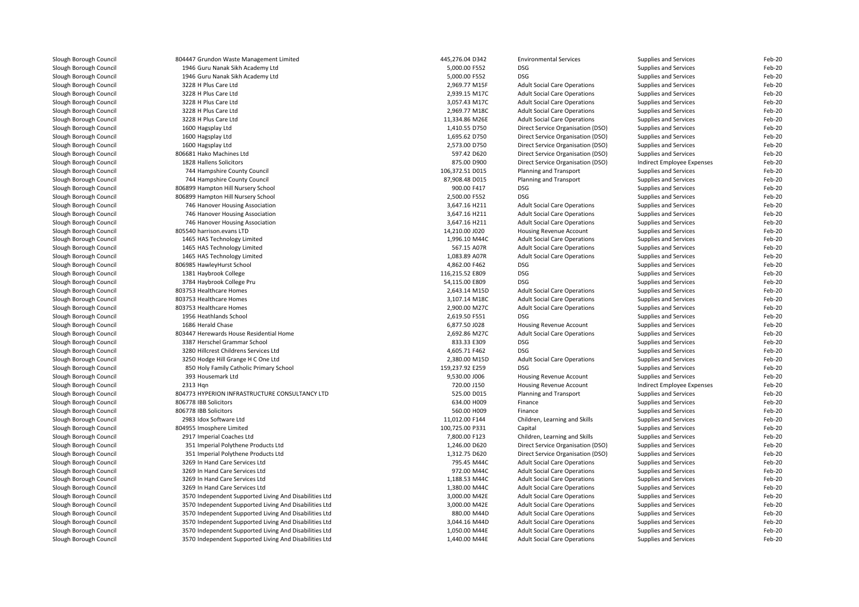| Slough Borough Council | 804447 Grundon Waste Management Limited                | 445,276.04 D342 | <b>Environmental Services</b>                                              | Supplies and Services                          | Feb-20 |
|------------------------|--------------------------------------------------------|-----------------|----------------------------------------------------------------------------|------------------------------------------------|--------|
| Slough Borough Council | 1946 Guru Nanak Sikh Academy Ltd                       | 5,000.00 F552   | <b>DSG</b>                                                                 | Supplies and Services                          | Feb-20 |
| Slough Borough Council | 1946 Guru Nanak Sikh Academy Ltd                       | 5,000.00 F552   | <b>DSG</b>                                                                 | Supplies and Services                          | Feb-20 |
| Slough Borough Council | 3228 H Plus Care Ltd                                   | 2,969.77 M15F   | <b>Adult Social Care Operations</b>                                        | Supplies and Services                          | Feb-20 |
| Slough Borough Council | 3228 H Plus Care Ltd                                   | 2,939.15 M17C   | <b>Adult Social Care Operations</b>                                        | Supplies and Services                          | Feb-20 |
| Slough Borough Council | 3228 H Plus Care Ltd                                   | 3,057.43 M17C   | <b>Adult Social Care Operations</b>                                        | Supplies and Services                          | Feb-20 |
| Slough Borough Council | 3228 H Plus Care Ltd                                   | 2,969.77 M18C   | <b>Adult Social Care Operations</b>                                        | Supplies and Services                          | Feb-20 |
| Slough Borough Council | 3228 H Plus Care Ltd                                   | 11,334.86 M26E  | <b>Adult Social Care Operations</b>                                        | Supplies and Services                          | Feb-20 |
| Slough Borough Council | 1600 Hagsplay Ltd                                      | 1,410.55 D750   | Direct Service Organisation (DSO)                                          | Supplies and Services                          | Feb-20 |
| Slough Borough Council | 1600 Hagsplay Ltd                                      | 1,695.62 D750   | Direct Service Organisation (DSO)                                          | Supplies and Services                          | Feb-20 |
| Slough Borough Council | 1600 Hagsplay Ltd                                      | 2,573.00 D750   | Direct Service Organisation (DSO)                                          | Supplies and Services                          | Feb-20 |
| Slough Borough Council | 806681 Hako Machines Ltd                               | 597.42 D620     | Direct Service Organisation (DSO)                                          | Supplies and Services                          | Feb-20 |
| Slough Borough Council | 1828 Hallens Solicitors                                | 875.00 D900     | Direct Service Organisation (DSO)                                          | Indirect Employee Expenses                     | Feb-20 |
| Slough Borough Council | 744 Hampshire County Council                           | 106,372.51 D015 | Planning and Transport                                                     | Supplies and Services                          | Feb-20 |
| Slough Borough Council | 744 Hampshire County Council                           | 87,908.48 D015  | Planning and Transport                                                     | Supplies and Services                          | Feb-20 |
| Slough Borough Council | 806899 Hampton Hill Nursery School                     | 900.00 F417     | <b>DSG</b>                                                                 | Supplies and Services                          | Feb-20 |
| Slough Borough Council | 806899 Hampton Hill Nursery School                     | 2,500.00 F552   | <b>DSG</b>                                                                 | Supplies and Services                          | Feb-20 |
| Slough Borough Council | 746 Hanover Housing Association                        | 3,647.16 H211   | <b>Adult Social Care Operations</b>                                        | Supplies and Services                          | Feb-20 |
| Slough Borough Council | 746 Hanover Housing Association                        | 3,647.16 H211   | <b>Adult Social Care Operations</b>                                        | Supplies and Services                          | Feb-20 |
|                        |                                                        |                 |                                                                            |                                                | Feb-20 |
| Slough Borough Council | 746 Hanover Housing Association                        | 3,647.16 H211   | <b>Adult Social Care Operations</b>                                        | Supplies and Services                          |        |
| Slough Borough Council | 805540 harrison.evans LTD                              | 14,210.00 J020  | Housing Revenue Account                                                    | Supplies and Services                          | Feb-20 |
| Slough Borough Council | 1465 HAS Technology Limited                            | 1,996.10 M44C   | <b>Adult Social Care Operations</b>                                        | Supplies and Services                          | Feb-20 |
| Slough Borough Council | 1465 HAS Technology Limited                            | 567.15 A07R     | <b>Adult Social Care Operations</b>                                        | Supplies and Services                          | Feb-20 |
| Slough Borough Council | 1465 HAS Technology Limited                            | 1,083.89 A07R   | <b>Adult Social Care Operations</b>                                        | Supplies and Services                          | Feb-20 |
| Slough Borough Council | 806985 HawleyHurst School                              | 4,862.00 F462   | <b>DSG</b>                                                                 | Supplies and Services                          | Feb-20 |
| Slough Borough Council | 1381 Haybrook College                                  | 116,215.52 E809 | <b>DSG</b>                                                                 | Supplies and Services                          | Feb-20 |
| Slough Borough Council | 3784 Haybrook College Pru                              | 54,115.00 E809  | <b>DSG</b>                                                                 | Supplies and Services                          | Feb-20 |
| Slough Borough Council | 803753 Healthcare Homes                                | 2,643.14 M15D   | <b>Adult Social Care Operations</b>                                        | Supplies and Services                          | Feb-20 |
| Slough Borough Council | 803753 Healthcare Homes                                | 3,107.14 M18C   | <b>Adult Social Care Operations</b>                                        | Supplies and Services                          | Feb-20 |
| Slough Borough Council | 803753 Healthcare Homes                                | 2,900.00 M27C   | <b>Adult Social Care Operations</b>                                        | Supplies and Services                          | Feb-20 |
| Slough Borough Council | 1956 Heathlands School                                 | 2,619.50 F551   | <b>DSG</b>                                                                 | Supplies and Services                          | Feb-20 |
| Slough Borough Council | 1686 Herald Chase                                      | 6,877.50 J028   | Housing Revenue Account                                                    | Supplies and Services                          | Feb-20 |
| Slough Borough Council | 803447 Herewards House Residential Home                | 2,692.86 M27C   | <b>Adult Social Care Operations</b>                                        | Supplies and Services                          | Feb-20 |
| Slough Borough Council | 3387 Herschel Grammar School                           | 833.33 E309     | <b>DSG</b>                                                                 | Supplies and Services                          | Feb-20 |
| Slough Borough Council | 3280 Hillcrest Childrens Services Ltd                  | 4,605.71 F462   | <b>DSG</b>                                                                 | Supplies and Services                          | Feb-20 |
| Slough Borough Council | 3250 Hodge Hill Grange H C One Ltd                     | 2,380.00 M15D   | <b>Adult Social Care Operations</b>                                        | Supplies and Services                          | Feb-20 |
| Slough Borough Council | 850 Holy Family Catholic Primary School                | 159,237.92 E259 | <b>DSG</b>                                                                 | Supplies and Services                          | Feb-20 |
| Slough Borough Council | 393 Housemark Ltd                                      | 9,530.00 J006   | Housing Revenue Account                                                    | Supplies and Services                          | Feb-20 |
| Slough Borough Council | 2313 Han                                               | 720.00 J150     | <b>Housing Revenue Account</b>                                             | Indirect Employee Expenses                     | Feb-20 |
| Slough Borough Council | 804773 HYPERION INFRASTRUCTURE CONSULTANCY LTD         | 525.00 D015     | Planning and Transport                                                     | Supplies and Services                          | Feb-20 |
| Slough Borough Council | 806778 IBB Solicitors                                  | 634.00 H009     | Finance                                                                    | Supplies and Services                          | Feb-20 |
| Slough Borough Council | 806778 IBB Solicitors                                  | 560.00 H009     | Finance                                                                    | Supplies and Services                          | Feb-20 |
| Slough Borough Council | 2983 Idox Software Ltd                                 | 11,012.00 F144  | Children, Learning and Skills                                              | Supplies and Services                          | Feb-20 |
| Slough Borough Council | 804955 Imosphere Limited                               | 100,725.00 P331 | Capital                                                                    | Supplies and Services                          | Feb-20 |
| Slough Borough Council | 2917 Imperial Coaches Ltd                              | 7,800.00 F123   | Children, Learning and Skills                                              | Supplies and Services                          | Feb-20 |
| Slough Borough Council | 351 Imperial Polythene Products Ltd                    | 1,246.00 D620   | Direct Service Organisation (DSO)                                          | Supplies and Services                          | Feb-20 |
| Slough Borough Council | 351 Imperial Polythene Products Ltd                    | 1,312.75 D620   | Direct Service Organisation (DSO)                                          | Supplies and Services                          | Feb-20 |
| Slough Borough Council | 3269 In Hand Care Services Ltd                         | 795.45 M44C     | <b>Adult Social Care Operations</b>                                        | Supplies and Services                          | Feb-20 |
| Slough Borough Council | 3269 In Hand Care Services Ltd                         | 972.00 M44C     | <b>Adult Social Care Operations</b>                                        | Supplies and Services                          | Feb-20 |
| Slough Borough Council | 3269 In Hand Care Services Ltd                         | 1,188.53 M44C   | <b>Adult Social Care Operations</b>                                        | Supplies and Services                          | Feb-20 |
| Slough Borough Council | 3269 In Hand Care Services Ltd                         | 1,380.00 M44C   |                                                                            |                                                | Feb-20 |
| Slough Borough Council | 3570 Independent Supported Living And Disabilities Ltd | 3,000.00 M42E   | <b>Adult Social Care Operations</b><br><b>Adult Social Care Operations</b> | Supplies and Services<br>Supplies and Services | Feb-20 |
| Slough Borough Council |                                                        | 3,000.00 M42E   |                                                                            |                                                |        |
|                        | 3570 Independent Supported Living And Disabilities Ltd |                 | <b>Adult Social Care Operations</b>                                        | Supplies and Services                          | Feb-20 |
| Slough Borough Council | 3570 Independent Supported Living And Disabilities Ltd | 880.00 M44D     | <b>Adult Social Care Operations</b>                                        | Supplies and Services                          | Feb-20 |
| Slough Borough Council | 3570 Independent Supported Living And Disabilities Ltd | 3,044.16 M44D   | <b>Adult Social Care Operations</b>                                        | Supplies and Services                          | Feb-20 |
| Slough Borough Council | 3570 Independent Supported Living And Disabilities Ltd | 1,050.00 M44E   | <b>Adult Social Care Operations</b>                                        | Supplies and Services                          | Feb-20 |
| Slough Borough Council | 3570 Independent Supported Living And Disabilities Ltd | 1,440.00 M44E   | <b>Adult Social Care Operations</b>                                        | Supplies and Services                          | Feb-20 |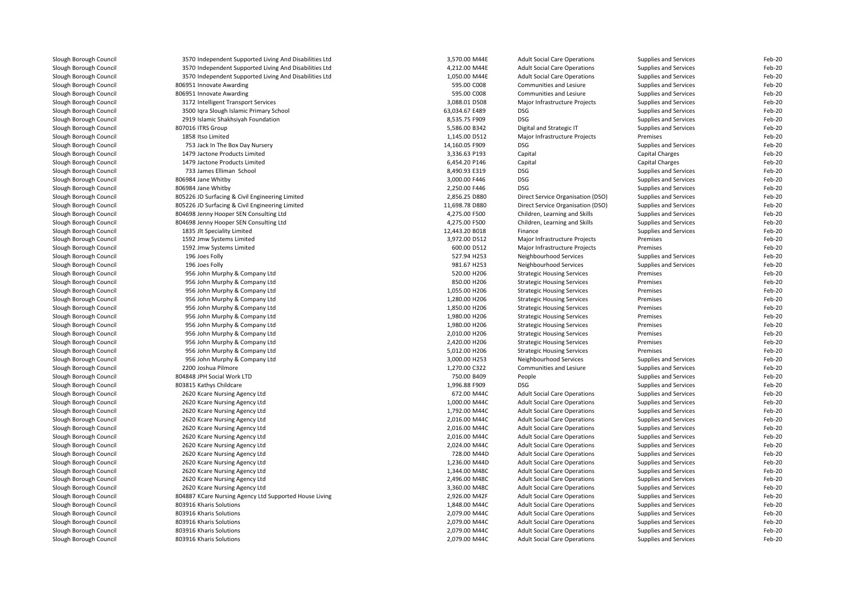| Slough Borough Council                           | 3570 Independent Supported Living And Disabilities Ltd | 3,570.00 M44E  | <b>Adult Social Care Operations</b> | Supplies and Services                          | Feb-20 |
|--------------------------------------------------|--------------------------------------------------------|----------------|-------------------------------------|------------------------------------------------|--------|
| Slough Borough Council                           | 3570 Independent Supported Living And Disabilities Ltd | 4,212.00 M44E  | <b>Adult Social Care Operations</b> | Supplies and Services                          | Feb-20 |
| Slough Borough Council                           | 3570 Independent Supported Living And Disabilities Ltd | 1,050.00 M44E  | <b>Adult Social Care Operations</b> | Supplies and Services                          | Feb-20 |
| Slough Borough Council                           | 806951 Innovate Awarding                               | 595.00 C008    | Communities and Lesiure             | Supplies and Services                          | Feb-20 |
| Slough Borough Council                           | 806951 Innovate Awarding                               | 595.00 C008    | <b>Communities and Lesiure</b>      | Supplies and Services                          | Feb-20 |
| Slough Borough Council                           | 3172 Intelligent Transport Services                    | 3,088.01 D508  | Major Infrastructure Projects       | Supplies and Services                          | Feb-20 |
| Slough Borough Council                           | 3500 Igra Slough Islamic Primary School                | 63,034.67 E489 | <b>DSG</b>                          | Supplies and Services                          | Feb-20 |
| Slough Borough Council                           | 2919 Islamic Shakhsiyah Foundation                     | 8,535.75 F909  | <b>DSG</b>                          | Supplies and Services                          | Feb-20 |
| Slough Borough Council                           | 807016 ITRS Group                                      | 5,586.00 B342  | Digital and Strategic IT            | Supplies and Services                          | Feb-20 |
| Slough Borough Council                           | 1858 Itso Limited                                      | 1,145.00 D512  | Major Infrastructure Projects       | Premises                                       | Feb-20 |
| Slough Borough Council                           | 753 Jack In The Box Day Nursery                        | 14,160.05 F909 | <b>DSG</b>                          | Supplies and Services                          | Feb-20 |
| Slough Borough Council                           | 1479 Jactone Products Limited                          | 3,336.63 P193  | Capital                             | Capital Charges                                | Feb-20 |
| Slough Borough Council                           | 1479 Jactone Products Limited                          | 6,454.20 P146  | Capital                             | Capital Charges                                | Feb-20 |
|                                                  | 733 James Elliman School                               | 8,490.93 E319  | <b>DSG</b>                          | Supplies and Services                          | Feb-20 |
| Slough Borough Council<br>Slough Borough Council | 806984 Jane Whitby                                     | 3,000.00 F446  | <b>DSG</b>                          |                                                | Feb-20 |
| Slough Borough Council                           | 806984 Jane Whitby                                     | 2,250.00 F446  | <b>DSG</b>                          | Supplies and Services<br>Supplies and Services | Feb-20 |
|                                                  |                                                        |                |                                     |                                                |        |
| Slough Borough Council                           | 805226 JD Surfacing & Civil Engineering Limited        | 2,856.25 D880  | Direct Service Organisation (DSO)   | Supplies and Services                          | Feb-20 |
| Slough Borough Council                           | 805226 JD Surfacing & Civil Engineering Limited        | 11,698.78 D880 | Direct Service Organisation (DSO)   | Supplies and Services                          | Feb-20 |
| Slough Borough Council                           | 804698 Jenny Hooper SEN Consulting Ltd                 | 4,275.00 F500  | Children, Learning and Skills       | Supplies and Services                          | Feb-20 |
| Slough Borough Council                           | 804698 Jenny Hooper SEN Consulting Ltd                 | 4,275.00 F500  | Children, Learning and Skills       | Supplies and Services                          | Feb-20 |
| Slough Borough Council                           | 1835 Jlt Speciality Limited                            | 12,443.20 B018 | Finance                             | Supplies and Services                          | Feb-20 |
| Slough Borough Council                           | 1592 Jmw Systems Limited                               | 3,972.00 D512  | Major Infrastructure Projects       | Premises                                       | Feb-20 |
| Slough Borough Council                           | 1592 Jmw Systems Limited                               | 600.00 D512    | Major Infrastructure Projects       | Premises                                       | Feb-20 |
| Slough Borough Council                           | 196 Joes Folly                                         | 527.94 H253    | Neighbourhood Services              | Supplies and Services                          | Feb-20 |
| Slough Borough Council                           | 196 Joes Folly                                         | 981.67 H253    | Neighbourhood Services              | Supplies and Services                          | Feb-20 |
| Slough Borough Council                           | 956 John Murphy & Company Ltd                          | 520.00 H206    | <b>Strategic Housing Services</b>   | Premises                                       | Feb-20 |
| Slough Borough Council                           | 956 John Murphy & Company Ltd                          | 850.00 H206    | <b>Strategic Housing Services</b>   | Premises                                       | Feb-20 |
| Slough Borough Council                           | 956 John Murphy & Company Ltd                          | 1,055.00 H206  | <b>Strategic Housing Services</b>   | Premises                                       | Feb-20 |
| Slough Borough Council                           | 956 John Murphy & Company Ltd                          | 1,280.00 H206  | <b>Strategic Housing Services</b>   | Premises                                       | Feb-20 |
| Slough Borough Council                           | 956 John Murphy & Company Ltd                          | 1,850.00 H206  | <b>Strategic Housing Services</b>   | Premises                                       | Feb-20 |
| Slough Borough Council                           | 956 John Murphy & Company Ltd                          | 1,980.00 H206  | <b>Strategic Housing Services</b>   | Premises                                       | Feb-20 |
| Slough Borough Council                           | 956 John Murphy & Company Ltd                          | 1,980.00 H206  | <b>Strategic Housing Services</b>   | Premises                                       | Feb-20 |
| Slough Borough Council                           | 956 John Murphy & Company Ltd                          | 2,010.00 H206  | <b>Strategic Housing Services</b>   | Premises                                       | Feb-20 |
| Slough Borough Council                           | 956 John Murphy & Company Ltd                          | 2,420.00 H206  | <b>Strategic Housing Services</b>   | Premises                                       | Feb-20 |
| Slough Borough Council                           | 956 John Murphy & Company Ltd                          | 5,012.00 H206  | <b>Strategic Housing Services</b>   | Premises                                       | Feb-20 |
| Slough Borough Council                           | 956 John Murphy & Company Ltd                          | 3,000.00 H253  | Neighbourhood Services              | Supplies and Services                          | Feb-20 |
| Slough Borough Council                           | 2200 Joshua Pilmore                                    | 1,270.00 C322  | Communities and Lesiure             | Supplies and Services                          | Feb-20 |
| Slough Borough Council                           | 804848 JPH Social Work LTD                             | 750.00 B409    | People                              | Supplies and Services                          | Feb-20 |
| Slough Borough Council                           | 803815 Kathys Childcare                                | 1,996.88 F909  | <b>DSG</b>                          | Supplies and Services                          | Feb-20 |
| Slough Borough Council                           | 2620 Kcare Nursing Agency Ltd                          | 672.00 M44C    | <b>Adult Social Care Operations</b> | Supplies and Services                          | Feb-20 |
| Slough Borough Council                           | 2620 Kcare Nursing Agency Ltd                          | 1,000.00 M44C  | <b>Adult Social Care Operations</b> | Supplies and Services                          | Feb-20 |
| Slough Borough Council                           | 2620 Kcare Nursing Agency Ltd                          | 1,792.00 M44C  | <b>Adult Social Care Operations</b> | Supplies and Services                          | Feb-20 |
| Slough Borough Council                           | 2620 Kcare Nursing Agency Ltd                          | 2,016.00 M44C  | <b>Adult Social Care Operations</b> | Supplies and Services                          | Feb-20 |
| Slough Borough Council                           | 2620 Kcare Nursing Agency Ltd                          | 2,016.00 M44C  | <b>Adult Social Care Operations</b> | Supplies and Services                          | Feb-20 |
| Slough Borough Council                           | 2620 Kcare Nursing Agency Ltd                          | 2,016.00 M44C  | <b>Adult Social Care Operations</b> | Supplies and Services                          | Feb-20 |
| Slough Borough Council                           | 2620 Kcare Nursing Agency Ltd                          | 2,024.00 M44C  | <b>Adult Social Care Operations</b> | Supplies and Services                          | Feb-20 |
| Slough Borough Council                           | 2620 Kcare Nursing Agency Ltd                          | 728.00 M44D    | <b>Adult Social Care Operations</b> | Supplies and Services                          | Feb-20 |
| Slough Borough Council                           | 2620 Kcare Nursing Agency Ltd                          | 1,236.00 M44D  | <b>Adult Social Care Operations</b> | Supplies and Services                          | Feb-20 |
| Slough Borough Council                           | 2620 Kcare Nursing Agency Ltd                          | 1,344.00 M48C  | <b>Adult Social Care Operations</b> | Supplies and Services                          | Feb-20 |
| Slough Borough Council                           | 2620 Kcare Nursing Agency Ltd                          | 2,496.00 M48C  | <b>Adult Social Care Operations</b> | Supplies and Services                          | Feb-20 |
| Slough Borough Council                           | 2620 Kcare Nursing Agency Ltd                          | 3,360.00 M48C  | <b>Adult Social Care Operations</b> | Supplies and Services                          | Feb-20 |
| Slough Borough Council                           | 804887 KCare Nursing Agency Ltd Supported House Living | 2,926.00 M42F  | <b>Adult Social Care Operations</b> | Supplies and Services                          | Feb-20 |
| Slough Borough Council                           | 803916 Kharis Solutions                                | 1,848.00 M44C  | <b>Adult Social Care Operations</b> | Supplies and Services                          | Feb-20 |
| Slough Borough Council                           | 803916 Kharis Solutions                                | 2,079.00 M44C  |                                     |                                                | Feb-20 |
|                                                  | 803916 Kharis Solutions                                | 2,079.00 M44C  | <b>Adult Social Care Operations</b> | Supplies and Services                          | Feb-20 |
| Slough Borough Council                           |                                                        |                | <b>Adult Social Care Operations</b> | <b>Supplies and Services</b>                   |        |
| Slough Borough Council                           | 803916 Kharis Solutions                                | 2,079.00 M44C  | <b>Adult Social Care Operations</b> | Supplies and Services                          | Feb-20 |
| Slough Borough Council                           | 803916 Kharis Solutions                                | 2,079.00 M44C  | <b>Adult Social Care Operations</b> | Supplies and Services                          | Feb-20 |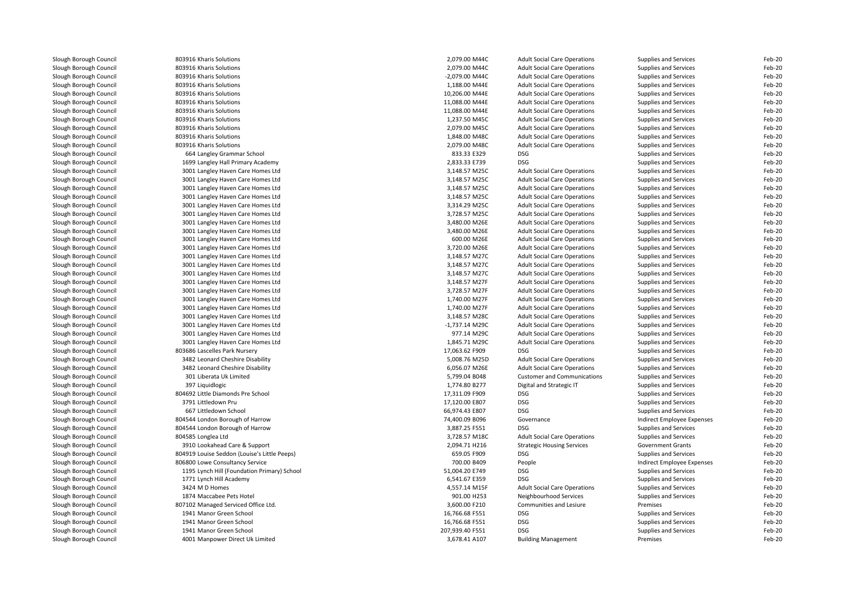| Slough Borough Council                           | 803916 Kharis Solutions                      | 2,079.00 M44C    | <b>Adult Social Care Operations</b> | Supplies and Services                          | Feb-20 |
|--------------------------------------------------|----------------------------------------------|------------------|-------------------------------------|------------------------------------------------|--------|
| Slough Borough Council                           | 803916 Kharis Solutions                      | 2,079.00 M44C    | <b>Adult Social Care Operations</b> | Supplies and Services                          | Feb-20 |
| Slough Borough Council                           | 803916 Kharis Solutions                      | -2,079.00 M44C   | <b>Adult Social Care Operations</b> | Supplies and Services                          | Feb-20 |
| Slough Borough Council                           | 803916 Kharis Solutions                      | 1,188.00 M44E    | <b>Adult Social Care Operations</b> | Supplies and Services                          | Feb-20 |
| Slough Borough Council                           | 803916 Kharis Solutions                      | 10,206.00 M44E   | <b>Adult Social Care Operations</b> | Supplies and Services                          | Feb-20 |
| Slough Borough Council                           | 803916 Kharis Solutions                      | 11,088.00 M44E   | <b>Adult Social Care Operations</b> | Supplies and Services                          | Feb-20 |
| Slough Borough Council                           | 803916 Kharis Solutions                      | 11,088.00 M44E   | <b>Adult Social Care Operations</b> | Supplies and Services                          | Feb-20 |
| Slough Borough Council                           | 803916 Kharis Solutions                      | 1,237.50 M45C    | <b>Adult Social Care Operations</b> | Supplies and Services                          | Feb-20 |
| Slough Borough Council                           | 803916 Kharis Solutions                      | 2.079.00 M45C    | <b>Adult Social Care Operations</b> | Supplies and Services                          | Feb-20 |
| Slough Borough Council                           | 803916 Kharis Solutions                      | 1,848.00 M48C    | <b>Adult Social Care Operations</b> | Supplies and Services                          | Feb-20 |
| Slough Borough Council                           | 803916 Kharis Solutions                      | 2,079.00 M48C    | <b>Adult Social Care Operations</b> | Supplies and Services                          | Feb-20 |
| Slough Borough Council                           | 664 Langley Grammar School                   | 833.33 E329      | <b>DSG</b>                          | Supplies and Services                          | Feb-20 |
| Slough Borough Council                           | 1699 Langley Hall Primary Academy            | 2,833.33 E739    | <b>DSG</b>                          | Supplies and Services                          | Feb-20 |
| Slough Borough Council                           | 3001 Langley Haven Care Homes Ltd            | 3,148.57 M25C    | <b>Adult Social Care Operations</b> | Supplies and Services                          | Feb-20 |
| Slough Borough Council                           | 3001 Langley Haven Care Homes Ltd            | 3,148.57 M25C    | <b>Adult Social Care Operations</b> | Supplies and Services                          | Feb-20 |
| Slough Borough Council                           | 3001 Langley Haven Care Homes Ltd            | 3,148.57 M25C    | <b>Adult Social Care Operations</b> | Supplies and Services                          | Feb-20 |
| Slough Borough Council                           | 3001 Langley Haven Care Homes Ltd            | 3,148.57 M25C    | <b>Adult Social Care Operations</b> | Supplies and Services                          | Feb-20 |
| Slough Borough Council                           | 3001 Langley Haven Care Homes Ltd            | 3,314.29 M25C    | <b>Adult Social Care Operations</b> | Supplies and Services                          | Feb-20 |
| Slough Borough Council                           | 3001 Langley Haven Care Homes Ltd            | 3,728.57 M25C    | <b>Adult Social Care Operations</b> | Supplies and Services                          | Feb-20 |
| Slough Borough Council                           | 3001 Langley Haven Care Homes Ltd            | 3,480.00 M26E    | <b>Adult Social Care Operations</b> | Supplies and Services                          | Feb-20 |
| Slough Borough Council                           | 3001 Langley Haven Care Homes Ltd            | 3,480.00 M26E    | <b>Adult Social Care Operations</b> | Supplies and Services                          | Feb-20 |
| Slough Borough Council                           | 3001 Langley Haven Care Homes Ltd            | 600.00 M26E      | <b>Adult Social Care Operations</b> | Supplies and Services                          | Feb-20 |
| Slough Borough Council                           | 3001 Langley Haven Care Homes Ltd            | 3,720.00 M26E    | <b>Adult Social Care Operations</b> | Supplies and Services                          | Feb-20 |
| Slough Borough Council                           | 3001 Langley Haven Care Homes Ltd            | 3,148.57 M27C    | <b>Adult Social Care Operations</b> | Supplies and Services                          | Feb-20 |
| Slough Borough Council                           | 3001 Langley Haven Care Homes Ltd            | 3,148.57 M27C    | <b>Adult Social Care Operations</b> | Supplies and Services                          | Feb-20 |
| Slough Borough Council                           | 3001 Langley Haven Care Homes Ltd            | 3,148.57 M27C    | <b>Adult Social Care Operations</b> | Supplies and Services                          | Feb-20 |
| Slough Borough Council                           | 3001 Langley Haven Care Homes Ltd            | 3,148.57 M27F    | <b>Adult Social Care Operations</b> | Supplies and Services                          | Feb-20 |
| Slough Borough Council                           | 3001 Langley Haven Care Homes Ltd            | 3,728.57 M27F    | <b>Adult Social Care Operations</b> | Supplies and Services                          | Feb-20 |
| Slough Borough Council                           | 3001 Langley Haven Care Homes Ltd            | 1.740.00 M27F    | <b>Adult Social Care Operations</b> | Supplies and Services                          | Feb-20 |
|                                                  | 3001 Langley Haven Care Homes Ltd            | 1,740.00 M27F    | <b>Adult Social Care Operations</b> |                                                | Feb-20 |
| Slough Borough Council<br>Slough Borough Council | 3001 Langley Haven Care Homes Ltd            | 3,148.57 M28C    | <b>Adult Social Care Operations</b> | Supplies and Services<br>Supplies and Services | Feb-20 |
| Slough Borough Council                           |                                              | $-1,737.14$ M29C | <b>Adult Social Care Operations</b> |                                                | Feb-20 |
|                                                  | 3001 Langley Haven Care Homes Ltd            | 977.14 M29C      |                                     | Supplies and Services                          | Feb-20 |
| Slough Borough Council                           | 3001 Langley Haven Care Homes Ltd            |                  | <b>Adult Social Care Operations</b> | Supplies and Services                          |        |
| Slough Borough Council                           | 3001 Langley Haven Care Homes Ltd            | 1,845.71 M29C    | <b>Adult Social Care Operations</b> | Supplies and Services                          | Feb-20 |
| Slough Borough Council                           | 803686 Lascelles Park Nursery                | 17,063.62 F909   | <b>DSG</b>                          | Supplies and Services                          | Feb-20 |
| Slough Borough Council                           | 3482 Leonard Cheshire Disability             | 5,008.76 M25D    | <b>Adult Social Care Operations</b> | Supplies and Services                          | Feb-20 |
| Slough Borough Council                           | 3482 Leonard Cheshire Disability             | 6,056.07 M26E    | <b>Adult Social Care Operations</b> | Supplies and Services                          | Feb-20 |
| Slough Borough Council                           | 301 Liberata Uk Limited                      | 5,799.04 B048    | <b>Customer and Communications</b>  | Supplies and Services                          | Feb-20 |
| Slough Borough Council                           | 397 Liquidlogic                              | 1,774.80 B277    | Digital and Strategic IT            | Supplies and Services                          | Feb-20 |
| Slough Borough Council                           | 804692 Little Diamonds Pre School            | 17,311.09 F909   | <b>DSG</b>                          | Supplies and Services                          | Feb-20 |
| Slough Borough Council                           | 3791 Littledown Pru                          | 17,120.00 E807   | <b>DSG</b>                          | Supplies and Services                          | Feb-20 |
| Slough Borough Council                           | 667 Littledown School                        | 66,974.43 E807   | <b>DSG</b>                          | Supplies and Services                          | Feb-20 |
| Slough Borough Council                           | 804544 London Borough of Harrow              | 74,400.09 B096   | Governance                          | Indirect Employee Expenses                     | Feb-20 |
| Slough Borough Council                           | 804544 London Borough of Harrow              | 3,887.25 F551    | <b>DSG</b>                          | Supplies and Services                          | Feb-20 |
| Slough Borough Council                           | 804585 Longlea Ltd                           | 3,728.57 M18C    | <b>Adult Social Care Operations</b> | Supplies and Services                          | Feb-20 |
| Slough Borough Council                           | 3910 Lookahead Care & Support                | 2,094.71 H216    | <b>Strategic Housing Services</b>   | Government Grants                              | Feb-20 |
| Slough Borough Council                           | 804919 Louise Seddon (Louise's Little Peeps) | 659.05 F909      | DSG                                 | Supplies and Services                          | Feb-20 |
| Slough Borough Council                           | 806800 Lowe Consultancy Service              | 700.00 B409      | People                              | Indirect Employee Expenses                     | Feb-20 |
| Slough Borough Council                           | 1195 Lynch Hill (Foundation Primary) School  | 51,004.20 E749   | <b>DSG</b>                          | Supplies and Services                          | Feb-20 |
| Slough Borough Council                           | 1771 Lynch Hill Academy                      | 6,541.67 E359    | <b>DSG</b>                          | Supplies and Services                          | Feb-20 |
| Slough Borough Council                           | 3424 M D Homes                               | 4,557.14 M15F    | <b>Adult Social Care Operations</b> | Supplies and Services                          | Feb-20 |
| Slough Borough Council                           | 1874 Maccabee Pets Hotel                     | 901.00 H253      | Neighbourhood Services              | Supplies and Services                          | Feb-20 |
| Slough Borough Council                           | 807102 Managed Serviced Office Ltd.          | 3,600.00 F210    | <b>Communities and Lesiure</b>      | Premises                                       | Feb-20 |
| Slough Borough Council                           | 1941 Manor Green School                      | 16,766.68 F551   | <b>DSG</b>                          | Supplies and Services                          | Feb-20 |
| Slough Borough Council                           | 1941 Manor Green School                      | 16,766.68 F551   | <b>DSG</b>                          | Supplies and Services                          | Feb-20 |
| Slough Borough Council                           | 1941 Manor Green School                      | 207,939.40 F551  | <b>DSG</b>                          | Supplies and Services                          | Feb-20 |
| Slough Borough Council                           | 4001 Manpower Direct Uk Limited              | 3,678.41 A107    | <b>Building Management</b>          | Premises                                       | Feb-20 |
|                                                  |                                              |                  |                                     |                                                |        |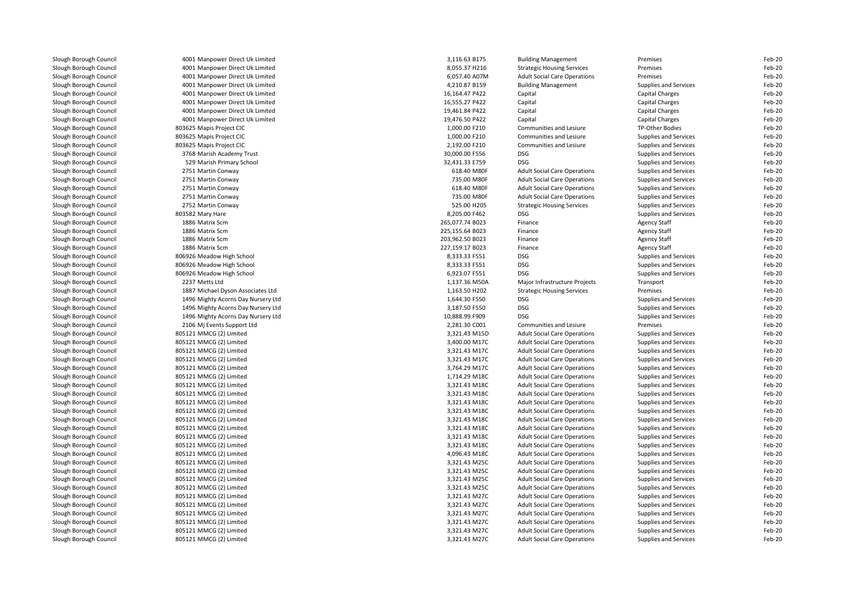| Slough Borough Council | 4001 Manpower Direct Uk Limited    | 3,116.63 B175   | <b>Building Management</b>          | Premises               | Feb-20 |
|------------------------|------------------------------------|-----------------|-------------------------------------|------------------------|--------|
| Slough Borough Council | 4001 Manpower Direct Uk Limited    | 8,055.37 H216   | <b>Strategic Housing Services</b>   | Premises               | Feb-20 |
| Slough Borough Council | 4001 Manpower Direct Uk Limited    | 6,057.40 A07M   | <b>Adult Social Care Operations</b> | Premises               | Feb-20 |
| Slough Borough Council | 4001 Manpower Direct Uk Limited    | 4,210.87 B159   | <b>Building Management</b>          | Supplies and Services  | Feb-20 |
| Slough Borough Council | 4001 Manpower Direct Uk Limited    | 16,164.47 P422  | Capital                             | Capital Charges        | Feb-20 |
| Slough Borough Council | 4001 Manpower Direct Uk Limited    | 16,555.27 P422  | Capital                             | Capital Charges        | Feb-20 |
| Slough Borough Council | 4001 Manpower Direct Uk Limited    | 19,461.84 P422  | Capital                             | Capital Charges        | Feb-20 |
| Slough Borough Council | 4001 Manpower Direct Uk Limited    | 19,476.50 P422  | Capital                             | Capital Charges        | Feb-20 |
| Slough Borough Council | 803625 Mapis Project CIC           | 1.000.00 F210   | Communities and Lesiure             | <b>TP-Other Bodies</b> | Feb-20 |
|                        |                                    |                 |                                     |                        |        |
| Slough Borough Council | 803625 Mapis Project CIC           | 1,000.00 F210   | Communities and Lesiure             | Supplies and Services  | Feb-20 |
| Slough Borough Council | 803625 Mapis Project CIC           | 2,192.00 F210   | Communities and Lesiure             | Supplies and Services  | Feb-20 |
| Slough Borough Council | 3768 Marish Academy Trust          | 30,000.00 F556  | <b>DSG</b>                          | Supplies and Services  | Feb-20 |
| Slough Borough Council | 529 Marish Primary School          | 32,431.33 E759  | <b>DSG</b>                          | Supplies and Services  | Feb-20 |
| Slough Borough Council | 2751 Martin Conway                 | 618.40 M80F     | <b>Adult Social Care Operations</b> | Supplies and Services  | Feb-20 |
| Slough Borough Council | 2751 Martin Conway                 | 735.00 M80F     | <b>Adult Social Care Operations</b> | Supplies and Services  | Feb-20 |
| Slough Borough Council | 2751 Martin Conway                 | 618.40 M80F     | <b>Adult Social Care Operations</b> | Supplies and Services  | Feb-20 |
| Slough Borough Council | 2751 Martin Conway                 | 735.00 M80F     | <b>Adult Social Care Operations</b> | Supplies and Services  | Feb-20 |
| Slough Borough Council | 2752 Martin Conway                 | 525.00 H205     | <b>Strategic Housing Services</b>   | Supplies and Services  | Feb-20 |
| Slough Borough Council | 803582 Mary Hare                   | 8,205.00 F462   | <b>DSG</b>                          | Supplies and Services  | Feb-20 |
| Slough Borough Council | 1886 Matrix Scm                    | 265,077.74 B023 | Finance                             | <b>Agency Staff</b>    | Feb-20 |
| Slough Borough Council | 1886 Matrix Scm                    | 225,155.64 B023 | Finance                             | <b>Agency Staff</b>    | Feb-20 |
| Slough Borough Council | 1886 Matrix Scm                    | 203,962.50 B023 | Finance                             | <b>Agency Staff</b>    | Feb-20 |
| Slough Borough Council | 1886 Matrix Scm                    | 227,159.17 B023 | Finance                             | <b>Agency Staff</b>    | Feb-20 |
| Slough Borough Council | 806926 Meadow High School          | 8,333.33 F551   | <b>DSG</b>                          | Supplies and Services  | Feb-20 |
| Slough Borough Council | 806926 Meadow High School          | 8,333.33 F551   | <b>DSG</b>                          | Supplies and Services  | Feb-20 |
| Slough Borough Council | 806926 Meadow High School          | 6,923.07 F551   | <b>DSG</b>                          | Supplies and Services  | Feb-20 |
| Slough Borough Council | 2237 Metts Ltd                     | 1,137.36 M50A   | Major Infrastructure Projects       | Transport              | Feb-20 |
| Slough Borough Council | 1887 Michael Dyson Associates Ltd  | 1,163.50 H202   | <b>Strategic Housing Services</b>   | Premises               | Feb-20 |
| Slough Borough Council | 1496 Mighty Acorns Day Nursery Ltd | 1,644.30 F550   | <b>DSG</b>                          | Supplies and Services  | Feb-20 |
| Slough Borough Council | 1496 Mighty Acorns Day Nursery Ltd | 3,187.50 F550   | <b>DSG</b>                          | Supplies and Services  | Feb-20 |
| Slough Borough Council | 1496 Mighty Acorns Day Nursery Ltd | 10,888.99 F909  | <b>DSG</b>                          | Supplies and Services  | Feb-20 |
| Slough Borough Council | 2106 Mj Events Support Ltd         | 2,281.30 C001   | Communities and Lesiure             | Premises               | Feb-20 |
| Slough Borough Council | 805121 MMCG (2) Limited            | 3,321.43 M15D   | <b>Adult Social Care Operations</b> | Supplies and Services  | Feb-20 |
| Slough Borough Council | 805121 MMCG (2) Limited            | 3,400.00 M17C   | <b>Adult Social Care Operations</b> | Supplies and Services  | Feb-20 |
| Slough Borough Council | 805121 MMCG (2) Limited            | 3,321.43 M17C   | <b>Adult Social Care Operations</b> | Supplies and Services  | Feb-20 |
| Slough Borough Council | 805121 MMCG (2) Limited            | 3,321.43 M17C   | <b>Adult Social Care Operations</b> | Supplies and Services  | Feb-20 |
| Slough Borough Council | 805121 MMCG (2) Limited            | 3,764.29 M17C   | <b>Adult Social Care Operations</b> | Supplies and Services  | Feb-20 |
| Slough Borough Council |                                    | 1,714.29 M18C   |                                     |                        | Feb-20 |
|                        | 805121 MMCG (2) Limited            |                 | <b>Adult Social Care Operations</b> | Supplies and Services  |        |
| Slough Borough Council | 805121 MMCG (2) Limited            | 3,321.43 M18C   | <b>Adult Social Care Operations</b> | Supplies and Services  | Feb-20 |
| Slough Borough Council | 805121 MMCG (2) Limited            | 3,321.43 M18C   | <b>Adult Social Care Operations</b> | Supplies and Services  | Feb-20 |
| Slough Borough Council | 805121 MMCG (2) Limited            | 3,321.43 M18C   | <b>Adult Social Care Operations</b> | Supplies and Services  | Feb-20 |
| Slough Borough Council | 805121 MMCG (2) Limited            | 3,321.43 M18C   | <b>Adult Social Care Operations</b> | Supplies and Services  | Feb-20 |
| Slough Borough Council | 805121 MMCG (2) Limited            | 3,321.43 M18C   | <b>Adult Social Care Operations</b> | Supplies and Services  | Feb-20 |
| Slough Borough Council | 805121 MMCG (2) Limited            | 3,321.43 M18C   | <b>Adult Social Care Operations</b> | Supplies and Services  | Feb-20 |
| Slough Borough Council | 805121 MMCG (2) Limited            | 3,321.43 M18C   | <b>Adult Social Care Operations</b> | Supplies and Services  | Feb-20 |
| Slough Borough Council | 805121 MMCG (2) Limited            | 3,321.43 M18C   | <b>Adult Social Care Operations</b> | Supplies and Services  | Feb-20 |
| Slough Borough Council | 805121 MMCG (2) Limited            | 4,096.43 M18C   | <b>Adult Social Care Operations</b> | Supplies and Services  | Feb-20 |
| Slough Borough Council | 805121 MMCG (2) Limited            | 3,321.43 M25C   | <b>Adult Social Care Operations</b> | Supplies and Services  | Feb-20 |
| Slough Borough Council | 805121 MMCG (2) Limited            | 3,321.43 M25C   | <b>Adult Social Care Operations</b> | Supplies and Services  | Feb-20 |
| Slough Borough Council | 805121 MMCG (2) Limited            | 3,321.43 M25C   | <b>Adult Social Care Operations</b> | Supplies and Services  | Feb-20 |
| Slough Borough Council | 805121 MMCG (2) Limited            | 3,321.43 M25C   | <b>Adult Social Care Operations</b> | Supplies and Services  | Feb-20 |
| Slough Borough Council | 805121 MMCG (2) Limited            | 3,321.43 M27C   | <b>Adult Social Care Operations</b> | Supplies and Services  | Feb-20 |
| Slough Borough Council | 805121 MMCG (2) Limited            | 3,321.43 M27C   | <b>Adult Social Care Operations</b> | Supplies and Services  | Feb-20 |
| Slough Borough Council | 805121 MMCG (2) Limited            | 3,321.43 M27C   | <b>Adult Social Care Operations</b> | Supplies and Services  | Feb-20 |
| Slough Borough Council | 805121 MMCG (2) Limited            | 3,321.43 M27C   | <b>Adult Social Care Operations</b> | Supplies and Services  | Feb-20 |
| Slough Borough Council | 805121 MMCG (2) Limited            | 3,321.43 M27C   | <b>Adult Social Care Operations</b> | Supplies and Services  | Feb-20 |
| Slough Borough Council | 805121 MMCG (2) Limited            | 3,321.43 M27C   | <b>Adult Social Care Operations</b> | Supplies and Services  | Feb-20 |
|                        |                                    |                 |                                     |                        |        |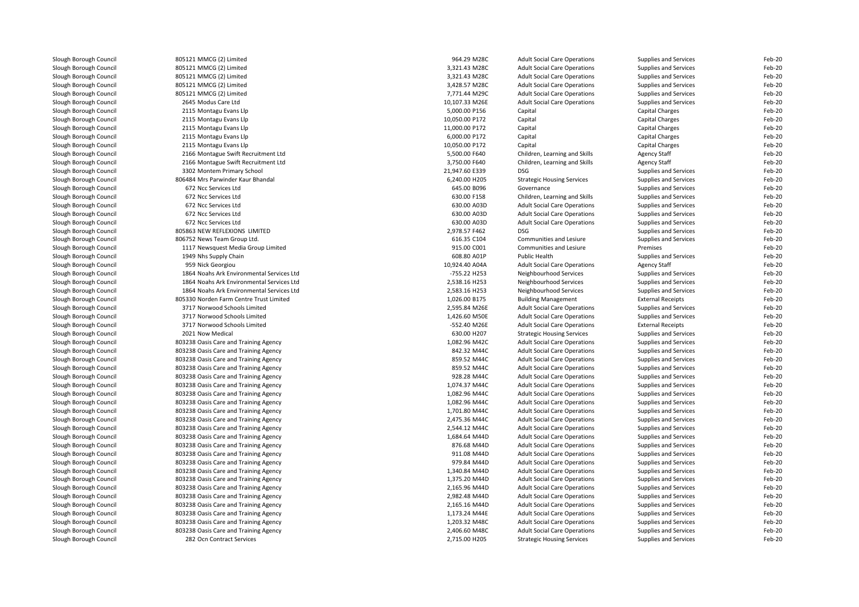| Slough Borough Council | 805121 MMCG (2) Limited                   | 964.29 M28C    | <b>Adult Social Care Operations</b> | Supplies and Services                          | Feb-20 |
|------------------------|-------------------------------------------|----------------|-------------------------------------|------------------------------------------------|--------|
| Slough Borough Council | 805121 MMCG (2) Limited                   | 3,321.43 M28C  | <b>Adult Social Care Operations</b> | <b>Supplies and Services</b>                   | Feb-20 |
| Slough Borough Council | 805121 MMCG (2) Limited                   | 3,321.43 M28C  | <b>Adult Social Care Operations</b> | Supplies and Services                          | Feb-20 |
| Slough Borough Council | 805121 MMCG (2) Limited                   | 3,428.57 M28C  | <b>Adult Social Care Operations</b> | Supplies and Services                          | Feb-20 |
| Slough Borough Council | 805121 MMCG (2) Limited                   | 7,771.44 M29C  | <b>Adult Social Care Operations</b> | Supplies and Services                          | Feb-20 |
| Slough Borough Council | 2645 Modus Care Ltd                       | 10,107.33 M26E | <b>Adult Social Care Operations</b> | Supplies and Services                          | Feb-20 |
| Slough Borough Council | 2115 Montagu Evans Llp                    | 5,000.00 P156  | Capital                             | Capital Charges                                | Feb-20 |
| Slough Borough Council | 2115 Montagu Evans Llp                    | 10,050.00 P172 | Capital                             | Capital Charges                                | Feb-20 |
| Slough Borough Council | 2115 Montagu Evans Llp                    | 11,000.00 P172 | Capital                             | Capital Charges                                | Feb-20 |
| Slough Borough Council | 2115 Montagu Evans Llp                    | 6,000.00 P172  | Capital                             | <b>Capital Charges</b>                         | Feb-20 |
| Slough Borough Council | 2115 Montagu Evans Llp                    | 10,050.00 P172 | Capital                             | Capital Charges                                | Feb-20 |
| Slough Borough Council | 2166 Montague Swift Recruitment Ltd       | 5,500.00 F640  | Children, Learning and Skills       | Agency Staff                                   | Feb-20 |
| Slough Borough Council | 2166 Montague Swift Recruitment Ltd       | 3,750.00 F640  | Children, Learning and Skills       | <b>Agency Staff</b>                            | Feb-20 |
| Slough Borough Council | 3302 Montem Primary School                | 21,947.60 E339 | <b>DSG</b>                          | Supplies and Services                          | Feb-20 |
| Slough Borough Council | 806484 Mrs Parwinder Kaur Bhandal         | 6,240.00 H205  | <b>Strategic Housing Services</b>   | <b>Supplies and Services</b>                   | Feb-20 |
| Slough Borough Council | 672 Ncc Services Ltd                      | 645.00 B096    | Governance                          | Supplies and Services                          | Feb-20 |
| Slough Borough Council | 672 Ncc Services Ltd                      | 630.00 F158    | Children, Learning and Skills       | Supplies and Services                          | Feb-20 |
| Slough Borough Council | 672 Ncc Services Ltd                      | 630.00 A03D    | <b>Adult Social Care Operations</b> |                                                | Feb-20 |
|                        |                                           |                |                                     | Supplies and Services                          |        |
| Slough Borough Council | 672 Ncc Services Ltd                      | 630.00 A03D    | <b>Adult Social Care Operations</b> | Supplies and Services                          | Feb-20 |
| Slough Borough Council | 672 Ncc Services Ltd                      | 630.00 A03D    | <b>Adult Social Care Operations</b> | Supplies and Services                          | Feb-20 |
| Slough Borough Council | 805863 NEW REFLEXIONS LIMITED             | 2,978.57 F462  | <b>DSG</b>                          | Supplies and Services                          | Feb-20 |
| Slough Borough Council | 806752 News Team Group Ltd.               | 616.35 C104    | Communities and Lesiure             | Supplies and Services                          | Feb-20 |
| Slough Borough Council | 1117 Newsquest Media Group Limited        | 915.00 C001    | Communities and Lesiure             | Premises                                       | Feb-20 |
| Slough Borough Council | 1949 Nhs Supply Chain                     | 608.80 A01P    | <b>Public Health</b>                | Supplies and Services                          | Feb-20 |
| Slough Borough Council | 959 Nick Georgiou                         | 10,924.40 A04A | <b>Adult Social Care Operations</b> | <b>Agency Staff</b>                            | Feb-20 |
| Slough Borough Council | 1864 Noahs Ark Environmental Services Ltd | -755.22 H253   | Neighbourhood Services              | Supplies and Services                          | Feb-20 |
| Slough Borough Council | 1864 Noahs Ark Environmental Services Ltd | 2,538.16 H253  | Neighbourhood Services              | Supplies and Services                          | Feb-20 |
| Slough Borough Council | 1864 Noahs Ark Environmental Services Ltd | 2,583.16 H253  | Neighbourhood Services              | Supplies and Services                          | Feb-20 |
| Slough Borough Council | 805330 Norden Farm Centre Trust Limited   | 1,026.00 B175  | <b>Building Management</b>          | <b>External Receipts</b>                       | Feb-20 |
| Slough Borough Council | 3717 Norwood Schools Limited              | 2,595.84 M26E  | <b>Adult Social Care Operations</b> | Supplies and Services                          | Feb-20 |
| Slough Borough Council | 3717 Norwood Schools Limited              | 1,426.60 M50E  | <b>Adult Social Care Operations</b> | Supplies and Services                          | Feb-20 |
| Slough Borough Council | 3717 Norwood Schools Limited              | -552.40 M26E   | <b>Adult Social Care Operations</b> | <b>External Receipts</b>                       | Feb-20 |
| Slough Borough Council | 2021 Now Medical                          | 630.00 H207    | <b>Strategic Housing Services</b>   | Supplies and Services                          | Feb-20 |
| Slough Borough Council | 803238 Oasis Care and Training Agency     | 1,082.96 M42C  | <b>Adult Social Care Operations</b> | Supplies and Services                          | Feb-20 |
| Slough Borough Council | 803238 Oasis Care and Training Agency     | 842.32 M44C    | <b>Adult Social Care Operations</b> | Supplies and Services                          | Feb-20 |
| Slough Borough Council | 803238 Oasis Care and Training Agency     | 859.52 M44C    | <b>Adult Social Care Operations</b> | Supplies and Services                          | Feb-20 |
| Slough Borough Council | 803238 Oasis Care and Training Agency     | 859.52 M44C    | <b>Adult Social Care Operations</b> | Supplies and Services                          | Feb-20 |
| Slough Borough Council | 803238 Oasis Care and Training Agency     | 928.28 M44C    | <b>Adult Social Care Operations</b> | Supplies and Services                          | Feb-20 |
| Slough Borough Council | 803238 Oasis Care and Training Agency     | 1,074.37 M44C  | <b>Adult Social Care Operations</b> | Supplies and Services                          | Feb-20 |
| Slough Borough Council | 803238 Oasis Care and Training Agency     | 1,082.96 M44C  | <b>Adult Social Care Operations</b> | Supplies and Services                          | Feb-20 |
| Slough Borough Council | 803238 Oasis Care and Training Agency     | 1,082.96 M44C  | <b>Adult Social Care Operations</b> | <b>Supplies and Services</b>                   | Feb-20 |
| Slough Borough Council | 803238 Oasis Care and Training Agency     | 1,701.80 M44C  | <b>Adult Social Care Operations</b> | Supplies and Services                          | Feb-20 |
| Slough Borough Council | 803238 Oasis Care and Training Agency     | 2,475.36 M44C  | <b>Adult Social Care Operations</b> | Supplies and Services                          | Feb-20 |
| Slough Borough Council | 803238 Oasis Care and Training Agency     | 2,544.12 M44C  | <b>Adult Social Care Operations</b> | Supplies and Services                          | Feb-20 |
| Slough Borough Council | 803238 Oasis Care and Training Agency     | 1,684.64 M44D  | <b>Adult Social Care Operations</b> | Supplies and Services                          | Feb-20 |
| Slough Borough Council | 803238 Oasis Care and Training Agency     | 876.68 M44D    | <b>Adult Social Care Operations</b> | Supplies and Services                          | Feb-20 |
| Slough Borough Council | 803238 Oasis Care and Training Agency     | 911.08 M44D    | <b>Adult Social Care Operations</b> | Supplies and Services                          | Feb-20 |
| Slough Borough Council | 803238 Oasis Care and Training Agency     | 979.84 M44D    | <b>Adult Social Care Operations</b> | Supplies and Services                          | Feb-20 |
| Slough Borough Council | 803238 Oasis Care and Training Agency     | 1,340.84 M44D  | <b>Adult Social Care Operations</b> | Supplies and Services                          | Feb-20 |
| Slough Borough Council | 803238 Oasis Care and Training Agency     | 1,375.20 M44D  | <b>Adult Social Care Operations</b> | Supplies and Services                          | Feb-20 |
| Slough Borough Council | 803238 Oasis Care and Training Agency     | 2,165.96 M44D  | <b>Adult Social Care Operations</b> | Supplies and Services                          | Feb-20 |
| Slough Borough Council | 803238 Oasis Care and Training Agency     | 2,982.48 M44D  | <b>Adult Social Care Operations</b> | Supplies and Services                          | Feb-20 |
| Slough Borough Council | 803238 Oasis Care and Training Agency     | 2,165.16 M44D  | <b>Adult Social Care Operations</b> |                                                | Feb-20 |
| Slough Borough Council | 803238 Oasis Care and Training Agency     | 1,173.24 M44E  | <b>Adult Social Care Operations</b> | Supplies and Services<br>Supplies and Services | Feb-20 |
|                        |                                           |                |                                     |                                                | Feb-20 |
| Slough Borough Council | 803238 Oasis Care and Training Agency     | 1,203.32 M48C  | <b>Adult Social Care Operations</b> | Supplies and Services                          |        |
| Slough Borough Council | 803238 Oasis Care and Training Agency     | 2,406.60 M48C  | <b>Adult Social Care Operations</b> | Supplies and Services                          | Feb-20 |
| Slough Borough Council | 282 Ocn Contract Services                 | 2,715.00 H205  | <b>Strategic Housing Services</b>   | Supplies and Services                          | Feb-20 |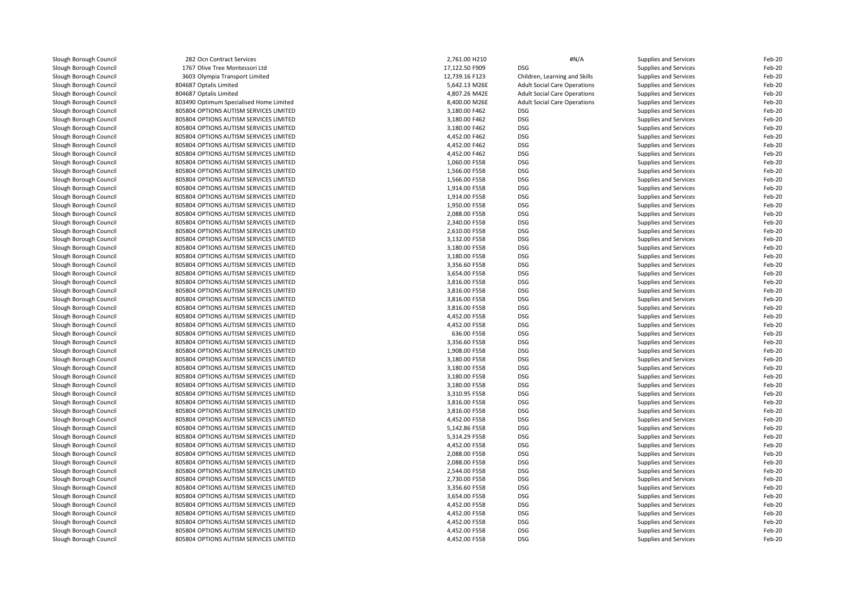| Slough Borough Council | 282 Ocn Contract Services               | 2,761.00 H210  | #N/A                                | Supplies and Services        | Feb-20 |
|------------------------|-----------------------------------------|----------------|-------------------------------------|------------------------------|--------|
| Slough Borough Council | 1767 Olive Tree Montessori Ltd          | 17,122.50 F909 | <b>DSG</b>                          | Supplies and Services        | Feb-20 |
| Slough Borough Council | 3603 Olympia Transport Limited          | 12,739.16 F123 | Children, Learning and Skills       | Supplies and Services        | Feb-20 |
| Slough Borough Council | 804687 Optalis Limited                  | 5,642.13 M26E  | <b>Adult Social Care Operations</b> | Supplies and Services        | Feb-20 |
| Slough Borough Council | 804687 Optalis Limited                  | 4,807.26 M42E  | <b>Adult Social Care Operations</b> | Supplies and Services        | Feb-20 |
| Slough Borough Council | 803490 Optimum Specialised Home Limited | 8,400.00 M26E  | <b>Adult Social Care Operations</b> | <b>Supplies and Services</b> | Feb-20 |
| Slough Borough Council | 805804 OPTIONS AUTISM SERVICES LIMITED  | 3,180.00 F462  | <b>DSG</b>                          | Supplies and Services        | Feb-20 |
| Slough Borough Council | 805804 OPTIONS AUTISM SERVICES LIMITED  | 3,180.00 F462  | <b>DSG</b>                          | Supplies and Services        | Feb-20 |
| Slough Borough Council | 805804 OPTIONS AUTISM SERVICES LIMITED  | 3.180.00 F462  | <b>DSG</b>                          | Supplies and Services        | Feb-20 |
| Slough Borough Council | 805804 OPTIONS AUTISM SERVICES LIMITED  | 4,452.00 F462  | <b>DSG</b>                          | Supplies and Services        | Feb-20 |
| Slough Borough Council | 805804 OPTIONS AUTISM SERVICES LIMITED  | 4,452.00 F462  | <b>DSG</b>                          | Supplies and Services        | Feb-20 |
| Slough Borough Council | 805804 OPTIONS AUTISM SERVICES LIMITED  | 4,452.00 F462  | <b>DSG</b>                          | Supplies and Services        | Feb-20 |
| Slough Borough Council | 805804 OPTIONS AUTISM SERVICES LIMITED  | 1,060.00 F558  | <b>DSG</b>                          | Supplies and Services        | Feb-20 |
| Slough Borough Council | 805804 OPTIONS AUTISM SERVICES LIMITED  | 1,566.00 F558  | <b>DSG</b>                          | Supplies and Services        | Feb-20 |
| Slough Borough Council | 805804 OPTIONS AUTISM SERVICES LIMITED  | 1,566.00 F558  | <b>DSG</b>                          | Supplies and Services        | Feb-20 |
| Slough Borough Council | 805804 OPTIONS AUTISM SERVICES LIMITED  | 1,914.00 F558  | <b>DSG</b>                          | Supplies and Services        | Feb-20 |
| Slough Borough Council | 805804 OPTIONS AUTISM SERVICES LIMITED  | 1,914.00 F558  | <b>DSG</b>                          | Supplies and Services        | Feb-20 |
| Slough Borough Council | 805804 OPTIONS AUTISM SERVICES LIMITED  | 1,950.00 F558  | <b>DSG</b>                          | Supplies and Services        | Feb-20 |
| Slough Borough Council | 805804 OPTIONS AUTISM SERVICES LIMITED  | 2,088.00 F558  | <b>DSG</b>                          | Supplies and Services        | Feb-20 |
| Slough Borough Council | 805804 OPTIONS AUTISM SERVICES LIMITED  | 2,340.00 F558  | <b>DSG</b>                          | Supplies and Services        | Feb-20 |
| Slough Borough Council | 805804 OPTIONS AUTISM SERVICES LIMITED  | 2,610.00 F558  | <b>DSG</b>                          | Supplies and Services        | Feb-20 |
| Slough Borough Council | 805804 OPTIONS AUTISM SERVICES LIMITED  | 3,132.00 F558  | <b>DSG</b>                          | Supplies and Services        | Feb-20 |
| Slough Borough Council | 805804 OPTIONS AUTISM SERVICES LIMITED  | 3,180.00 F558  | <b>DSG</b>                          | Supplies and Services        | Feb-20 |
| Slough Borough Council | 805804 OPTIONS AUTISM SERVICES LIMITED  | 3,180.00 F558  | <b>DSG</b>                          | Supplies and Services        | Feb-20 |
| Slough Borough Council | 805804 OPTIONS AUTISM SERVICES LIMITED  | 3,356.60 F558  | <b>DSG</b>                          | Supplies and Services        | Feb-20 |
| Slough Borough Council | 805804 OPTIONS AUTISM SERVICES LIMITED  | 3,654.00 F558  | <b>DSG</b>                          | Supplies and Services        | Feb-20 |
| Slough Borough Council | 805804 OPTIONS AUTISM SERVICES LIMITED  | 3,816.00 F558  | <b>DSG</b>                          | Supplies and Services        | Feb-20 |
| Slough Borough Council | 805804 OPTIONS AUTISM SERVICES LIMITED  | 3,816.00 F558  | <b>DSG</b>                          | Supplies and Services        | Feb-20 |
| Slough Borough Council | 805804 OPTIONS AUTISM SERVICES LIMITED  | 3,816.00 F558  | <b>DSG</b>                          | Supplies and Services        | Feb-20 |
|                        |                                         | 3,816.00 F558  | <b>DSG</b>                          |                              |        |
| Slough Borough Council | 805804 OPTIONS AUTISM SERVICES LIMITED  |                |                                     | Supplies and Services        | Feb-20 |
| Slough Borough Council | 805804 OPTIONS AUTISM SERVICES LIMITED  | 4,452.00 F558  | <b>DSG</b>                          | Supplies and Services        | Feb-20 |
| Slough Borough Council | 805804 OPTIONS AUTISM SERVICES LIMITED  | 4,452.00 F558  | <b>DSG</b>                          | Supplies and Services        | Feb-20 |
| Slough Borough Council | 805804 OPTIONS AUTISM SERVICES LIMITED  | 636.00 F558    | <b>DSG</b>                          | Supplies and Services        | Feb-20 |
| Slough Borough Council | 805804 OPTIONS AUTISM SERVICES LIMITED  | 3,356.60 F558  | <b>DSG</b>                          | Supplies and Services        | Feb-20 |
| Slough Borough Council | 805804 OPTIONS AUTISM SERVICES LIMITED  | 1,908.00 F558  | <b>DSG</b>                          | Supplies and Services        | Feb-20 |
| Slough Borough Council | 805804 OPTIONS AUTISM SERVICES LIMITED  | 3,180.00 F558  | <b>DSG</b>                          | Supplies and Services        | Feb-20 |
| Slough Borough Council | 805804 OPTIONS AUTISM SERVICES LIMITED  | 3,180.00 F558  | <b>DSG</b>                          | Supplies and Services        | Feb-20 |
| Slough Borough Council | 805804 OPTIONS AUTISM SERVICES LIMITED  | 3,180.00 F558  | <b>DSG</b>                          | Supplies and Services        | Feb-20 |
| Slough Borough Council | 805804 OPTIONS AUTISM SERVICES LIMITED  | 3,180.00 F558  | <b>DSG</b>                          | Supplies and Services        | Feb-20 |
| Slough Borough Council | 805804 OPTIONS AUTISM SERVICES LIMITED  | 3,310.95 F558  | <b>DSG</b>                          | Supplies and Services        | Feb-20 |
| Slough Borough Council | 805804 OPTIONS AUTISM SERVICES LIMITED  | 3,816.00 F558  | <b>DSG</b>                          | Supplies and Services        | Feb-20 |
| Slough Borough Council | 805804 OPTIONS AUTISM SERVICES LIMITED  | 3,816.00 F558  | <b>DSG</b>                          | Supplies and Services        | Feb-20 |
| Slough Borough Council | 805804 OPTIONS AUTISM SERVICES LIMITED  | 4,452.00 F558  | <b>DSG</b>                          | Supplies and Services        | Feb-20 |
| Slough Borough Council | 805804 OPTIONS AUTISM SERVICES LIMITED  | 5,142.86 F558  | <b>DSG</b>                          | Supplies and Services        | Feb-20 |
| Slough Borough Council | 805804 OPTIONS AUTISM SERVICES LIMITED  | 5,314.29 F558  | <b>DSG</b>                          | Supplies and Services        | Feb-20 |
| Slough Borough Council | 805804 OPTIONS AUTISM SERVICES LIMITED  | 4,452.00 F558  | <b>DSG</b>                          | Supplies and Services        | Feb-20 |
| Slough Borough Council | 805804 OPTIONS AUTISM SERVICES LIMITED  | 2,088.00 F558  | <b>DSG</b>                          | Supplies and Services        | Feb-20 |
| Slough Borough Council | 805804 OPTIONS AUTISM SERVICES LIMITED  | 2,088.00 F558  | <b>DSG</b>                          | Supplies and Services        | Feb-20 |
| Slough Borough Council | 805804 OPTIONS AUTISM SERVICES LIMITED  | 2,544.00 F558  | <b>DSG</b>                          | Supplies and Services        | Feb-20 |
| Slough Borough Council | 805804 OPTIONS AUTISM SERVICES LIMITED  | 2,730.00 F558  | <b>DSG</b>                          | Supplies and Services        | Feb-20 |
| Slough Borough Council | 805804 OPTIONS AUTISM SERVICES LIMITED  | 3,356.60 F558  | <b>DSG</b>                          | Supplies and Services        | Feb-20 |
| Slough Borough Council | 805804 OPTIONS AUTISM SERVICES LIMITED  | 3,654.00 F558  | <b>DSG</b>                          | Supplies and Services        | Feb-20 |
| Slough Borough Council | 805804 OPTIONS AUTISM SERVICES LIMITED  | 4,452.00 F558  | <b>DSG</b>                          | Supplies and Services        | Feb-20 |
| Slough Borough Council | 805804 OPTIONS AUTISM SERVICES LIMITED  | 4,452.00 F558  | <b>DSG</b>                          | Supplies and Services        | Feb-20 |
| Slough Borough Council | 805804 OPTIONS AUTISM SERVICES LIMITED  | 4,452.00 F558  | <b>DSG</b>                          | Supplies and Services        | Feb-20 |
| Slough Borough Council | 805804 OPTIONS AUTISM SERVICES LIMITED  | 4,452.00 F558  | <b>DSG</b>                          | Supplies and Services        | Feb-20 |
| Slough Borough Council | 805804 OPTIONS AUTISM SERVICES LIMITED  | 4,452.00 F558  | <b>DSG</b>                          | Supplies and Services        | Feb-20 |
|                        |                                         |                |                                     |                              |        |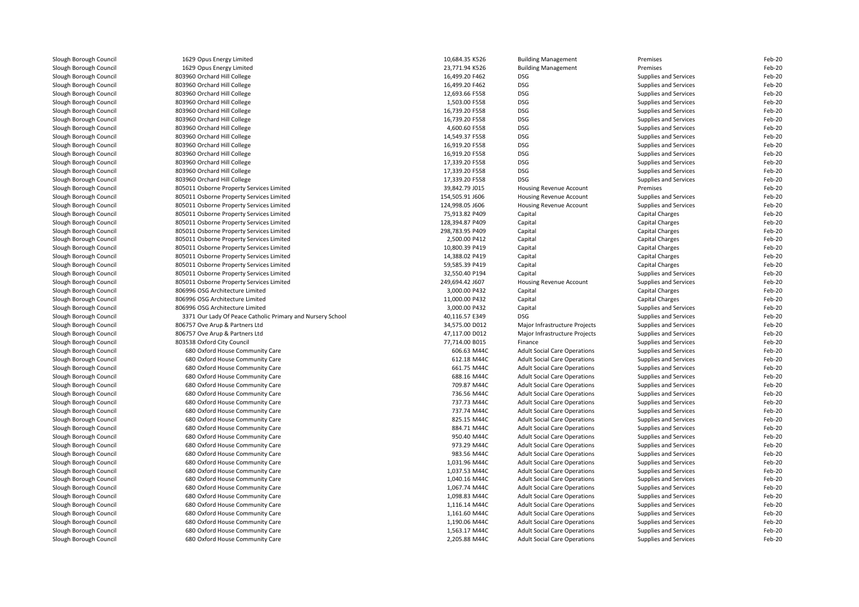| Slough Borough Council | 1629 Opus Energy Limited                                   | 10,684.35 K526  | <b>Building Management</b>          | Premises               | Feb-20 |
|------------------------|------------------------------------------------------------|-----------------|-------------------------------------|------------------------|--------|
| Slough Borough Council | 1629 Opus Energy Limited                                   | 23,771.94 K526  | <b>Building Management</b>          | Premises               | Feb-20 |
| Slough Borough Council | 803960 Orchard Hill College                                | 16,499.20 F462  | DSG                                 | Supplies and Services  | Feb-20 |
| Slough Borough Council | 803960 Orchard Hill College                                | 16,499.20 F462  | <b>DSG</b>                          | Supplies and Services  | Feb-20 |
| Slough Borough Council | 803960 Orchard Hill College                                | 12,693.66 F558  | <b>DSG</b>                          | Supplies and Services  | Feb-20 |
| Slough Borough Council | 803960 Orchard Hill College                                | 1,503.00 F558   | <b>DSG</b>                          | Supplies and Services  | Feb-20 |
| Slough Borough Council | 803960 Orchard Hill College                                | 16,739.20 F558  | <b>DSG</b>                          | Supplies and Services  | Feb-20 |
| Slough Borough Council | 803960 Orchard Hill College                                | 16,739.20 F558  | <b>DSG</b>                          | Supplies and Services  | Feb-20 |
| Slough Borough Council | 803960 Orchard Hill College                                | 4,600.60 F558   | <b>DSG</b>                          | Supplies and Services  | Feb-20 |
| Slough Borough Council | 803960 Orchard Hill College                                | 14,549.37 F558  | <b>DSG</b>                          | Supplies and Services  | Feb-20 |
| Slough Borough Council | 803960 Orchard Hill College                                | 16,919.20 F558  | <b>DSG</b>                          | Supplies and Services  | Feb-20 |
| Slough Borough Council | 803960 Orchard Hill College                                | 16,919.20 F558  | <b>DSG</b>                          | Supplies and Services  | Feb-20 |
| Slough Borough Council | 803960 Orchard Hill College                                | 17,339.20 F558  | <b>DSG</b>                          | Supplies and Services  | Feb-20 |
| Slough Borough Council | 803960 Orchard Hill College                                | 17,339.20 F558  | <b>DSG</b>                          | Supplies and Services  | Feb-20 |
| Slough Borough Council | 803960 Orchard Hill College                                | 17,339.20 F558  | <b>DSG</b>                          | Supplies and Services  | Feb-20 |
| Slough Borough Council | 805011 Osborne Property Services Limited                   | 39,842.79 J015  | <b>Housing Revenue Account</b>      | Premises               | Feb-20 |
| Slough Borough Council | 805011 Osborne Property Services Limited                   | 154,505.91 J606 | Housing Revenue Account             | Supplies and Services  | Feb-20 |
| Slough Borough Council | 805011 Osborne Property Services Limited                   | 124,998.05 J606 | Housing Revenue Account             | Supplies and Services  | Feb-20 |
| Slough Borough Council | 805011 Osborne Property Services Limited                   | 75.913.82 P409  | Capital                             | Capital Charges        | Feb-20 |
| Slough Borough Council | 805011 Osborne Property Services Limited                   | 128,394.87 P409 | Capital                             | <b>Capital Charges</b> | Feb-20 |
| Slough Borough Council | 805011 Osborne Property Services Limited                   | 298,783.95 P409 | Capital                             | <b>Capital Charges</b> | Feb-20 |
| Slough Borough Council | 805011 Osborne Property Services Limited                   | 2,500.00 P412   | Capital                             | Capital Charges        | Feb-20 |
| Slough Borough Council | 805011 Osborne Property Services Limited                   | 10,800.39 P419  | Capital                             | <b>Capital Charges</b> | Feb-20 |
| Slough Borough Council | 805011 Osborne Property Services Limited                   | 14,388.02 P419  | Capital                             | Capital Charges        | Feb-20 |
| Slough Borough Council | 805011 Osborne Property Services Limited                   | 59,585.39 P419  | Capital                             | <b>Capital Charges</b> | Feb-20 |
| Slough Borough Council | 805011 Osborne Property Services Limited                   | 32,550.40 P194  | Capital                             | Supplies and Services  | Feb-20 |
| Slough Borough Council | 805011 Osborne Property Services Limited                   | 249,694.42 J607 | Housing Revenue Account             | Supplies and Services  | Feb-20 |
| Slough Borough Council | 806996 OSG Architecture Limited                            | 3,000.00 P432   | Capital                             | <b>Capital Charges</b> | Feb-20 |
| Slough Borough Council | 806996 OSG Architecture Limited                            | 11,000.00 P432  | Capital                             | <b>Capital Charges</b> | Feb-20 |
| Slough Borough Council | 806996 OSG Architecture Limited                            | 3,000.00 P432   | Capital                             | Supplies and Services  | Feb-20 |
| Slough Borough Council | 3371 Our Lady Of Peace Catholic Primary and Nursery School | 40,116.57 E349  | DSG                                 | Supplies and Services  | Feb-20 |
| Slough Borough Council | 806757 Ove Arup & Partners Ltd                             | 34,575.00 D012  | Major Infrastructure Projects       | Supplies and Services  | Feb-20 |
| Slough Borough Council | 806757 Ove Arup & Partners Ltd                             | 47,117.00 D012  | Major Infrastructure Projects       | Supplies and Services  | Feb-20 |
| Slough Borough Council | 803538 Oxford City Council                                 | 77,714.00 B015  | Finance                             | Supplies and Services  | Feb-20 |
| Slough Borough Council | 680 Oxford House Community Care                            | 606.63 M44C     | <b>Adult Social Care Operations</b> | Supplies and Services  | Feb-20 |
| Slough Borough Council | 680 Oxford House Community Care                            | 612.18 M44C     | <b>Adult Social Care Operations</b> | Supplies and Services  | Feb-20 |
| Slough Borough Council | 680 Oxford House Community Care                            | 661.75 M44C     | <b>Adult Social Care Operations</b> | Supplies and Services  | Feb-20 |
| Slough Borough Council | 680 Oxford House Community Care                            | 688.16 M44C     | <b>Adult Social Care Operations</b> | Supplies and Services  | Feb-20 |
| Slough Borough Council | 680 Oxford House Community Care                            | 709.87 M44C     | <b>Adult Social Care Operations</b> | Supplies and Services  | Feb-20 |
| Slough Borough Council | 680 Oxford House Community Care                            | 736.56 M44C     | <b>Adult Social Care Operations</b> | Supplies and Services  | Feb-20 |
| Slough Borough Council | 680 Oxford House Community Care                            | 737.73 M44C     | <b>Adult Social Care Operations</b> | Supplies and Services  | Feb-20 |
| Slough Borough Council | 680 Oxford House Community Care                            | 737.74 M44C     | <b>Adult Social Care Operations</b> | Supplies and Services  | Feb-20 |
| Slough Borough Council | 680 Oxford House Community Care                            | 825.15 M44C     | <b>Adult Social Care Operations</b> | Supplies and Services  | Feb-20 |
| Slough Borough Council | 680 Oxford House Community Care                            | 884.71 M44C     | <b>Adult Social Care Operations</b> | Supplies and Services  | Feb-20 |
| Slough Borough Council | 680 Oxford House Community Care                            | 950.40 M44C     | <b>Adult Social Care Operations</b> | Supplies and Services  | Feb-20 |
| Slough Borough Council | 680 Oxford House Community Care                            | 973.29 M44C     | <b>Adult Social Care Operations</b> | Supplies and Services  | Feb-20 |
| Slough Borough Council | 680 Oxford House Community Care                            | 983.56 M44C     | <b>Adult Social Care Operations</b> | Supplies and Services  | Feb-20 |
| Slough Borough Council | 680 Oxford House Community Care                            | 1,031.96 M44C   | <b>Adult Social Care Operations</b> | Supplies and Services  | Feb-20 |
| Slough Borough Council | 680 Oxford House Community Care                            | 1,037.53 M44C   | <b>Adult Social Care Operations</b> | Supplies and Services  | Feb-20 |
| Slough Borough Council | 680 Oxford House Community Care                            | 1,040.16 M44C   | <b>Adult Social Care Operations</b> | Supplies and Services  | Feb-20 |
| Slough Borough Council | 680 Oxford House Community Care                            | 1,067.74 M44C   | <b>Adult Social Care Operations</b> | Supplies and Services  | Feb-20 |
| Slough Borough Council | 680 Oxford House Community Care                            | 1,098.83 M44C   | <b>Adult Social Care Operations</b> | Supplies and Services  | Feb-20 |
| Slough Borough Council | 680 Oxford House Community Care                            | 1,116.14 M44C   | <b>Adult Social Care Operations</b> | Supplies and Services  | Feb-20 |
| Slough Borough Council | 680 Oxford House Community Care                            | 1,161.60 M44C   | <b>Adult Social Care Operations</b> | Supplies and Services  | Feb-20 |
| Slough Borough Council | 680 Oxford House Community Care                            | 1,190.06 M44C   | <b>Adult Social Care Operations</b> | Supplies and Services  | Feb-20 |
| Slough Borough Council | 680 Oxford House Community Care                            | 1,563.17 M44C   | <b>Adult Social Care Operations</b> | Supplies and Services  | Feb-20 |
| Slough Borough Council | 680 Oxford House Community Care                            | 2,205.88 M44C   | <b>Adult Social Care Operations</b> | Supplies and Services  | Feb-20 |
|                        |                                                            |                 |                                     |                        |        |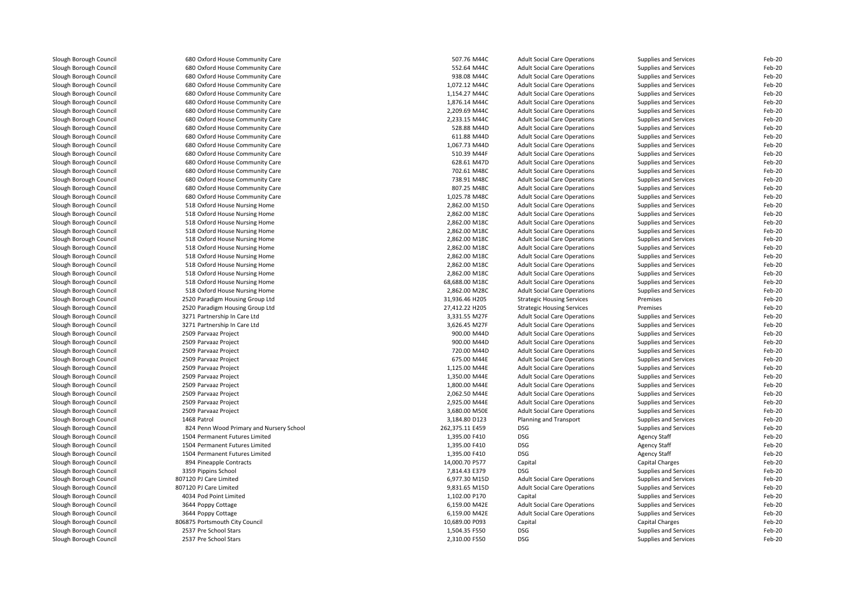| Slough Borough Council                           | 680 Oxford House Community Care                  | 507.76 M44C                    | <b>Adult Social Care Operations</b>            | Supplies and Services        | Feb-20           |
|--------------------------------------------------|--------------------------------------------------|--------------------------------|------------------------------------------------|------------------------------|------------------|
| Slough Borough Council                           | 680 Oxford House Community Care                  | 552.64 M44C                    | <b>Adult Social Care Operations</b>            | Supplies and Services        | Feb-20           |
| Slough Borough Council                           | 680 Oxford House Community Care                  | 938.08 M44C                    | <b>Adult Social Care Operations</b>            | <b>Supplies and Services</b> | Feb-20           |
| Slough Borough Council                           | 680 Oxford House Community Care                  | 1,072.12 M44C                  | <b>Adult Social Care Operations</b>            | Supplies and Services        | Feb-20           |
| Slough Borough Council                           | 680 Oxford House Community Care                  | 1,154.27 M44C                  | <b>Adult Social Care Operations</b>            | Supplies and Services        | Feb-20           |
| Slough Borough Council                           | 680 Oxford House Community Care                  | 1,876.14 M44C                  | <b>Adult Social Care Operations</b>            | Supplies and Services        | Feb-20           |
| Slough Borough Council                           | 680 Oxford House Community Care                  | 2,209.69 M44C                  | <b>Adult Social Care Operations</b>            | Supplies and Services        | Feb-20           |
| Slough Borough Council                           | 680 Oxford House Community Care                  | 2,233.15 M44C                  | <b>Adult Social Care Operations</b>            | Supplies and Services        | Feb-20           |
| Slough Borough Council                           | 680 Oxford House Community Care                  | 528.88 M44D                    | <b>Adult Social Care Operations</b>            | Supplies and Services        | Feb-20           |
| Slough Borough Council                           | 680 Oxford House Community Care                  | 611.88 M44D                    | <b>Adult Social Care Operations</b>            | Supplies and Services        | Feb-20           |
| Slough Borough Council                           | 680 Oxford House Community Care                  | 1,067.73 M44D                  | <b>Adult Social Care Operations</b>            | Supplies and Services        | Feb-20           |
| Slough Borough Council                           | 680 Oxford House Community Care                  | 510.39 M44F                    | <b>Adult Social Care Operations</b>            | <b>Supplies and Services</b> | Feb-20           |
| Slough Borough Council                           | 680 Oxford House Community Care                  | 628.61 M47D                    | <b>Adult Social Care Operations</b>            | Supplies and Services        | Feb-20           |
| Slough Borough Council                           | 680 Oxford House Community Care                  | 702.61 M48C                    | <b>Adult Social Care Operations</b>            | Supplies and Services        | Feb-20           |
| Slough Borough Council                           | 680 Oxford House Community Care                  | 738.91 M48C                    | <b>Adult Social Care Operations</b>            | Supplies and Services        | Feb-20           |
| Slough Borough Council                           | 680 Oxford House Community Care                  | 807.25 M48C                    | <b>Adult Social Care Operations</b>            | Supplies and Services        | Feb-20           |
| Slough Borough Council                           | 680 Oxford House Community Care                  | 1,025.78 M48C                  | <b>Adult Social Care Operations</b>            | Supplies and Services        | Feb-20           |
|                                                  | 518 Oxford House Nursing Home                    | 2,862.00 M15D                  | <b>Adult Social Care Operations</b>            |                              | Feb-20           |
| Slough Borough Council                           |                                                  |                                |                                                | Supplies and Services        | Feb-20           |
| Slough Borough Council                           | 518 Oxford House Nursing Home                    | 2,862.00 M18C                  | <b>Adult Social Care Operations</b>            | Supplies and Services        | Feb-20           |
| Slough Borough Council                           | 518 Oxford House Nursing Home                    | 2,862.00 M18C                  | <b>Adult Social Care Operations</b>            | Supplies and Services        |                  |
| Slough Borough Council                           | 518 Oxford House Nursing Home                    | 2,862.00 M18C                  | <b>Adult Social Care Operations</b>            | Supplies and Services        | Feb-20           |
| Slough Borough Council                           | 518 Oxford House Nursing Home                    | 2,862.00 M18C                  | <b>Adult Social Care Operations</b>            | <b>Supplies and Services</b> | Feb-20           |
| Slough Borough Council                           | 518 Oxford House Nursing Home                    | 2,862.00 M18C                  | <b>Adult Social Care Operations</b>            | Supplies and Services        | Feb-20           |
| Slough Borough Council                           | 518 Oxford House Nursing Home                    | 2,862.00 M18C                  | <b>Adult Social Care Operations</b>            | Supplies and Services        | Feb-20           |
| Slough Borough Council                           | 518 Oxford House Nursing Home                    | 2,862.00 M18C                  | <b>Adult Social Care Operations</b>            | Supplies and Services        | Feb-20           |
| Slough Borough Council                           | 518 Oxford House Nursing Home                    | 2,862.00 M18C                  | <b>Adult Social Care Operations</b>            | Supplies and Services        | Feb-20           |
| Slough Borough Council                           | 518 Oxford House Nursing Home                    | 68,688.00 M18C                 | <b>Adult Social Care Operations</b>            | Supplies and Services        | Feb-20           |
| Slough Borough Council                           | 518 Oxford House Nursing Home                    | 2,862.00 M28C                  | <b>Adult Social Care Operations</b>            | Supplies and Services        | Feb-20           |
| Slough Borough Council                           | 2520 Paradigm Housing Group Ltd                  | 31,936.46 H205                 | <b>Strategic Housing Services</b>              | Premises                     | Feb-20           |
| Slough Borough Council                           | 2520 Paradigm Housing Group Ltd                  | 27,412.22 H205                 | <b>Strategic Housing Services</b>              | Premises                     | Feb-20           |
| Slough Borough Council                           | 3271 Partnership In Care Ltd                     | 3,331.55 M27F                  | <b>Adult Social Care Operations</b>            | Supplies and Services        | Feb-20           |
| Slough Borough Council                           | 3271 Partnership In Care Ltd                     | 3,626.45 M27F                  | <b>Adult Social Care Operations</b>            | Supplies and Services        | Feb-20           |
| Slough Borough Council                           | 2509 Parvaaz Project                             | 900.00 M44D                    | <b>Adult Social Care Operations</b>            | Supplies and Services        | Feb-20           |
| Slough Borough Council                           | 2509 Parvaaz Project                             | 900.00 M44D                    | <b>Adult Social Care Operations</b>            | Supplies and Services        | Feb-20           |
| Slough Borough Council                           | 2509 Parvaaz Project                             | 720.00 M44D                    | <b>Adult Social Care Operations</b>            | Supplies and Services        | Feb-20           |
| Slough Borough Council                           | 2509 Parvaaz Project                             | 675.00 M44E                    | <b>Adult Social Care Operations</b>            | Supplies and Services        | Feb-20           |
| Slough Borough Council                           | 2509 Parvaaz Project                             | 1,125.00 M44E                  | <b>Adult Social Care Operations</b>            | Supplies and Services        | Feb-20           |
| Slough Borough Council                           | 2509 Parvaaz Project                             | 1,350.00 M44E                  | <b>Adult Social Care Operations</b>            | <b>Supplies and Services</b> | Feb-20           |
| Slough Borough Council                           | 2509 Parvaaz Project                             | 1,800.00 M44E                  | <b>Adult Social Care Operations</b>            | Supplies and Services        | Feb-20           |
| Slough Borough Council                           | 2509 Parvaaz Project                             | 2,062.50 M44E                  | <b>Adult Social Care Operations</b>            | Supplies and Services        | Feb-20           |
| Slough Borough Council                           | 2509 Parvaaz Project                             | 2,925.00 M44E                  | <b>Adult Social Care Operations</b>            | <b>Supplies and Services</b> | Feb-20           |
| Slough Borough Council                           | 2509 Parvaaz Project                             | 3,680.00 M50E                  | <b>Adult Social Care Operations</b>            | <b>Supplies and Services</b> | Feb-20           |
| Slough Borough Council                           | 1468 Patrol                                      | 3,184.80 D123                  | Planning and Transport                         | Supplies and Services        | Feb-20           |
| Slough Borough Council                           | 824 Penn Wood Primary and Nursery School         | 262,375.11 E459                | DSG                                            | Supplies and Services        | Feb-20           |
| Slough Borough Council                           | 1504 Permanent Futures Limited                   | 1,395.00 F410                  | DSG                                            | <b>Agency Staff</b>          | Feb-20           |
| Slough Borough Council                           | 1504 Permanent Futures Limited                   | 1,395.00 F410                  | DSG                                            | <b>Agency Staff</b>          | Feb-20           |
| Slough Borough Council                           | 1504 Permanent Futures Limited                   | 1,395.00 F410                  | DSG                                            | Agency Staff                 | Feb-20           |
| Slough Borough Council                           | 894 Pineapple Contracts                          | 14,000.70 P577                 | Capital                                        | Capital Charges              | Feb-20           |
| Slough Borough Council                           | 3359 Pippins School                              | 7,814.43 E379                  | <b>DSG</b>                                     | Supplies and Services        | Feb-20           |
| Slough Borough Council                           | 807120 PJ Care Limited                           | 6,977.30 M15D                  | <b>Adult Social Care Operations</b>            | Supplies and Services        | Feb-20           |
|                                                  |                                                  |                                |                                                |                              |                  |
| Slough Borough Council<br>Slough Borough Council | 807120 PJ Care Limited<br>4034 Pod Point Limited | 9,831.65 M15D<br>1,102.00 P170 | <b>Adult Social Care Operations</b><br>Capital | Supplies and Services        | Feb-20<br>Feb-20 |
|                                                  |                                                  |                                |                                                | Supplies and Services        |                  |
| Slough Borough Council                           | 3644 Poppy Cottage                               | 6,159.00 M42E                  | <b>Adult Social Care Operations</b>            | Supplies and Services        | Feb-20           |
| Slough Borough Council                           | 3644 Poppy Cottage                               | 6,159.00 M42E                  | <b>Adult Social Care Operations</b>            | Supplies and Services        | Feb-20           |
| Slough Borough Council                           | 806875 Portsmouth City Council                   | 10,689.00 P093                 | Capital                                        | Capital Charges              | Feb-20           |
| Slough Borough Council                           | 2537 Pre School Stars                            | 1,504.35 F550                  | DSG                                            | Supplies and Services        | Feb-20           |
| Slough Borough Council                           | 2537 Pre School Stars                            | 2,310.00 F550                  | <b>DSG</b>                                     | Supplies and Services        | Feb-20           |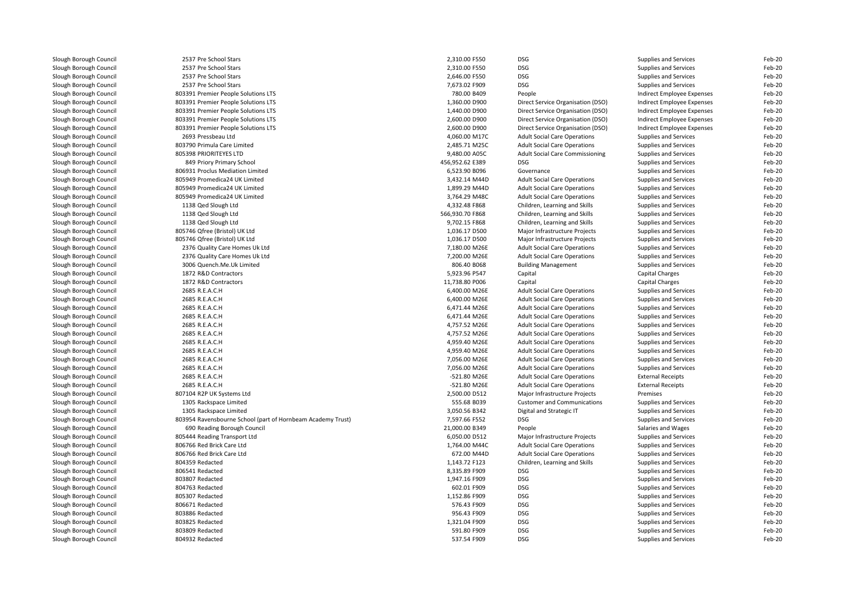| Slough Borough Council | 2537 Pre School Stars                                       | 2,310.00 F550                  | <b>DSG</b>                                                                 | Supplies and Services                           | Feb-20 |
|------------------------|-------------------------------------------------------------|--------------------------------|----------------------------------------------------------------------------|-------------------------------------------------|--------|
| Slough Borough Council | 2537 Pre School Stars                                       | 2,310.00 F550                  | <b>DSG</b>                                                                 | Supplies and Services                           | Feb-20 |
| Slough Borough Council | 2537 Pre School Stars                                       | 2,646.00 F550                  | DSG                                                                        | Supplies and Services                           | Feb-20 |
| Slough Borough Council | 2537 Pre School Stars                                       | 7,673.02 F909                  | <b>DSG</b>                                                                 | Supplies and Services                           | Feb-20 |
| Slough Borough Council | 803391 Premier People Solutions LTS                         | 780.00 B409                    | People                                                                     | Indirect Employee Expenses                      | Feb-20 |
| Slough Borough Council | 803391 Premier People Solutions LTS                         | 1,360.00 D900                  | Direct Service Organisation (DSO)                                          | Indirect Employee Expenses                      | Feb-20 |
| Slough Borough Council | 803391 Premier People Solutions LTS                         | 1,440.00 D900                  | Direct Service Organisation (DSO)                                          | Indirect Employee Expenses                      | Feb-20 |
| Slough Borough Council | 803391 Premier People Solutions LTS                         | 2,600.00 D900                  | Direct Service Organisation (DSO)                                          | Indirect Employee Expenses                      | Feb-20 |
| Slough Borough Council | 803391 Premier People Solutions LTS                         | 2,600.00 D900                  | Direct Service Organisation (DSO)                                          | Indirect Employee Expenses                      | Feb-20 |
| Slough Borough Council | 2693 Pressbeau Ltd                                          | 4,060.00 M17C                  | <b>Adult Social Care Operations</b>                                        | Supplies and Services                           | Feb-20 |
| Slough Borough Council | 803790 Primula Care Limited                                 | 2,485.71 M25C                  | <b>Adult Social Care Operations</b>                                        | Supplies and Services                           | Feb-20 |
| Slough Borough Council | 805398 PRIORITEYES LTD                                      | 9,480.00 A05C                  | Adult Social Care Commissioning                                            | Supplies and Services                           | Feb-20 |
| Slough Borough Council | 849 Priory Primary School                                   | 456,952.62 E389                | <b>DSG</b>                                                                 | Supplies and Services                           | Feb-20 |
| Slough Borough Council | 806931 Proclus Mediation Limited                            | 6,523.90 B096                  | Governance                                                                 | Supplies and Services                           | Feb-20 |
| Slough Borough Council | 805949 Promedica24 UK Limited                               | 3,432.14 M44D                  | <b>Adult Social Care Operations</b>                                        | Supplies and Services                           | Feb-20 |
| Slough Borough Council | 805949 Promedica24 UK Limited                               | 1,899.29 M44D                  | <b>Adult Social Care Operations</b>                                        | Supplies and Services                           | Feb-20 |
| Slough Borough Council | 805949 Promedica24 UK Limited                               | 3,764.29 M48C                  | <b>Adult Social Care Operations</b>                                        | Supplies and Services                           | Feb-20 |
| Slough Borough Council | 1138 Qed Slough Ltd                                         | 4,332.48 F868                  | Children, Learning and Skills                                              | Supplies and Services                           | Feb-20 |
| Slough Borough Council | 1138 Qed Slough Ltd                                         | 566,930.70 F868                | Children, Learning and Skills                                              | Supplies and Services                           | Feb-20 |
| Slough Borough Council | 1138 Qed Slough Ltd                                         | 9,702.15 F868                  | Children, Learning and Skills                                              | Supplies and Services                           | Feb-20 |
| Slough Borough Council | 805746 Qfree (Bristol) UK Ltd                               | 1,036.17 D500                  | Major Infrastructure Projects                                              | Supplies and Services                           | Feb-20 |
| Slough Borough Council | 805746 Qfree (Bristol) UK Ltd                               | 1,036.17 D500                  | Major Infrastructure Projects                                              | Supplies and Services                           | Feb-20 |
| Slough Borough Council | 2376 Quality Care Homes Uk Ltd                              | 7,180.00 M26E                  | <b>Adult Social Care Operations</b>                                        | Supplies and Services                           | Feb-20 |
| Slough Borough Council | 2376 Quality Care Homes Uk Ltd                              | 7,200.00 M26E                  | <b>Adult Social Care Operations</b>                                        | Supplies and Services                           | Feb-20 |
| Slough Borough Council | 3006 Quench.Me.Uk Limited                                   | 806.40 B068                    | <b>Building Management</b>                                                 | Supplies and Services                           | Feb-20 |
| Slough Borough Council | 1872 R&D Contractors                                        | 5,923.96 P547                  | Capital                                                                    | Capital Charges                                 | Feb-20 |
|                        | 1872 R&D Contractors                                        | 11,738.80 P006                 |                                                                            |                                                 | Feb-20 |
| Slough Borough Council |                                                             |                                | Capital                                                                    | <b>Capital Charges</b><br>Supplies and Services | Feb-20 |
| Slough Borough Council | 2685 R.E.A.C.H<br>2685 R.E.A.C.H                            | 6,400.00 M26E<br>6,400.00 M26E | <b>Adult Social Care Operations</b><br><b>Adult Social Care Operations</b> | Supplies and Services                           | Feb-20 |
| Slough Borough Council |                                                             |                                |                                                                            |                                                 | Feb-20 |
| Slough Borough Council | 2685 R.E.A.C.H                                              | 6,471.44 M26E                  | <b>Adult Social Care Operations</b>                                        | Supplies and Services                           |        |
| Slough Borough Council | 2685 R.E.A.C.H                                              | 6,471.44 M26E                  | <b>Adult Social Care Operations</b>                                        | Supplies and Services                           | Feb-20 |
| Slough Borough Council | 2685 R.E.A.C.H                                              | 4,757.52 M26E                  | <b>Adult Social Care Operations</b>                                        | Supplies and Services                           | Feb-20 |
| Slough Borough Council | 2685 R.E.A.C.H                                              | 4,757.52 M26E                  | <b>Adult Social Care Operations</b>                                        | Supplies and Services                           | Feb-20 |
| Slough Borough Council | 2685 R.E.A.C.H                                              | 4,959.40 M26E                  | <b>Adult Social Care Operations</b>                                        | Supplies and Services                           | Feb-20 |
| Slough Borough Council | 2685 R.E.A.C.H                                              | 4,959.40 M26E                  | <b>Adult Social Care Operations</b>                                        | Supplies and Services                           | Feb-20 |
| Slough Borough Council | 2685 R.E.A.C.H                                              | 7,056.00 M26E                  | <b>Adult Social Care Operations</b>                                        | Supplies and Services                           | Feb-20 |
| Slough Borough Council | 2685 R.E.A.C.H                                              | 7,056.00 M26E                  | <b>Adult Social Care Operations</b>                                        | Supplies and Services                           | Feb-20 |
| Slough Borough Council | 2685 R.E.A.C.H                                              | -521.80 M26E                   | <b>Adult Social Care Operations</b>                                        | <b>External Receipts</b>                        | Feb-20 |
| Slough Borough Council | 2685 R.E.A.C.H                                              | -521.80 M26E                   | <b>Adult Social Care Operations</b>                                        | <b>External Receipts</b>                        | Feb-20 |
| Slough Borough Council | 807104 R2P UK Systems Ltd                                   | 2,500.00 D512                  | Major Infrastructure Projects                                              | Premises                                        | Feb-20 |
| Slough Borough Council | 1305 Rackspace Limited                                      | 555.68 B039                    | <b>Customer and Communications</b>                                         | Supplies and Services                           | Feb-20 |
| Slough Borough Council | 1305 Rackspace Limited                                      | 3,050.56 B342                  | Digital and Strategic IT                                                   | Supplies and Services                           | Feb-20 |
| Slough Borough Council | 803954 Ravensbourne School (part of Hornbeam Academy Trust) | 7,597.66 F552                  | <b>DSG</b>                                                                 | Supplies and Services                           | Feb-20 |
| Slough Borough Council | 690 Reading Borough Council                                 | 21,000.00 B349                 | People                                                                     | Salaries and Wages                              | Feb-20 |
| Slough Borough Council | 805444 Reading Transport Ltd                                | 6,050.00 D512                  | Major Infrastructure Projects                                              | Supplies and Services                           | Feb-20 |
| Slough Borough Council | 806766 Red Brick Care Ltd                                   | 1,764.00 M44C                  | <b>Adult Social Care Operations</b>                                        | Supplies and Services                           | Feb-20 |
| Slough Borough Council | 806766 Red Brick Care Ltd                                   | 672.00 M44D                    | <b>Adult Social Care Operations</b>                                        | Supplies and Services                           | Feb-20 |
| Slough Borough Council | 804359 Redacted                                             | 1,143.72 F123                  | Children, Learning and Skills                                              | Supplies and Services                           | Feb-20 |
| Slough Borough Council | 806541 Redacted                                             | 8,335.89 F909                  | <b>DSG</b>                                                                 | Supplies and Services                           | Feb-20 |
| Slough Borough Council | 803807 Redacted                                             | 1,947.16 F909                  | <b>DSG</b>                                                                 | Supplies and Services                           | Feb-20 |
| Slough Borough Council | 804763 Redacted                                             | 602.01 F909                    | <b>DSG</b>                                                                 | Supplies and Services                           | Feb-20 |
| Slough Borough Council | 805307 Redacted                                             | 1,152.86 F909                  | <b>DSG</b>                                                                 | Supplies and Services                           | Feb-20 |
| Slough Borough Council | 806671 Redacted                                             | 576.43 F909                    | <b>DSG</b>                                                                 | Supplies and Services                           | Feb-20 |
| Slough Borough Council | 803886 Redacted                                             | 956.43 F909                    | <b>DSG</b>                                                                 | Supplies and Services                           | Feb-20 |
| Slough Borough Council | 803825 Redacted                                             | 1,321.04 F909                  | <b>DSG</b>                                                                 | Supplies and Services                           | Feb-20 |
| Slough Borough Council | 803809 Redacted                                             | 591.80 F909                    | <b>DSG</b>                                                                 | Supplies and Services                           | Feb-20 |
| Slough Borough Council | 804932 Redacted                                             | 537.54 F909                    | <b>DSG</b>                                                                 | Supplies and Services                           | Feb-20 |
|                        |                                                             |                                |                                                                            |                                                 |        |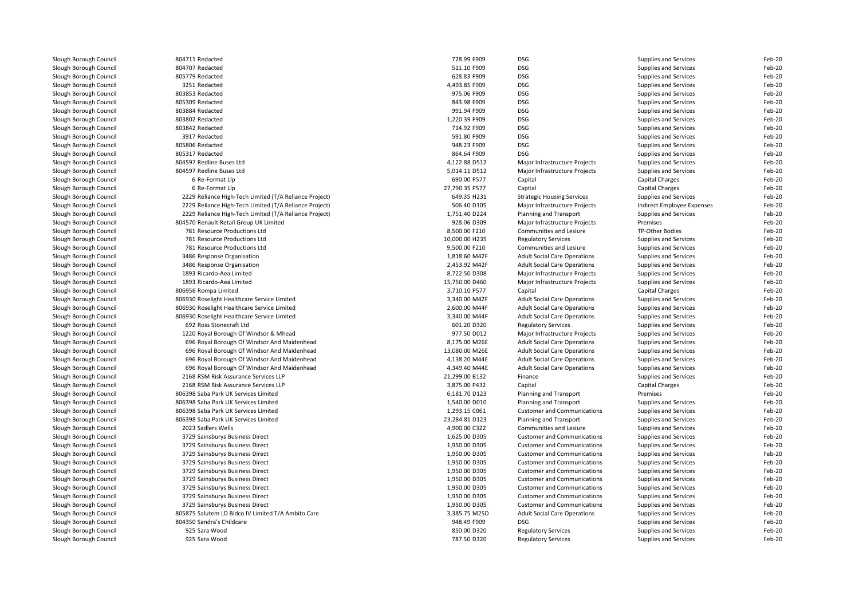| Slough Borough Council | 804711 Redacted                                        | 728.99 F909    | <b>DSG</b>                          | Supplies and Services        | Feb-20 |
|------------------------|--------------------------------------------------------|----------------|-------------------------------------|------------------------------|--------|
| Slough Borough Council | 804707 Redacted                                        | 511.10 F909    | <b>DSG</b>                          | Supplies and Services        | Feb-20 |
| Slough Borough Council | 805779 Redacted                                        | 628.83 F909    | <b>DSG</b>                          | Supplies and Services        | Feb-20 |
| Slough Borough Council | 3251 Redacted                                          | 4,493.85 F909  | <b>DSG</b>                          | Supplies and Services        | Feb-20 |
| Slough Borough Council | 803853 Redacted                                        | 975.06 F909    | <b>DSG</b>                          | Supplies and Services        | Feb-20 |
| Slough Borough Council | 805309 Redacted                                        | 843.98 F909    | <b>DSG</b>                          | Supplies and Services        | Feb-20 |
| Slough Borough Council | 803884 Redacted                                        | 991.94 F909    | <b>DSG</b>                          | Supplies and Services        | Feb-20 |
| Slough Borough Council | 803802 Redacted                                        | 1,220.39 F909  | <b>DSG</b>                          | Supplies and Services        | Feb-20 |
| Slough Borough Council | 803842 Redacted                                        | 714.92 F909    | <b>DSG</b>                          | Supplies and Services        | Feb-20 |
| Slough Borough Council | 3917 Redacted                                          | 591.80 F909    | <b>DSG</b>                          | Supplies and Services        | Feb-20 |
| Slough Borough Council | 805806 Redacted                                        | 948.23 F909    | <b>DSG</b>                          | Supplies and Services        | Feb-20 |
| Slough Borough Council | 805317 Redacted                                        | 864.64 F909    | <b>DSG</b>                          | Supplies and Services        | Feb-20 |
| Slough Borough Council | 804597 Redline Buses Ltd                               | 4,122.88 D512  | Major Infrastructure Projects       | Supplies and Services        | Feb-20 |
| Slough Borough Council | 804597 Redline Buses Ltd                               | 5,014.11 D512  | Major Infrastructure Projects       | Supplies and Services        | Feb-20 |
| Slough Borough Council | 6 Re-Format Llp                                        | 690.00 P577    | Capital                             | Capital Charges              | Feb-20 |
| Slough Borough Council | 6 Re-Format Llp                                        | 27,790.35 P577 | Capital                             | Capital Charges              | Feb-20 |
| Slough Borough Council | 2229 Reliance High-Tech Limited (T/A Reliance Project) | 649.35 H231    | <b>Strategic Housing Services</b>   | Supplies and Services        | Feb-20 |
| Slough Borough Council | 2229 Reliance High-Tech Limited (T/A Reliance Project) | 506.40 D105    | Major Infrastructure Projects       | Indirect Employee Expenses   | Feb-20 |
| Slough Borough Council | 2229 Reliance High-Tech Limited (T/A Reliance Project) | 1,751.40 D224  | Planning and Transport              | <b>Supplies and Services</b> | Feb-20 |
| Slough Borough Council | 804570 Renault Retail Group UK Limited                 | 928.06 D309    | Major Infrastructure Projects       | Premises                     | Feb-20 |
| Slough Borough Council | 781 Resource Productions Ltd                           | 8,500.00 F210  | Communities and Lesiure             | TP-Other Bodies              | Feb-20 |
| Slough Borough Council | 781 Resource Productions Ltd                           | 10,000.00 H235 | <b>Regulatory Services</b>          | Supplies and Services        | Feb-20 |
| Slough Borough Council | 781 Resource Productions Ltd                           | 9,500.00 F210  | Communities and Lesiure             | Supplies and Services        | Feb-20 |
| Slough Borough Council | 3486 Response Organisation                             | 1,818.60 M42F  | <b>Adult Social Care Operations</b> | Supplies and Services        | Feb-20 |
| Slough Borough Council | 3486 Response Organisation                             | 2,453.92 M42F  | <b>Adult Social Care Operations</b> | Supplies and Services        | Feb-20 |
| Slough Borough Council | 1893 Ricardo-Aea Limited                               | 8,722.50 D308  | Major Infrastructure Projects       | Supplies and Services        | Feb-20 |
| Slough Borough Council | 1893 Ricardo-Aea Limited                               | 15,750.00 D460 | Major Infrastructure Projects       | Supplies and Services        | Feb-20 |
| Slough Borough Council | 806956 Rompa Limited                                   | 3,710.10 P577  | Capital                             | Capital Charges              | Feb-20 |
| Slough Borough Council | 806930 Roselight Healthcare Service Limited            | 3,340.00 M42F  | <b>Adult Social Care Operations</b> | Supplies and Services        | Feb-20 |
| Slough Borough Council | 806930 Roselight Healthcare Service Limited            | 2,600.00 M44F  | <b>Adult Social Care Operations</b> | Supplies and Services        | Feb-20 |
| Slough Borough Council | 806930 Roselight Healthcare Service Limited            | 3,340.00 M44F  | <b>Adult Social Care Operations</b> | Supplies and Services        | Feb-20 |
| Slough Borough Council | 692 Ross Stonecraft Ltd                                | 601.20 D320    | <b>Regulatory Services</b>          | Supplies and Services        | Feb-20 |
| Slough Borough Council | 1220 Royal Borough Of Windsor & Mhead                  | 977.50 D012    | Major Infrastructure Projects       | Supplies and Services        | Feb-20 |
| Slough Borough Council | 696 Royal Borough Of Windsor And Maidenhead            | 8,175.00 M26E  | <b>Adult Social Care Operations</b> | Supplies and Services        | Feb-20 |
| Slough Borough Council | 696 Royal Borough Of Windsor And Maidenhead            | 13,080.00 M26E | <b>Adult Social Care Operations</b> | Supplies and Services        | Feb-20 |
| Slough Borough Council | 696 Royal Borough Of Windsor And Maidenhead            | 4,138.20 M44E  | <b>Adult Social Care Operations</b> | Supplies and Services        | Feb-20 |
| Slough Borough Council | 696 Royal Borough Of Windsor And Maidenhead            | 4,349.40 M44E  | <b>Adult Social Care Operations</b> | Supplies and Services        | Feb-20 |
| Slough Borough Council | 2168 RSM Risk Assurance Services LLP                   | 21,299.00 B132 | Finance                             | Supplies and Services        | Feb-20 |
| Slough Borough Council | 2168 RSM Risk Assurance Services LLP                   | 3,875.00 P432  | Capital                             | Capital Charges              | Feb-20 |
| Slough Borough Council | 806398 Saba Park UK Services Limited                   | 6,181.70 D123  | Planning and Transport              | Premises                     | Feb-20 |
| Slough Borough Council | 806398 Saba Park UK Services Limited                   | 1,540.00 D010  | Planning and Transport              | Supplies and Services        | Feb-20 |
| Slough Borough Council | 806398 Saba Park UK Services Limited                   | 1,293.15 C061  | <b>Customer and Communications</b>  | Supplies and Services        | Feb-20 |
| Slough Borough Council | 806398 Saba Park UK Services Limited                   | 23,284.81 D123 | Planning and Transport              | Supplies and Services        | Feb-20 |
| Slough Borough Council | 2023 Sadlers Wells                                     | 4,900.00 C322  | Communities and Lesiure             | Supplies and Services        | Feb-20 |
| Slough Borough Council | 3729 Sainsburys Business Direct                        | 1,625.00 D305  | <b>Customer and Communications</b>  | Supplies and Services        | Feb-20 |
| Slough Borough Council | 3729 Sainsburys Business Direct                        | 1,950.00 D305  | <b>Customer and Communications</b>  | Supplies and Services        | Feb-20 |
| Slough Borough Council | 3729 Sainsburys Business Direct                        | 1,950.00 D305  | <b>Customer and Communications</b>  | Supplies and Services        | Feb-20 |
| Slough Borough Council | 3729 Sainsburys Business Direct                        | 1,950.00 D305  | <b>Customer and Communications</b>  | Supplies and Services        | Feb-20 |
| Slough Borough Council | 3729 Sainsburys Business Direct                        | 1,950.00 D305  | <b>Customer and Communications</b>  | Supplies and Services        | Feb-20 |
| Slough Borough Council | 3729 Sainsburys Business Direct                        | 1,950.00 D305  | <b>Customer and Communications</b>  | Supplies and Services        | Feb-20 |
| Slough Borough Council | 3729 Sainsburys Business Direct                        | 1,950.00 D305  | <b>Customer and Communications</b>  | Supplies and Services        | Feb-20 |
| Slough Borough Council | 3729 Sainsburys Business Direct                        | 1,950.00 D305  | <b>Customer and Communications</b>  | Supplies and Services        | Feb-20 |
| Slough Borough Council | 3729 Sainsburys Business Direct                        | 1,950.00 D305  | <b>Customer and Communications</b>  | Supplies and Services        | Feb-20 |
| Slough Borough Council | 805875 Salutem LD Bidco IV Limited T/A Ambito Care     | 3,385.75 M25D  | <b>Adult Social Care Operations</b> | Supplies and Services        | Feb-20 |
| Slough Borough Council | 804350 Sandra's Childcare                              | 948.49 F909    | <b>DSG</b>                          | <b>Supplies and Services</b> | Feb-20 |
| Slough Borough Council | 925 Sara Wood                                          | 850.00 D320    | <b>Regulatory Services</b>          | Supplies and Services        | Feb-20 |
| Slough Borough Council | 925 Sara Wood                                          | 787.50 D320    | <b>Regulatory Services</b>          | Supplies and Services        | Feb-20 |
|                        |                                                        |                |                                     |                              |        |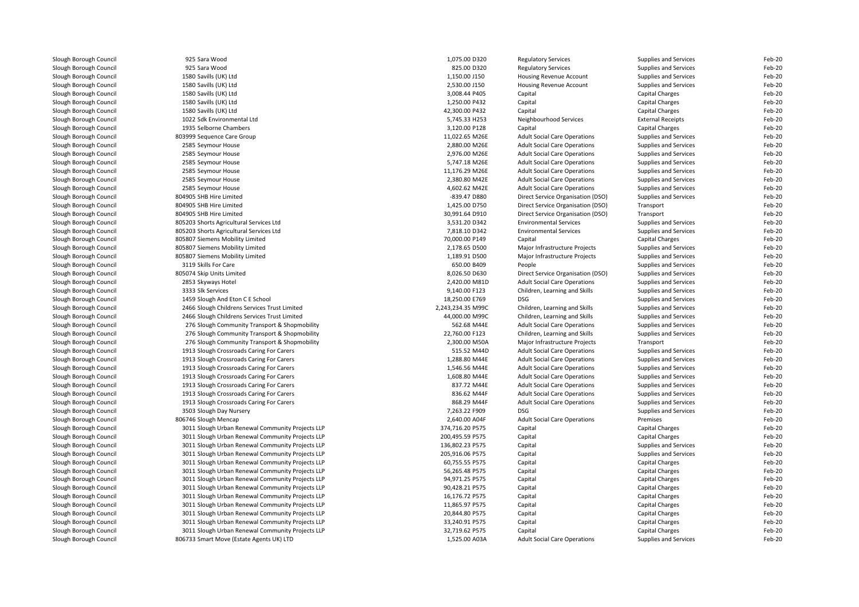Slough Borough Council 925 Sara Wood<br>Slough Borough Council 925 Sara Wood Slough Borough Council and the Summer of the State Slough Slough Slough Slough Slough Slough Slough Slough Slough Slough Slough Slough Slough Slough Slough Slough Slough Slough Slough Slough Slough Slough Slough Slough Slo Slough Borough Council 1580 Savills (UK) Ltd<br>
Slough Borough Council 1580 Savills (UK) Ltd Slough Borough Council 1580 Savills (UK) Ltd<br>
Slough Borough Council 1580 Savills (UK) Ltd Slough Borough Council 1580 Savills (UK) Ltd<br>
1580 Savills (UK) Ltd<br>
1580 Savills (UK) Ltd Slough Borough Council 1580 Savills (UK) Ltd<br>
1580 Savills (UK) Ltd<br>
1580 Savills (UK) Ltd Slough Borough Council<br>Slough Borough Council Slough Borough Council and the Superson Borough Council and the Slough Borough SHB Hire Limited Slough Borough Council<br>Slough Borough Council Slough Borough Council **805074 Skip Units Limited**<br>Slough Borough Council **8050 Skyways Hotel** Slough Borough Council and the Superinte Slough Mencap<br>Slough Borough Council and the Superinte Superinte Slough Urban Re

Slough Borough Council 1022 Sdk Environmental Ltd<br>
Slough Borough Council 1935 Selborne Chambers Slough Borough Council **803999** Sequence Care Group<br>Slough Borough Council **803** 2585 Sevmour House 804905 SHB Hire Limited<br>804905 SHB Hire Limited Slough Borough Council **805203** Shorts Agricultural Services Ltd<br>805203 Shorts Agricultural Services Ltd Slough Borough Council **805203** Shorts Agricultural Services Ltd<br>1905 Slough Borough Council **805807** Siemens Mobility Limited Slough Borough Council **805807** Siemens Mobility Limited<br>Slough Borough Council **805807** Siemens Mobility Limited Slough Borough Council **805807** Siemens Mobility Limited<br>Slough Borough Council **805807** Siemens Mobility Limited Slough Borough Council **805807** Siemens Mobility Limited<br>805807 Siemens Mobility Limited<br>8119 Skills For Care Slough Borough Council <sup>2466</sup> Slough Childrens Services Trust LimitedSlough Borough Council **2466 Slough Childrens Services Trust Limited**<br>276 Slough Borough Council 276 Slough Community Transport & Shopm Slough Borough Council <sup>3503</sup> Slough Day Nursery 7,263.22 F909 DSGSlough Borough Council <sup>3011</sup> Slough Urban Renewal Community Projects LLPSlough Borough Council <sup>3011</sup> Slough Urban Renewal Community Projects LLPSlough Borough Council <sup>3011</sup> Slough Urban Renewal Community Projects LLPSlough Borough Council <sup>3011</sup> Slough Urban Renewal Community Projects LLPSlough Borough Council <sup>3011</sup> Slough Urban Renewal Community Projects LLPSlough Borough Council 1990 1011 Slough Urban Renewal Community Projects LLP<br>3011 Slough Rommunity Projects LLP Slough Borough Council <sup>3011</sup> Slough Urban Renewal Community Projects LLPSlough Borough Council <sup>3011</sup> Slough Urban Renewal Community Projects LLPSlough Borough Council <sup>3011</sup> Slough Urban Renewal Community Projects LLPSlough Borough Council 1990 1011 Slough Urban Renewal Community Projects LLP<br>3011 Slough Rommunity Projects LLP Slough Borough Council 1901 Sough Urban Renewal Community Projects LLP<br>3011 Slough Borough Council 1901 Sough Urban Renewal Community Projects LLP Slough Borough Council <sup>3011</sup> Slough Urban Renewal Community Projects LLPSlough Borough Council 1990 and 3011 Slough Urban Renewal Community Projects LLP<br>306733 Smart Move (Estate Agents UK) LTD 806733 Smart Move (Estate Agents UK) LTD

d extending the 1,075.00 D320 Regulatory Services Supplies and Services Feb-20 Supplies and Services Feb-20 d extending the state of the S25.00 D320 Regulatory Services Supplies and Services Feb-20 Feb-20 d contract the 1,150.00 J150 Housing Revenue Account Supplies and Services Feb-20 d contract the contract of the 2,530.00 J150 Housing Revenue Account Supplies and Services Feb-20 3,008.44 P405 Capital Capital Charges Feb-20 d capital Charges Capital Charges Capital Charges Capital Charges Capital Charges Feb-20 d capital Charges Capital Charges Capital Charges Capital Charges Capital Charges Capital Charges Feb-20 5,745.33 H253 Neighbourhood Services External Receipts Feb-20 Slough Borough Council 2013 Selborne Chambers 3,120.00 P128 Capital Chambers Capital Charges Capital Charges Feb-20 Feb-20 11,022.65 M26E Adult Social Care Operations Supplies and Services<br>1992 - The Adult Social Care Operations Supplies and Services Feb-20 Slough Borough Council 2585 Seymour House 2,880.00 M26E Adult Social Care Operations Supplies and Services Feb-20  $Feh-20$ Slough Borough Council 2585 Seymour House 2,976.00 M26E Adult Social Care Operations Supplies and Services Feb-20  $Feh-20$ Slough Borough Council 2585 Seymour House 5,747.18 M26E Adult Social Care Operations Supplies and Services Feb-20  $Feh-20$ Slough Borough Council 2585 Seymour House 1996-20 11,176.29 M26E Adult Social Care Operations Supplies and Services Feb-20 Feb-20 Slough Borough Council 2585 Seymour House 2,380.80 M42E Adult Social Care Operations Supplies and Services Feb-20 Feb-20 Slough Borough Council 2585 Seymour House 4,602.62 M42E Adult Social Care Operations Supplies and Services Feb-20  $Feh-20$  -839.47 D880 Direct Service Organisation (DSO) Supplies and Services Feb-20 1,425.00 D750 Direct Service Organisation (DSO) Transport Feb-20 30,991.64 D910 Direct Service Organisation (DSO) Transport Transport Feb-20<br>3,531.20 D342 Environmental Services Supplies and Services Feb-20 d environmental Services Supplies and Services Supplies and Services Feb-20 Feb-20 7,818.10 D342 Environmental Services Supplies and Services Feb-20 70,000.00 P149 Capital Capital Charges Feb-20 2,178.65 D500 Major Infrastructure Projects Supplies and Services Feb-20 1,189.91 D500 Major Infrastructure Projects Supplies and Services<br>650.00 B409 People People Supplies and Services Feb-20 Slough Borough Council 2001 3119 Skills For Care 20 20 20 20 20 20 20 20 300 5000 9 2000 People Supplies and Services Feb-20 5 Feb-20 20 20 20 20 20 30 409 5 20 20 20 30 409 5 20 30 409 5 20 30 409 5 20 30 409 5 20 30 409 Feb-20 8,026.50 D630 Direct Service Organisation (DSO) Supplies and Services Feb-20 Feb-20 Slough Borough Council 2853 Skyways Hotel 2002 2,420.00 M81D Adult Social Care Operations Supplies and Services Feb-20  $Feh-20$ Slough Borough Council 2003 Supplies and Samples and Samples and Samples and Samples and Services Feb-20 Children, Learning and Skills Supplies and Services Feb-20 Feb-20 Slough Borough Council <sup>1459</sup> Slough And Eton C E School 18,250.00 E769 DSGSupplies and Services<br>
Supplies and Services<br>
Feb-20 2,243,234.35 M99C Children, Learning and Skills Supplies and Services Feb-20 44,000.00 M99C Children, Learning and Skills Supplies and Services Feb-20<br>562.68 M44E Adult Social Care Operations Supplies and Services Feb-20 Slough Borough Council Supplies and Services and Services and Services Community Transport & Shopmobility 562.68 M44E Adult Social Care Operations Supplies and Services Feb-20.760.00 F123 Children, Learning and Skills Supp Feb-20 Slough Borough Council 276 Slough Community Transport & Shopmobility 2008 Children, Learning and Skills Supplies and Supplies and Supplies and Supplies and Supplies and Supplies and Supplies and Supplies and Services Feb-2 Feb-20 Slough Borough Council 276 Slough Community Transport & Shopmobility 2,300.00 M50A Major Infrastructure Projects Transport 2,300.00 M50A Major Infrastructure Projects Transport Propertions 2,300.00 M50A Major Infrastructur Feb-20 Slough Borough Council Supplies and Services and Services and Services of Carers and Services of Supplies and Services of Supplies and Services of Carers 515.52 M44D Adult Social Care Operations Supplies and Services Feb-2 Feb-20 Slough Borough Council 1913 Slough Crossroads Caring For Carers 1,288.80 M44E Adult Social Care Operations Supplies and Services 1,546.56 M44E Adult Social Care Operations Supplies and Services Feb-2012 Supplies and Servic  $Feh-20$ Slough Borough Council 1913 Slough Crossroads Caring For Carers 1,546.56 M44E Adult Social Care Operations Supplies and Services 1,608.80 M44E Adult Social Care Operations Supplies and Services Feb-2012 Supplies and Servic  $Feh-20$ Slough Borough Council 2013 Slough Crossroads Caring For Carers 2006 2012 1,608.80 M44E Adult Social Care Operations Supplies and Services Feb-20 Feb-20 Slough Borough Council Supplies and Services and School of the Carers and Supplies and Supplies and Supplies and Supplies and Services and Services and Services For Carers 837.72 M44E Adult Social Care Operations Supplies Feb-20 Slough Borough Council Supplies and Services and School Slough Crossroads Caring For Carers and Supplies and Services and Services For Carers 836.62 M44F Adult Social Care Operations Supplies and Services Feb-2012 of Suppl  $Feh-20$ Slough Borough Council **1913** Slough Crossroads Caring For Carers **868.29 M44F** Adult Social Care Operations Supplies and Services Feb-20  $Feh-20$ DSG<br>
Supplies and Services<br>
Premises<br>
Feb-20<br>
Feb-20 2,640.00 A04F Adult Social Care Operations Report of Premises<br>274,716.20 P575 Capital Care Operations Capital Charges Feb-20 374,716.20 P575 Capital Capital Charges Feb-20 200,495.59 P575 Capital Capital Charges Feb-20 P Supplies and Services Feb-20 Capital Supplies and Services Feb-20 Supplies and Services Feb-20 205,916.06 P575 Capital Supplies and Services Feb-20 60,755.55 P575 Capital Capital Charges Feb-20 P S6,265.48 P575 Capital Capital Capital Capital Charges Feb-20 94,971.25 P575 Capital Capital Charges Feb-20 90,428.21 P575 Capital Capital Charges Feb-20 16,176.72 P575 Capital Capital Charges Feb-20 11,865.97 P575 Capital Capital Charges Feb-20 20,844.80 P575 Capital Capital Charges Feb-20 33,240.91 P575 Capital Capital Charges Feb-20 32,719.62 P575 Capital Capital Charges Feb-20 1,525.00 A03A Adult Social Care Operations Supplies and Services Feb-20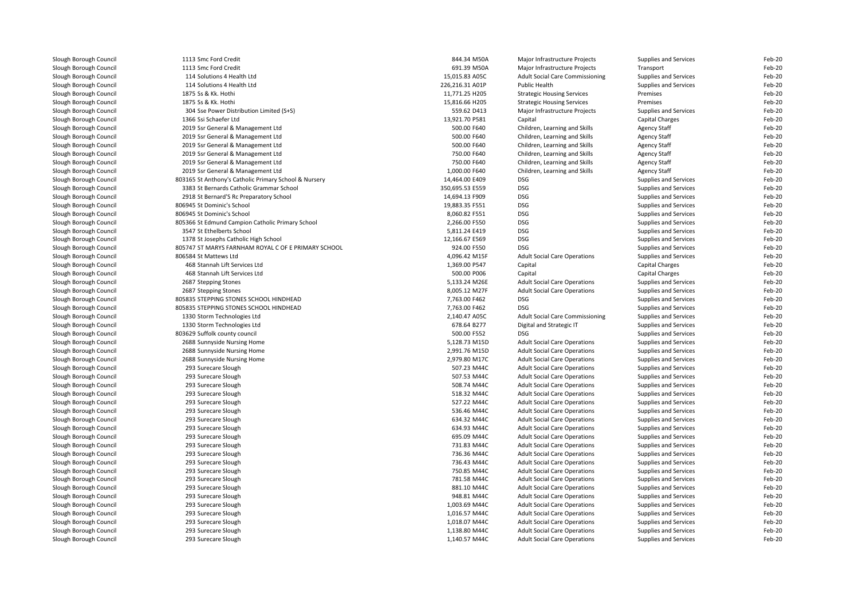| Slough Borough Council | 1113 Smc Ford Credit                                  | 844.34 M50A     | Major Infrastructure Projects                  | Supplies and Services | Feb-20 |
|------------------------|-------------------------------------------------------|-----------------|------------------------------------------------|-----------------------|--------|
| Slough Borough Council | 1113 Smc Ford Credit                                  | 691.39 M50A     | Major Infrastructure Projects                  | Transport             | Feb-20 |
| Slough Borough Council | 114 Solutions 4 Health Ltd                            | 15,015.83 A05C  | Adult Social Care Commissioning                | Supplies and Services | Feb-20 |
| Slough Borough Council | 114 Solutions 4 Health Ltd                            | 226,216.31 A01P | Public Health                                  | Supplies and Services | Feb-20 |
| Slough Borough Council | 1875 Ss & Kk. Hothi                                   | 11,771.25 H205  | <b>Strategic Housing Services</b>              | Premises              | Feb-20 |
| Slough Borough Council | 1875 Ss & Kk. Hothi                                   | 15,816.66 H205  | <b>Strategic Housing Services</b>              | Premises              | Feb-20 |
| Slough Borough Council | 304 Sse Power Distribution Limited (S+S)              | 559.62 D413     | Major Infrastructure Projects                  | Supplies and Services | Feb-20 |
| Slough Borough Council | 1366 Ssi Schaefer Ltd                                 | 13,921.70 P581  | Capital                                        | Capital Charges       | Feb-20 |
| Slough Borough Council | 2019 Ssr General & Management Ltd                     | 500.00 F640     | Children, Learning and Skills                  | <b>Agency Staff</b>   | Feb-20 |
| Slough Borough Council | 2019 Ssr General & Management Ltd                     | 500.00 F640     | Children, Learning and Skills                  | <b>Agency Staff</b>   | Feb-20 |
| Slough Borough Council | 2019 Ssr General & Management Ltd                     | 500.00 F640     | Children, Learning and Skills                  | <b>Agency Staff</b>   | Feb-20 |
| Slough Borough Council | 2019 Ssr General & Management Ltd                     | 750.00 F640     | Children, Learning and Skills                  | <b>Agency Staff</b>   | Feb-20 |
| Slough Borough Council | 2019 Ssr General & Management Ltd                     | 750.00 F640     | Children, Learning and Skills                  | <b>Agency Staff</b>   | Feb-20 |
| Slough Borough Council | 2019 Ssr General & Management Ltd                     | 1,000.00 F640   | Children, Learning and Skills                  | <b>Agency Staff</b>   | Feb-20 |
| Slough Borough Council | 803165 St Anthony's Catholic Primary School & Nursery | 14,464.00 E409  | <b>DSG</b>                                     | Supplies and Services | Feb-20 |
| Slough Borough Council | 3383 St Bernards Catholic Grammar School              | 350,695.53 E559 | <b>DSG</b>                                     | Supplies and Services | Feb-20 |
| Slough Borough Council | 2918 St Bernard'S Rc Preparatory School               | 14,694.13 F909  | <b>DSG</b>                                     | Supplies and Services | Feb-20 |
| Slough Borough Council | 806945 St Dominic's School                            | 19,883.35 F551  | <b>DSG</b>                                     | Supplies and Services | Feb-20 |
| Slough Borough Council | 806945 St Dominic's School                            | 8,060.82 F551   | <b>DSG</b>                                     | Supplies and Services | Feb-20 |
| Slough Borough Council | 805366 St Edmund Campion Catholic Primary School      | 2,266.00 F550   | <b>DSG</b>                                     | Supplies and Services | Feb-20 |
| Slough Borough Council | 3547 St Ethelberts School                             | 5,811.24 E419   | <b>DSG</b>                                     | Supplies and Services | Feb-20 |
| Slough Borough Council | 1378 St Josephs Catholic High School                  | 12,166.67 E569  | <b>DSG</b>                                     | Supplies and Services | Feb-20 |
| Slough Borough Council | 805747 ST MARYS FARNHAM ROYAL C OF E PRIMARY SCHOOL   | 924.00 F550     | <b>DSG</b>                                     | Supplies and Services | Feb-20 |
| Slough Borough Council | 806584 St Mattews Ltd                                 | 4,096.42 M15F   |                                                | Supplies and Services | Feb-20 |
| Slough Borough Council | 468 Stannah Lift Services Ltd                         | 1,369.00 P547   | <b>Adult Social Care Operations</b><br>Capital | Capital Charges       | Feb-20 |
|                        |                                                       |                 |                                                |                       |        |
| Slough Borough Council | 468 Stannah Lift Services Ltd                         | 500.00 P006     | Capital                                        | Capital Charges       | Feb-20 |
| Slough Borough Council | 2687 Stepping Stones                                  | 5,133.24 M26E   | <b>Adult Social Care Operations</b>            | Supplies and Services | Feb-20 |
| Slough Borough Council | 2687 Stepping Stones                                  | 8,005.12 M27F   | <b>Adult Social Care Operations</b>            | Supplies and Services | Feb-20 |
| Slough Borough Council | 805835 STEPPING STONES SCHOOL HINDHEAD                | 7,763.00 F462   | <b>DSG</b>                                     | Supplies and Services | Feb-20 |
| Slough Borough Council | 805835 STEPPING STONES SCHOOL HINDHEAD                | 7,763.00 F462   | <b>DSG</b>                                     | Supplies and Services | Feb-20 |
| Slough Borough Council | 1330 Storm Technologies Ltd                           | 2,140.47 A05C   | Adult Social Care Commissioning                | Supplies and Services | Feb-20 |
| Slough Borough Council | 1330 Storm Technologies Ltd                           | 678.64 B277     | Digital and Strategic IT                       | Supplies and Services | Feb-20 |
| Slough Borough Council | 803629 Suffolk county council                         | 500.00 F552     | <b>DSG</b>                                     | Supplies and Services | Feb-20 |
| Slough Borough Council | 2688 Sunnyside Nursing Home                           | 5,128.73 M15D   | <b>Adult Social Care Operations</b>            | Supplies and Services | Feb-20 |
| Slough Borough Council | 2688 Sunnyside Nursing Home                           | 2,991.76 M15D   | <b>Adult Social Care Operations</b>            | Supplies and Services | Feb-20 |
| Slough Borough Council | 2688 Sunnyside Nursing Home                           | 2,979.80 M17C   | <b>Adult Social Care Operations</b>            | Supplies and Services | Feb-20 |
| Slough Borough Council | 293 Surecare Slough                                   | 507.23 M44C     | <b>Adult Social Care Operations</b>            | Supplies and Services | Feb-20 |
| Slough Borough Council | 293 Surecare Slough                                   | 507.53 M44C     | <b>Adult Social Care Operations</b>            | Supplies and Services | Feb-20 |
| Slough Borough Council | 293 Surecare Slough                                   | 508.74 M44C     | <b>Adult Social Care Operations</b>            | Supplies and Services | Feb-20 |
| Slough Borough Council | 293 Surecare Slough                                   | 518.32 M44C     | <b>Adult Social Care Operations</b>            | Supplies and Services | Feb-20 |
| Slough Borough Council | 293 Surecare Slough                                   | 527.22 M44C     | <b>Adult Social Care Operations</b>            | Supplies and Services | Feb-20 |
| Slough Borough Council | 293 Surecare Slough                                   | 536.46 M44C     | <b>Adult Social Care Operations</b>            | Supplies and Services | Feb-20 |
| Slough Borough Council | 293 Surecare Slough                                   | 634.32 M44C     | <b>Adult Social Care Operations</b>            | Supplies and Services | Feb-20 |
| Slough Borough Council | 293 Surecare Slough                                   | 634.93 M44C     | <b>Adult Social Care Operations</b>            | Supplies and Services | Feb-20 |
| Slough Borough Council | 293 Surecare Slough                                   | 695.09 M44C     | <b>Adult Social Care Operations</b>            | Supplies and Services | Feb-20 |
| Slough Borough Council | 293 Surecare Slough                                   | 731.83 M44C     | <b>Adult Social Care Operations</b>            | Supplies and Services | Feb-20 |
| Slough Borough Council | 293 Surecare Slough                                   | 736.36 M44C     | <b>Adult Social Care Operations</b>            | Supplies and Services | Feb-20 |
| Slough Borough Council | 293 Surecare Slough                                   | 736.43 M44C     | <b>Adult Social Care Operations</b>            | Supplies and Services | Feb-20 |
| Slough Borough Council | 293 Surecare Slough                                   | 750.85 M44C     | <b>Adult Social Care Operations</b>            | Supplies and Services | Feb-20 |
| Slough Borough Council | 293 Surecare Slough                                   | 781.58 M44C     | <b>Adult Social Care Operations</b>            | Supplies and Services | Feb-20 |
| Slough Borough Council | 293 Surecare Slough                                   | 881.10 M44C     | <b>Adult Social Care Operations</b>            | Supplies and Services | Feb-20 |
| Slough Borough Council | 293 Surecare Slough                                   | 948.81 M44C     | <b>Adult Social Care Operations</b>            | Supplies and Services | Feb-20 |
| Slough Borough Council | 293 Surecare Slough                                   | 1,003.69 M44C   | <b>Adult Social Care Operations</b>            | Supplies and Services | Feb-20 |
| Slough Borough Council | 293 Surecare Slough                                   | 1,016.57 M44C   | <b>Adult Social Care Operations</b>            | Supplies and Services | Feb-20 |
| Slough Borough Council | 293 Surecare Slough                                   | 1,018.07 M44C   | <b>Adult Social Care Operations</b>            | Supplies and Services | Feb-20 |
| Slough Borough Council | 293 Surecare Slough                                   | 1,138.80 M44C   | <b>Adult Social Care Operations</b>            | Supplies and Services | Feb-20 |
| Slough Borough Council | 293 Surecare Slough                                   | 1,140.57 M44C   | <b>Adult Social Care Operations</b>            | Supplies and Services | Feb-20 |
|                        |                                                       |                 |                                                |                       |        |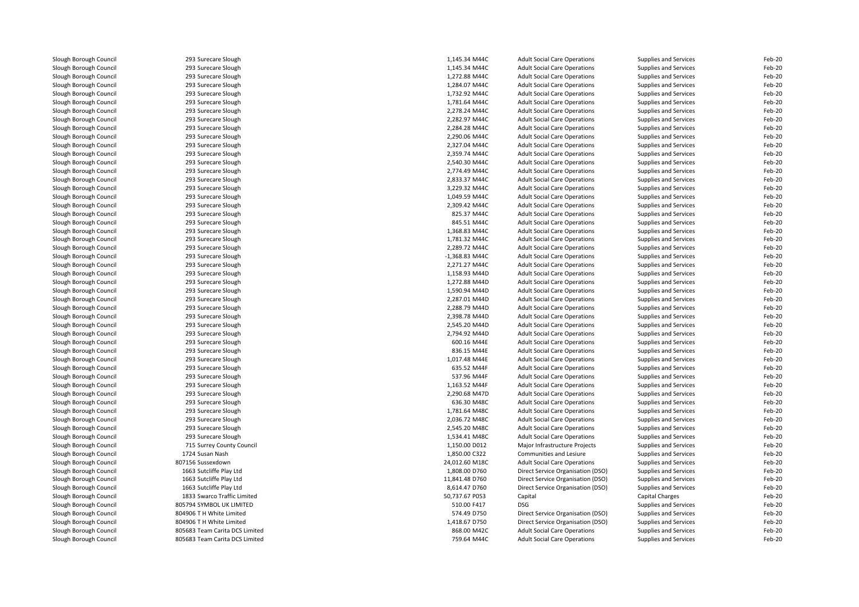| Slough Borough Council | 293 Surecare Slough            | 1,145.34 M44C    | <b>Adult Social Care Operations</b> | Supplies and Services        | Feb-20 |
|------------------------|--------------------------------|------------------|-------------------------------------|------------------------------|--------|
| Slough Borough Council | 293 Surecare Slough            | 1,145.34 M44C    | <b>Adult Social Care Operations</b> | Supplies and Services        | Feb-20 |
| Slough Borough Council | 293 Surecare Slough            | 1,272.88 M44C    | <b>Adult Social Care Operations</b> | Supplies and Services        | Feb-20 |
| Slough Borough Council | 293 Surecare Slough            | 1,284.07 M44C    | <b>Adult Social Care Operations</b> | Supplies and Services        | Feb-20 |
| Slough Borough Council | 293 Surecare Slough            | 1,732.92 M44C    | <b>Adult Social Care Operations</b> | Supplies and Services        | Feb-20 |
| Slough Borough Council | 293 Surecare Slough            | 1,781.64 M44C    | <b>Adult Social Care Operations</b> | Supplies and Services        | Feb-20 |
| Slough Borough Council | 293 Surecare Slough            | 2,278.24 M44C    | <b>Adult Social Care Operations</b> | Supplies and Services        | Feb-20 |
| Slough Borough Council | 293 Surecare Slough            | 2,282.97 M44C    | <b>Adult Social Care Operations</b> | Supplies and Services        | Feb-20 |
| Slough Borough Council | 293 Surecare Slough            | 2,284.28 M44C    | <b>Adult Social Care Operations</b> | Supplies and Services        | Feb-20 |
| Slough Borough Council | 293 Surecare Slough            | 2,290.06 M44C    | <b>Adult Social Care Operations</b> | Supplies and Services        | Feb-20 |
| Slough Borough Council | 293 Surecare Slough            | 2,327.04 M44C    | <b>Adult Social Care Operations</b> | Supplies and Services        | Feb-20 |
| Slough Borough Council | 293 Surecare Slough            | 2,359.74 M44C    | <b>Adult Social Care Operations</b> | Supplies and Services        | Feb-20 |
| Slough Borough Council | 293 Surecare Slough            | 2,540.30 M44C    | <b>Adult Social Care Operations</b> | <b>Supplies and Services</b> | Feb-20 |
| Slough Borough Council | 293 Surecare Slough            | 2,774.49 M44C    | <b>Adult Social Care Operations</b> | Supplies and Services        | Feb-20 |
| Slough Borough Council | 293 Surecare Slough            | 2,833.37 M44C    | <b>Adult Social Care Operations</b> | Supplies and Services        | Feb-20 |
| Slough Borough Council | 293 Surecare Slough            | 3,229.32 M44C    | <b>Adult Social Care Operations</b> | Supplies and Services        | Feb-20 |
| Slough Borough Council | 293 Surecare Slough            | 1,049.59 M44C    | <b>Adult Social Care Operations</b> | Supplies and Services        | Feb-20 |
| Slough Borough Council | 293 Surecare Slough            | 2,309.42 M44C    | <b>Adult Social Care Operations</b> | Supplies and Services        | Feb-20 |
| Slough Borough Council | 293 Surecare Slough            | 825.37 M44C      | <b>Adult Social Care Operations</b> | Supplies and Services        | Feb-20 |
| Slough Borough Council | 293 Surecare Slough            | 845.51 M44C      | <b>Adult Social Care Operations</b> | Supplies and Services        | Feb-20 |
| Slough Borough Council | 293 Surecare Slough            | 1,368.83 M44C    | <b>Adult Social Care Operations</b> | Supplies and Services        | Feb-20 |
| Slough Borough Council | 293 Surecare Slough            | 1,781.32 M44C    | <b>Adult Social Care Operations</b> | <b>Supplies and Services</b> | Feb-20 |
| Slough Borough Council | 293 Surecare Slough            | 2,289.72 M44C    | <b>Adult Social Care Operations</b> | Supplies and Services        | Feb-20 |
| Slough Borough Council | 293 Surecare Slough            | $-1,368.83$ M44C | <b>Adult Social Care Operations</b> | Supplies and Services        | Feb-20 |
| Slough Borough Council | 293 Surecare Slough            | 2,271.27 M44C    | <b>Adult Social Care Operations</b> | Supplies and Services        | Feb-20 |
| Slough Borough Council | 293 Surecare Slough            | 1,158.93 M44D    | <b>Adult Social Care Operations</b> | Supplies and Services        | Feb-20 |
|                        |                                |                  |                                     |                              |        |
| Slough Borough Council | 293 Surecare Slough            | 1,272.88 M44D    | <b>Adult Social Care Operations</b> | Supplies and Services        | Feb-20 |
| Slough Borough Council | 293 Surecare Slough            | 1,590.94 M44D    | <b>Adult Social Care Operations</b> | Supplies and Services        | Feb-20 |
| Slough Borough Council | 293 Surecare Slough            | 2,287.01 M44D    | <b>Adult Social Care Operations</b> | Supplies and Services        | Feb-20 |
| Slough Borough Council | 293 Surecare Slough            | 2,288.79 M44D    | <b>Adult Social Care Operations</b> | Supplies and Services        | Feb-20 |
| Slough Borough Council | 293 Surecare Slough            | 2,398.78 M44D    | <b>Adult Social Care Operations</b> | <b>Supplies and Services</b> | Feb-20 |
| Slough Borough Council | 293 Surecare Slough            | 2,545.20 M44D    | <b>Adult Social Care Operations</b> | Supplies and Services        | Feb-20 |
| Slough Borough Council | 293 Surecare Slough            | 2,794.92 M44D    | <b>Adult Social Care Operations</b> | Supplies and Services        | Feb-20 |
| Slough Borough Council | 293 Surecare Slough            | 600.16 M44E      | <b>Adult Social Care Operations</b> | Supplies and Services        | Feb-20 |
| Slough Borough Council | 293 Surecare Slough            | 836.15 M44E      | <b>Adult Social Care Operations</b> | Supplies and Services        | Feb-20 |
| Slough Borough Council | 293 Surecare Slough            | 1,017.48 M44E    | <b>Adult Social Care Operations</b> | Supplies and Services        | Feb-20 |
| Slough Borough Council | 293 Surecare Slough            | 635.52 M44F      | <b>Adult Social Care Operations</b> | Supplies and Services        | Feb-20 |
| Slough Borough Council | 293 Surecare Slough            | 537.96 M44F      | <b>Adult Social Care Operations</b> | Supplies and Services        | Feb-20 |
| Slough Borough Council | 293 Surecare Slough            | 1,163.52 M44F    | <b>Adult Social Care Operations</b> | <b>Supplies and Services</b> | Feb-20 |
| Slough Borough Council | 293 Surecare Slough            | 2,290.68 M47D    | <b>Adult Social Care Operations</b> | Supplies and Services        | Feb-20 |
| Slough Borough Council | 293 Surecare Slough            | 636.30 M48C      | <b>Adult Social Care Operations</b> | Supplies and Services        | Feb-20 |
| Slough Borough Council | 293 Surecare Slough            | 1,781.64 M48C    | <b>Adult Social Care Operations</b> | Supplies and Services        | Feb-20 |
| Slough Borough Council | 293 Surecare Slough            | 2,036.72 M48C    | <b>Adult Social Care Operations</b> | Supplies and Services        | Feb-20 |
| Slough Borough Council | 293 Surecare Slough            | 2,545.20 M48C    | <b>Adult Social Care Operations</b> | Supplies and Services        | Feb-20 |
| Slough Borough Council | 293 Surecare Slough            | 1,534.41 M48C    | <b>Adult Social Care Operations</b> | Supplies and Services        | Feb-20 |
| Slough Borough Council | 715 Surrey County Council      | 1,150.00 D012    | Major Infrastructure Projects       | Supplies and Services        | Feb-20 |
| Slough Borough Council | 1724 Susan Nash                | 1,850.00 C322    | Communities and Lesiure             | Supplies and Services        | Feb-20 |
| Slough Borough Council | 807156 Sussexdown              | 24,012.60 M18C   | <b>Adult Social Care Operations</b> | Supplies and Services        | Feb-20 |
| Slough Borough Council | 1663 Sutcliffe Play Ltd        | 1,808.00 D760    | Direct Service Organisation (DSO)   | Supplies and Services        | Feb-20 |
| Slough Borough Council | 1663 Sutcliffe Play Ltd        | 11,841.48 D760   | Direct Service Organisation (DSO)   | Supplies and Services        | Feb-20 |
| Slough Borough Council | 1663 Sutcliffe Play Ltd        | 8,614.47 D760    | Direct Service Organisation (DSO)   | Supplies and Services        | Feb-20 |
| Slough Borough Council | 1833 Swarco Traffic Limited    | 50,737.67 P053   | Capital                             | Capital Charges              | Feb-20 |
| Slough Borough Council | 805794 SYMBOL UK LIMITED       | 510.00 F417      | <b>DSG</b>                          | Supplies and Services        | Feb-20 |
| Slough Borough Council | 804906 T H White Limited       | 574.49 D750      | Direct Service Organisation (DSO)   | Supplies and Services        | Feb-20 |
| Slough Borough Council | 804906 T H White Limited       | 1,418.67 D750    | Direct Service Organisation (DSO)   | Supplies and Services        | Feb-20 |
| Slough Borough Council | 805683 Team Carita DCS Limited | 868.00 M42C      | <b>Adult Social Care Operations</b> | Supplies and Services        | Feb-20 |
| Slough Borough Council | 805683 Team Carita DCS Limited | 759.64 M44C      | <b>Adult Social Care Operations</b> | Supplies and Services        | Feb-20 |
|                        |                                |                  |                                     |                              |        |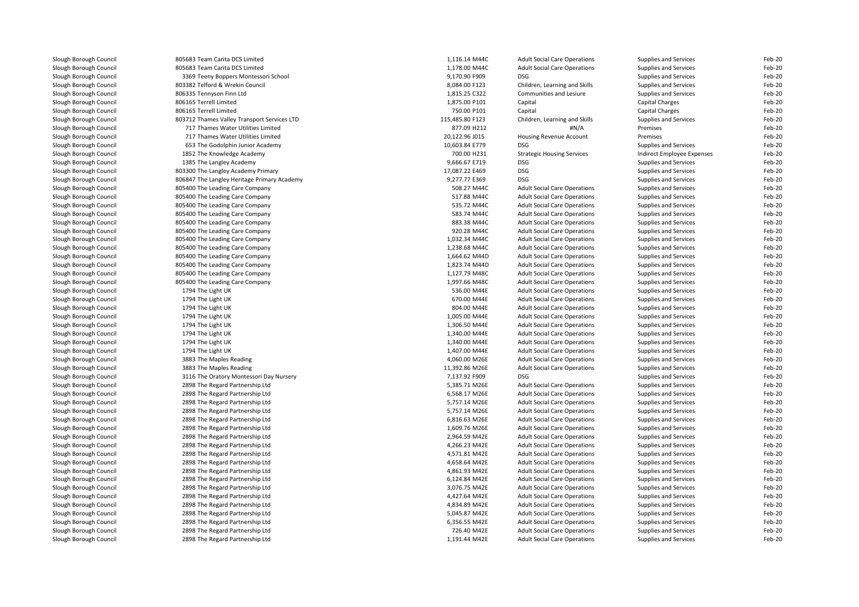| Slough Borough Council | 805683 Team Carita DCS Limited              | 1,116.14 M44C   | <b>Adult Social Care Operations</b>                                        | Supplies and Services      | Feb-20 |
|------------------------|---------------------------------------------|-----------------|----------------------------------------------------------------------------|----------------------------|--------|
| Slough Borough Council | 805683 Team Carita DCS Limited              | 1,178.00 M44C   | <b>Adult Social Care Operations</b>                                        | Supplies and Services      | Feb-20 |
| Slough Borough Council | 3369 Teeny Boppers Montessori School        | 9,170.90 F909   | <b>DSG</b>                                                                 | Supplies and Services      | Feb-20 |
| Slough Borough Council | 803382 Telford & Wrekin Council             | 8,084.00 F123   | Children, Learning and Skills                                              | Supplies and Services      | Feb-20 |
| Slough Borough Council | 806335 Tennyson Finn Ltd                    | 1,815.25 C322   | Communities and Lesiure                                                    | Supplies and Services      | Feb-20 |
| Slough Borough Council | 806165 Terrell Limited                      | 1,875.00 P101   | Capital                                                                    | Capital Charges            | Feb-20 |
| Slough Borough Council | 806165 Terrell Limited                      | 750.00 P101     | Capital                                                                    | Capital Charges            | Feb-20 |
| Slough Borough Council | 803712 Thames Valley Transport Services LTD | 115,485.80 F123 | Children, Learning and Skills                                              | Supplies and Services      | Feb-20 |
| Slough Borough Council | 717 Thames Water Utilities Limited          | 877.09 H212     | #N/A                                                                       | Premises                   | Feb-20 |
| Slough Borough Council | 717 Thames Water Utilities Limited          | 20,122.96 J015  | <b>Housing Revenue Account</b>                                             | Premises                   | Feb-20 |
| Slough Borough Council | 653 The Godolphin Junior Academy            | 10,603.84 E779  | <b>DSG</b>                                                                 | Supplies and Services      | Feb-20 |
| Slough Borough Council | 1852 The Knowledge Academy                  | 700.00 H231     | <b>Strategic Housing Services</b>                                          | Indirect Employee Expenses | Feb-20 |
| Slough Borough Council | 1385 The Langley Academy                    | 9,666.67 E719   | <b>DSG</b>                                                                 | Supplies and Services      | Feb-20 |
| Slough Borough Council | 803300 The Langley Academy Primary          | 17,087.22 E469  | <b>DSG</b>                                                                 | Supplies and Services      | Feb-20 |
| Slough Borough Council | 806847 The Langley Heritage Primary Academy | 9,277.77 E369   | <b>DSG</b>                                                                 | Supplies and Services      | Feb-20 |
| Slough Borough Council | 805400 The Leading Care Company             | 508.27 M44C     | <b>Adult Social Care Operations</b>                                        | Supplies and Services      | Feb-20 |
| Slough Borough Council | 805400 The Leading Care Company             | 517.88 M44C     | <b>Adult Social Care Operations</b>                                        | Supplies and Services      | Feb-20 |
| Slough Borough Council |                                             | 535.72 M44C     |                                                                            |                            | Feb-20 |
|                        | 805400 The Leading Care Company             | 583.74 M44C     | <b>Adult Social Care Operations</b>                                        | Supplies and Services      |        |
| Slough Borough Council | 805400 The Leading Care Company             |                 | <b>Adult Social Care Operations</b>                                        | Supplies and Services      | Feb-20 |
| Slough Borough Council | 805400 The Leading Care Company             | 883.38 M44C     | <b>Adult Social Care Operations</b>                                        | Supplies and Services      | Feb-20 |
| Slough Borough Council | 805400 The Leading Care Company             | 920.28 M44C     | <b>Adult Social Care Operations</b>                                        | Supplies and Services      | Feb-20 |
| Slough Borough Council | 805400 The Leading Care Company             | 1.032.34 M44C   | <b>Adult Social Care Operations</b>                                        | Supplies and Services      | Feb-20 |
| Slough Borough Council | 805400 The Leading Care Company             | 1,238.68 M44C   | <b>Adult Social Care Operations</b>                                        | Supplies and Services      | Feb-20 |
| Slough Borough Council | 805400 The Leading Care Company             | 1,664.62 M44D   | <b>Adult Social Care Operations</b>                                        | Supplies and Services      | Feb-20 |
| Slough Borough Council | 805400 The Leading Care Company             | 1,823.74 M44D   | <b>Adult Social Care Operations</b>                                        | Supplies and Services      | Feb-20 |
| Slough Borough Council | 805400 The Leading Care Company             | 1,127.79 M48C   | <b>Adult Social Care Operations</b>                                        | Supplies and Services      | Feb-20 |
| Slough Borough Council | 805400 The Leading Care Company             | 1,997.66 M48C   | <b>Adult Social Care Operations</b>                                        | Supplies and Services      | Feb-20 |
| Slough Borough Council | 1794 The Light UK                           | 536.00 M44E     | <b>Adult Social Care Operations</b>                                        | Supplies and Services      | Feb-20 |
| Slough Borough Council | 1794 The Light UK                           | 670.00 M44E     | <b>Adult Social Care Operations</b>                                        | Supplies and Services      | Feb-20 |
| Slough Borough Council | 1794 The Light UK                           | 804.00 M44E     | <b>Adult Social Care Operations</b>                                        | Supplies and Services      | Feb-20 |
| Slough Borough Council | 1794 The Light UK                           | 1,005.00 M44E   | <b>Adult Social Care Operations</b>                                        | Supplies and Services      | Feb-20 |
| Slough Borough Council | 1794 The Light UK                           | 1,306.50 M44E   | <b>Adult Social Care Operations</b>                                        | Supplies and Services      | Feb-20 |
| Slough Borough Council | 1794 The Light UK                           | 1,340.00 M44E   | <b>Adult Social Care Operations</b>                                        | Supplies and Services      | Feb-20 |
| Slough Borough Council | 1794 The Light UK                           | 1.340.00 M44E   | <b>Adult Social Care Operations</b>                                        | Supplies and Services      | Feb-20 |
| Slough Borough Council | 1794 The Light UK                           | 1,407.00 M44E   | <b>Adult Social Care Operations</b>                                        | Supplies and Services      | Feb-20 |
| Slough Borough Council | 3883 The Maples Reading                     | 4,060.00 M26E   | <b>Adult Social Care Operations</b>                                        | Supplies and Services      | Feb-20 |
| Slough Borough Council | 3883 The Maples Reading                     | 11,392.86 M26E  | <b>Adult Social Care Operations</b>                                        | Supplies and Services      | Feb-20 |
| Slough Borough Council | 3116 The Oratory Montessori Day Nursery     | 7,137.92 F909   | <b>DSG</b>                                                                 | Supplies and Services      | Feb-20 |
| Slough Borough Council | 2898 The Regard Partnership Ltd             | 5,385.71 M26E   | <b>Adult Social Care Operations</b>                                        | Supplies and Services      | Feb-20 |
| Slough Borough Council | 2898 The Regard Partnership Ltd             | 6,568.17 M26E   | <b>Adult Social Care Operations</b>                                        | Supplies and Services      | Feb-20 |
| Slough Borough Council | 2898 The Regard Partnership Ltd             | 5,757.14 M26E   | <b>Adult Social Care Operations</b>                                        | Supplies and Services      | Feb-20 |
| Slough Borough Council | 2898 The Regard Partnership Ltd             | 5,757.14 M26E   | <b>Adult Social Care Operations</b>                                        | Supplies and Services      | Feb-20 |
| Slough Borough Council | 2898 The Regard Partnership Ltd             | 6,816.63 M26E   | <b>Adult Social Care Operations</b>                                        | Supplies and Services      | Feb-20 |
| Slough Borough Council | 2898 The Regard Partnership Ltd             | 1,609.76 M26E   | <b>Adult Social Care Operations</b>                                        | Supplies and Services      | Feb-20 |
| Slough Borough Council | 2898 The Regard Partnership Ltd             | 2,964.59 M42E   | <b>Adult Social Care Operations</b>                                        | Supplies and Services      | Feb-20 |
| Slough Borough Council | 2898 The Regard Partnership Ltd             | 4,266.23 M42E   | <b>Adult Social Care Operations</b>                                        | Supplies and Services      | Feb-20 |
| Slough Borough Council | 2898 The Regard Partnership Ltd             | 4,571.81 M42E   | <b>Adult Social Care Operations</b>                                        | Supplies and Services      | Feb-20 |
| Slough Borough Council | 2898 The Regard Partnership Ltd             | 4,658.64 M42E   | <b>Adult Social Care Operations</b>                                        | Supplies and Services      | Feb-20 |
| Slough Borough Council | 2898 The Regard Partnership Ltd             | 4,861.93 M42E   | <b>Adult Social Care Operations</b>                                        | Supplies and Services      | Feb-20 |
| Slough Borough Council | 2898 The Regard Partnership Ltd             | 6,124.84 M42E   | <b>Adult Social Care Operations</b>                                        | Supplies and Services      | Feb-20 |
| Slough Borough Council | 2898 The Regard Partnership Ltd             | 3,076.75 M42E   | <b>Adult Social Care Operations</b>                                        | Supplies and Services      | Feb-20 |
| Slough Borough Council | 2898 The Regard Partnership Ltd             | 4,427.64 M42E   | <b>Adult Social Care Operations</b>                                        | Supplies and Services      | Feb-20 |
| Slough Borough Council | 2898 The Regard Partnership Ltd             | 4,834.89 M42E   | <b>Adult Social Care Operations</b>                                        | Supplies and Services      | Feb-20 |
| Slough Borough Council | 2898 The Regard Partnership Ltd             | 5,045.87 M42E   | <b>Adult Social Care Operations</b>                                        | Supplies and Services      | Feb-20 |
| Slough Borough Council | 2898 The Regard Partnership Ltd             | 6,356.55 M42E   | <b>Adult Social Care Operations</b>                                        | Supplies and Services      | Feb-20 |
|                        |                                             | 726.40 M42E     |                                                                            |                            | Feb-20 |
| Slough Borough Council | 2898 The Regard Partnership Ltd             | 1,191.44 M42E   | <b>Adult Social Care Operations</b><br><b>Adult Social Care Operations</b> | Supplies and Services      | Feb-20 |
| Slough Borough Council | 2898 The Regard Partnership Ltd             |                 |                                                                            | Supplies and Services      |        |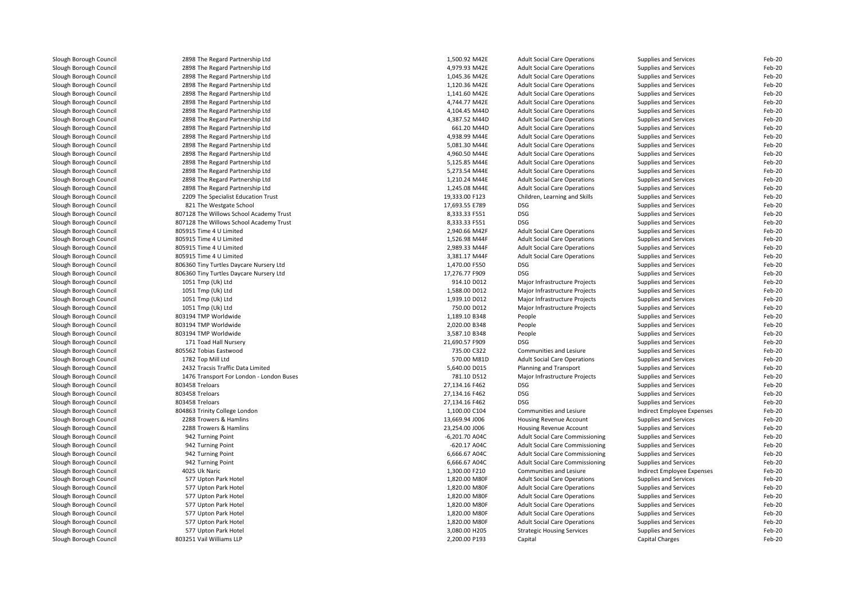| Slough Borough Council | 2898 The Regard Partnership Ltd                                    | 1,500.92 M42E                  | <b>Adult Social Care Operations</b>    | Supplies and Services        | Feb-20 |
|------------------------|--------------------------------------------------------------------|--------------------------------|----------------------------------------|------------------------------|--------|
| Slough Borough Council | 2898 The Regard Partnership Ltd                                    | 4,979.93 M42E                  | <b>Adult Social Care Operations</b>    | Supplies and Services        | Feb-20 |
| Slough Borough Council | 2898 The Regard Partnership Ltd                                    | 1,045.36 M42E                  | <b>Adult Social Care Operations</b>    | Supplies and Services        | Feb-20 |
| Slough Borough Council | 2898 The Regard Partnership Ltd                                    | 1,120.36 M42E                  | <b>Adult Social Care Operations</b>    | Supplies and Services        | Feb-20 |
| Slough Borough Council | 2898 The Regard Partnership Ltd                                    | 1,141.60 M42E                  | <b>Adult Social Care Operations</b>    | Supplies and Services        | Feb-20 |
| Slough Borough Council | 2898 The Regard Partnership Ltd                                    | 4,744.77 M42E                  | <b>Adult Social Care Operations</b>    | Supplies and Services        | Feb-20 |
| Slough Borough Council | 2898 The Regard Partnership Ltd                                    | 4,104.45 M44D                  | <b>Adult Social Care Operations</b>    | Supplies and Services        | Feb-20 |
| Slough Borough Council | 2898 The Regard Partnership Ltd                                    | 4,387.52 M44D                  | <b>Adult Social Care Operations</b>    | Supplies and Services        | Feb-20 |
| Slough Borough Council | 2898 The Regard Partnership Ltd                                    | 661.20 M44D                    | <b>Adult Social Care Operations</b>    | Supplies and Services        | Feb-20 |
| Slough Borough Council | 2898 The Regard Partnership Ltd                                    | 4,938.99 M44E                  | <b>Adult Social Care Operations</b>    | Supplies and Services        | Feb-20 |
| Slough Borough Council | 2898 The Regard Partnership Ltd                                    | 5,081.30 M44E                  | <b>Adult Social Care Operations</b>    | Supplies and Services        | Feb-20 |
| Slough Borough Council | 2898 The Regard Partnership Ltd                                    | 4,960.50 M44E                  | <b>Adult Social Care Operations</b>    | Supplies and Services        | Feb-20 |
| Slough Borough Council | 2898 The Regard Partnership Ltd                                    | 5,125.85 M44E                  | <b>Adult Social Care Operations</b>    | Supplies and Services        | Feb-20 |
| Slough Borough Council | 2898 The Regard Partnership Ltd                                    | 5,273.54 M44E                  | <b>Adult Social Care Operations</b>    | Supplies and Services        | Feb-20 |
| Slough Borough Council | 2898 The Regard Partnership Ltd                                    | 1,210.24 M44E                  | <b>Adult Social Care Operations</b>    | Supplies and Services        | Feb-20 |
| Slough Borough Council | 2898 The Regard Partnership Ltd                                    | 1,245.08 M44E                  | <b>Adult Social Care Operations</b>    | Supplies and Services        | Feb-20 |
| Slough Borough Council | 2209 The Specialist Education Trust                                | 19,333.00 F123                 | Children, Learning and Skills          | Supplies and Services        | Feb-20 |
| Slough Borough Council | 821 The Westgate School                                            | 17,693.55 E789                 | DSG                                    | Supplies and Services        | Feb-20 |
| Slough Borough Council | 807128 The Willows School Academy Trust                            | 8,333.33 F551                  | DSG                                    | Supplies and Services        | Feb-20 |
| Slough Borough Council |                                                                    | 8,333.33 F551                  | <b>DSG</b>                             |                              | Feb-20 |
|                        | 807128 The Willows School Academy Trust<br>805915 Time 4 U Limited | 2,940.66 M42F                  | <b>Adult Social Care Operations</b>    | Supplies and Services        | Feb-20 |
| Slough Borough Council |                                                                    |                                |                                        | Supplies and Services        |        |
| Slough Borough Council | 805915 Time 4 U Limited                                            | 1,526.98 M44F                  | <b>Adult Social Care Operations</b>    | Supplies and Services        | Feb-20 |
| Slough Borough Council | 805915 Time 4 U Limited                                            | 2,989.33 M44F                  | <b>Adult Social Care Operations</b>    | Supplies and Services        | Feb-20 |
| Slough Borough Council | 805915 Time 4 U Limited                                            | 3,381.17 M44F                  | <b>Adult Social Care Operations</b>    | Supplies and Services        | Feb-20 |
| Slough Borough Council | 806360 Tiny Turtles Daycare Nursery Ltd                            | 1,470.00 F550                  | DSG                                    | <b>Supplies and Services</b> | Feb-20 |
| Slough Borough Council | 806360 Tiny Turtles Daycare Nursery Ltd                            | 17,276.77 F909                 | <b>DSG</b>                             | Supplies and Services        | Feb-20 |
| Slough Borough Council | 1051 Tmp (Uk) Ltd                                                  | 914.10 D012                    | Major Infrastructure Projects          | Supplies and Services        | Feb-20 |
| Slough Borough Council | 1051 Tmp (Uk) Ltd                                                  | 1,588.00 D012                  | Major Infrastructure Projects          | <b>Supplies and Services</b> | Feb-20 |
| Slough Borough Council | 1051 Tmp (Uk) Ltd                                                  | 1,939.10 D012                  | Major Infrastructure Projects          | Supplies and Services        | Feb-20 |
| Slough Borough Council | 1051 Tmp (Uk) Ltd                                                  | 750.00 D012                    | Major Infrastructure Projects          | Supplies and Services        | Feb-20 |
| Slough Borough Council | 803194 TMP Worldwide                                               | 1,189.10 B348                  | People                                 | Supplies and Services        | Feb-20 |
| Slough Borough Council | 803194 TMP Worldwide                                               | 2,020.00 B348                  | People                                 | Supplies and Services        | Feb-20 |
| Slough Borough Council | 803194 TMP Worldwide                                               | 3,587.10 B348                  | People                                 | Supplies and Services        | Feb-20 |
| Slough Borough Council | 171 Toad Hall Nursery                                              | 21,690.57 F909                 | DSG                                    | Supplies and Services        | Feb-20 |
| Slough Borough Council | 805562 Tobias Eastwood                                             | 735.00 C322                    | Communities and Lesiure                | Supplies and Services        | Feb-20 |
| Slough Borough Council | 1782 Top Mill Ltd                                                  | 570.00 M81D                    | <b>Adult Social Care Operations</b>    | Supplies and Services        | Feb-20 |
| Slough Borough Council | 2432 Tracsis Traffic Data Limited                                  | 5,640.00 D015                  | Planning and Transport                 | Supplies and Services        | Feb-20 |
| Slough Borough Council | 1476 Transport For London - London Buses                           | 781.10 D512                    | Major Infrastructure Projects          | Supplies and Services        | Feb-20 |
| Slough Borough Council | 803458 Treloars                                                    | 27,134.16 F462                 | <b>DSG</b>                             | Supplies and Services        | Feb-20 |
| Slough Borough Council | 803458 Treloars                                                    | 27,134.16 F462                 | <b>DSG</b>                             | Supplies and Services        | Feb-20 |
| Slough Borough Council | 803458 Treloars                                                    | 27,134.16 F462                 | DSG                                    | Supplies and Services        | Feb-20 |
| Slough Borough Council | 804863 Trinity College London                                      | 1,100.00 C104                  | Communities and Lesiure                | Indirect Employee Expenses   | Feb-20 |
| Slough Borough Council | 2288 Trowers & Hamlins                                             | 13,669.94 J006                 | Housing Revenue Account                | <b>Supplies and Services</b> | Feb-20 |
| Slough Borough Council | 2288 Trowers & Hamlins                                             | 23,254.00 J006                 | Housing Revenue Account                | Supplies and Services        | Feb-20 |
| Slough Borough Council | 942 Turning Point                                                  | $-6,201.70$ A04C               | Adult Social Care Commissioning        | Supplies and Services        | Feb-20 |
| Slough Borough Council | 942 Turning Point                                                  | -620.17 A04C                   | <b>Adult Social Care Commissioning</b> | Supplies and Services        | Feb-20 |
| Slough Borough Council | 942 Turning Point                                                  | 6,666.67 A04C                  | <b>Adult Social Care Commissioning</b> | Supplies and Services        | Feb-20 |
| Slough Borough Council | 942 Turning Point                                                  | 6,666.67 A04C                  | <b>Adult Social Care Commissioning</b> | Supplies and Services        | Feb-20 |
| Slough Borough Council | 4025 Uk Naric                                                      | 1,300.00 F210                  | Communities and Lesiure                | Indirect Employee Expenses   | Feb-20 |
| Slough Borough Council | 577 Upton Park Hotel                                               | 1,820.00 M80F                  | <b>Adult Social Care Operations</b>    | Supplies and Services        | Feb-20 |
| Slough Borough Council | 577 Upton Park Hotel                                               | 1,820.00 M80F                  | <b>Adult Social Care Operations</b>    | Supplies and Services        | Feb-20 |
| Slough Borough Council | 577 Upton Park Hotel                                               | 1,820.00 M80F                  | <b>Adult Social Care Operations</b>    | <b>Supplies and Services</b> | Feb-20 |
| Slough Borough Council | 577 Upton Park Hotel                                               | 1,820.00 M80F                  | <b>Adult Social Care Operations</b>    | Supplies and Services        | Feb-20 |
| Slough Borough Council | 577 Upton Park Hotel                                               | 1,820.00 M80F                  | <b>Adult Social Care Operations</b>    | Supplies and Services        | Feb-20 |
| Slough Borough Council | 577 Upton Park Hotel                                               | 1,820.00 M80F                  | <b>Adult Social Care Operations</b>    | <b>Supplies and Services</b> | Feb-20 |
|                        |                                                                    |                                |                                        |                              | Feb-20 |
| Slough Borough Council | 577 Upton Park Hotel<br>803251 Vail Williams LLP                   | 3,080.00 H205<br>2,200.00 P193 | <b>Strategic Housing Services</b>      | Supplies and Services        | Feb-20 |
| Slough Borough Council |                                                                    |                                | Capital                                | Capital Charges              |        |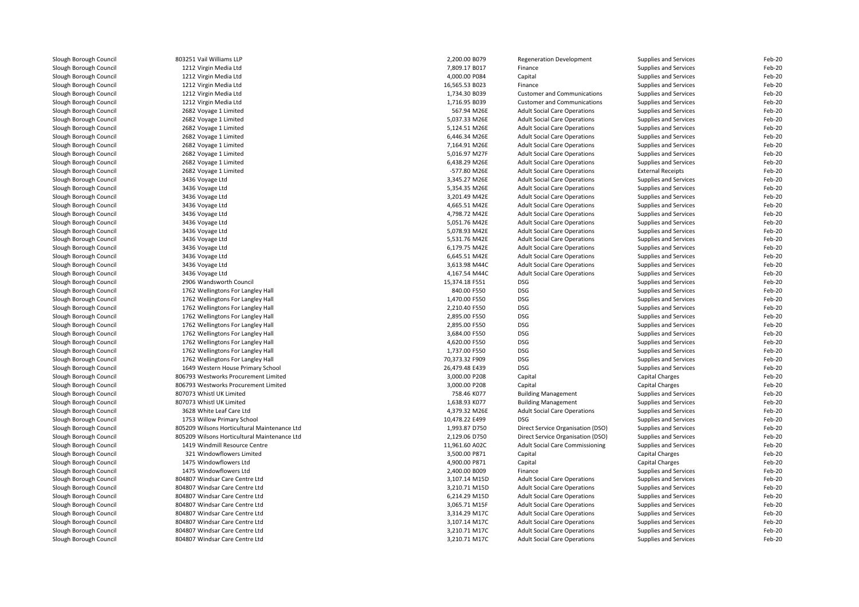| Slough Borough Council                           | 803251 Vail Williams LLP                     | 2,200.00 B079                 | <b>Regeneration Development</b>        | Supplies and Services        | Feb-20           |
|--------------------------------------------------|----------------------------------------------|-------------------------------|----------------------------------------|------------------------------|------------------|
| Slough Borough Council                           | 1212 Virgin Media Ltd                        | 7,809.17 B017                 | Finance                                | Supplies and Services        | Feb-20           |
| Slough Borough Council                           | 1212 Virgin Media Ltd                        | 4,000.00 P084                 | Capital                                | Supplies and Services        | Feb-20           |
| Slough Borough Council                           | 1212 Virgin Media Ltd                        | 16,565.53 B023                | Finance                                | Supplies and Services        | Feb-20           |
| Slough Borough Council                           | 1212 Virgin Media Ltd                        | 1,734.30 B039                 | <b>Customer and Communications</b>     | Supplies and Services        | Feb-20           |
| Slough Borough Council                           | 1212 Virgin Media Ltd                        | 1,716.95 B039                 | <b>Customer and Communications</b>     | Supplies and Services        | Feb-20           |
| Slough Borough Council                           | 2682 Voyage 1 Limited                        | 567.94 M26E                   | <b>Adult Social Care Operations</b>    | Supplies and Services        | Feb-20           |
| Slough Borough Council                           | 2682 Voyage 1 Limited                        | 5,037.33 M26E                 | <b>Adult Social Care Operations</b>    | Supplies and Services        | Feb-20           |
| Slough Borough Council                           | 2682 Voyage 1 Limited                        | 5,124.51 M26E                 | <b>Adult Social Care Operations</b>    | Supplies and Services        | Feb-20           |
| Slough Borough Council                           | 2682 Voyage 1 Limited                        | 6,446.34 M26E                 | <b>Adult Social Care Operations</b>    | Supplies and Services        | Feb-20           |
| Slough Borough Council                           | 2682 Voyage 1 Limited                        | 7,164.91 M26E                 | <b>Adult Social Care Operations</b>    | Supplies and Services        | Feb-20           |
| Slough Borough Council                           | 2682 Voyage 1 Limited                        | 5,016.97 M27F                 | <b>Adult Social Care Operations</b>    | Supplies and Services        | Feb-20           |
| Slough Borough Council                           | 2682 Voyage 1 Limited                        | 6,438.29 M26E                 | <b>Adult Social Care Operations</b>    | Supplies and Services        | Feb-20           |
| Slough Borough Council                           | 2682 Voyage 1 Limited                        | -577.80 M26E                  | <b>Adult Social Care Operations</b>    | <b>External Receipts</b>     | Feb-20           |
| Slough Borough Council                           | 3436 Voyage Ltd                              | 3,345.27 M26E                 | <b>Adult Social Care Operations</b>    | Supplies and Services        | Feb-20           |
| Slough Borough Council                           | 3436 Voyage Ltd                              | 5,354.35 M26E                 | <b>Adult Social Care Operations</b>    | Supplies and Services        | Feb-20           |
| Slough Borough Council                           | 3436 Voyage Ltd                              | 3,201.49 M42E                 | <b>Adult Social Care Operations</b>    | Supplies and Services        | Feb-20           |
| Slough Borough Council                           | 3436 Voyage Ltd                              | 4,665.51 M42E                 | <b>Adult Social Care Operations</b>    | Supplies and Services        | Feb-20           |
| Slough Borough Council                           | 3436 Voyage Ltd                              | 4,798.72 M42E                 | <b>Adult Social Care Operations</b>    | Supplies and Services        | Feb-20           |
| Slough Borough Council                           | 3436 Voyage Ltd                              | 5,051.76 M42E                 | <b>Adult Social Care Operations</b>    | Supplies and Services        | Feb-20           |
| Slough Borough Council                           | 3436 Voyage Ltd                              | 5,078.93 M42E                 | <b>Adult Social Care Operations</b>    | Supplies and Services        | Feb-20           |
| Slough Borough Council                           | 3436 Voyage Ltd                              | 5,531.76 M42E                 | <b>Adult Social Care Operations</b>    | Supplies and Services        | Feb-20           |
| Slough Borough Council                           | 3436 Voyage Ltd                              | 6,179.75 M42E                 | <b>Adult Social Care Operations</b>    | Supplies and Services        | Feb-20           |
| Slough Borough Council                           | 3436 Voyage Ltd                              | 6,645.51 M42E                 | <b>Adult Social Care Operations</b>    | Supplies and Services        | Feb-20           |
| Slough Borough Council                           | 3436 Voyage Ltd                              | 3,613.98 M44C                 | <b>Adult Social Care Operations</b>    | Supplies and Services        | Feb-20           |
| Slough Borough Council                           | 3436 Voyage Ltd                              | 4,167.54 M44C                 | <b>Adult Social Care Operations</b>    | Supplies and Services        | Feb-20           |
|                                                  |                                              |                               | <b>DSG</b>                             |                              |                  |
| Slough Borough Council<br>Slough Borough Council | 2906 Wandsworth Council                      | 15,374.18 F551<br>840.00 F550 | <b>DSG</b>                             | Supplies and Services        | Feb-20<br>Feb-20 |
|                                                  | 1762 Wellingtons For Langley Hall            |                               | <b>DSG</b>                             | Supplies and Services        | Feb-20           |
| Slough Borough Council                           | 1762 Wellingtons For Langley Hall            | 1,470.00 F550                 |                                        | Supplies and Services        |                  |
| Slough Borough Council                           | 1762 Wellingtons For Langley Hall            | 2,210.40 F550                 | <b>DSG</b>                             | Supplies and Services        | Feb-20           |
| Slough Borough Council                           | 1762 Wellingtons For Langley Hall            | 2,895.00 F550                 | <b>DSG</b>                             | Supplies and Services        | Feb-20           |
| Slough Borough Council                           | 1762 Wellingtons For Langley Hall            | 2,895.00 F550                 | <b>DSG</b>                             | Supplies and Services        | Feb-20           |
| Slough Borough Council                           | 1762 Wellingtons For Langley Hall            | 3,684.00 F550                 | <b>DSG</b>                             | Supplies and Services        | Feb-20           |
| Slough Borough Council                           | 1762 Wellingtons For Langley Hall            | 4,620.00 F550                 | <b>DSG</b>                             | Supplies and Services        | Feb-20           |
| Slough Borough Council                           | 1762 Wellingtons For Langley Hall            | 1,737.00 F550                 | <b>DSG</b>                             | Supplies and Services        | Feb-20           |
| Slough Borough Council                           | 1762 Wellingtons For Langley Hall            | 70,373.32 F909                | <b>DSG</b>                             | Supplies and Services        | Feb-20           |
| Slough Borough Council                           | 1649 Western House Primary School            | 26,479.48 E439                | <b>DSG</b>                             | Supplies and Services        | Feb-20           |
| Slough Borough Council                           | 806793 Westworks Procurement Limited         | 3,000.00 P208                 | Capital                                | Capital Charges              | Feb-20           |
| Slough Borough Council                           | 806793 Westworks Procurement Limited         | 3,000.00 P208                 | Capital                                | Capital Charges              | Feb-20           |
| Slough Borough Council                           | 807073 Whistl UK Limited                     | 758.46 K077                   | <b>Building Management</b>             | Supplies and Services        | Feb-20           |
| Slough Borough Council                           | 807073 Whistl UK Limited                     | 1,638.93 K077                 | <b>Building Management</b>             | Supplies and Services        | Feb-20           |
| Slough Borough Council                           | 3628 White Leaf Care Ltd                     | 4,379.32 M26E                 | <b>Adult Social Care Operations</b>    | Supplies and Services        | Feb-20           |
| Slough Borough Council                           | 1753 Willow Primary School                   | 10,478.22 E499                | <b>DSG</b>                             | Supplies and Services        | Feb-20           |
| Slough Borough Council                           | 805209 Wilsons Horticultural Maintenance Ltd | 1,993.87 D750                 | Direct Service Organisation (DSO)      | Supplies and Services        | Feb-20           |
| Slough Borough Council                           | 805209 Wilsons Horticultural Maintenance Ltd | 2,129.06 D750                 | Direct Service Organisation (DSO)      | Supplies and Services        | Feb-20           |
| Slough Borough Council                           | 1419 Windmill Resource Centre                | 11,961.60 A02C                | <b>Adult Social Care Commissioning</b> | Supplies and Services        | Feb-20           |
| Slough Borough Council                           | 321 Windowflowers Limited                    | 3,500.00 P871                 | Capital                                | <b>Capital Charges</b>       | Feb-20           |
| Slough Borough Council                           | 1475 Windowflowers Ltd                       | 4,900.00 P871                 | Capital                                | Capital Charges              | Feb-20           |
| Slough Borough Council                           | 1475 Windowflowers Ltd                       | 2,400.00 B009                 | Finance                                | Supplies and Services        | Feb-20           |
| Slough Borough Council                           | 804807 Windsar Care Centre Ltd               | 3,107.14 M15D                 | <b>Adult Social Care Operations</b>    | Supplies and Services        | Feb-20           |
| Slough Borough Council                           | 804807 Windsar Care Centre Ltd               | 3,210.71 M15D                 | <b>Adult Social Care Operations</b>    | Supplies and Services        | Feb-20           |
| Slough Borough Council                           | 804807 Windsar Care Centre Ltd               | 6,214.29 M15D                 | <b>Adult Social Care Operations</b>    | <b>Supplies and Services</b> | Feb-20           |
| Slough Borough Council                           | 804807 Windsar Care Centre Ltd               | 3,065.71 M15F                 | <b>Adult Social Care Operations</b>    | Supplies and Services        | Feb-20           |
| Slough Borough Council                           | 804807 Windsar Care Centre Ltd               | 3,314.29 M17C                 | <b>Adult Social Care Operations</b>    | Supplies and Services        | Feb-20           |
| Slough Borough Council                           | 804807 Windsar Care Centre Ltd               | 3,107.14 M17C                 | <b>Adult Social Care Operations</b>    | <b>Supplies and Services</b> | Feb-20           |
| Slough Borough Council                           | 804807 Windsar Care Centre Ltd               | 3,210.71 M17C                 | <b>Adult Social Care Operations</b>    | Supplies and Services        | Feb-20           |
| Slough Borough Council                           | 804807 Windsar Care Centre Ltd               | 3,210.71 M17C                 | <b>Adult Social Care Operations</b>    | Supplies and Services        | Feb-20           |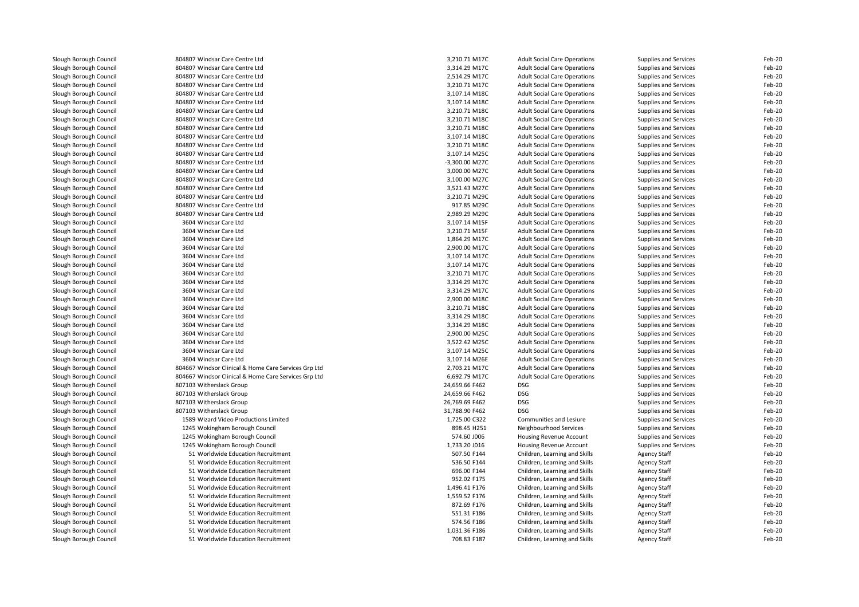| Slough Borough Council | 804807 Windsar Care Centre Ltd                       | 3,210.71 M17C  | <b>Adult Social Care Operations</b> | Supplies and Services | Feb-20 |
|------------------------|------------------------------------------------------|----------------|-------------------------------------|-----------------------|--------|
| Slough Borough Council | 804807 Windsar Care Centre Ltd                       | 3,314.29 M17C  | <b>Adult Social Care Operations</b> | Supplies and Services | Feb-20 |
| Slough Borough Council | 804807 Windsar Care Centre Ltd                       | 2,514.29 M17C  | <b>Adult Social Care Operations</b> | Supplies and Services | Feb-20 |
| Slough Borough Council | 804807 Windsar Care Centre Ltd                       | 3,210.71 M17C  | <b>Adult Social Care Operations</b> | Supplies and Services | Feb-20 |
| Slough Borough Council | 804807 Windsar Care Centre Ltd                       | 3,107.14 M18C  | <b>Adult Social Care Operations</b> | Supplies and Services | Feb-20 |
| Slough Borough Council | 804807 Windsar Care Centre Ltd                       | 3,107.14 M18C  | <b>Adult Social Care Operations</b> | Supplies and Services | Feb-20 |
| Slough Borough Council | 804807 Windsar Care Centre Ltd                       | 3,210.71 M18C  | <b>Adult Social Care Operations</b> | Supplies and Services | Feb-20 |
| Slough Borough Council | 804807 Windsar Care Centre Ltd                       | 3,210.71 M18C  | <b>Adult Social Care Operations</b> | Supplies and Services | Feb-20 |
| Slough Borough Council | 804807 Windsar Care Centre Ltd                       | 3,210.71 M18C  | <b>Adult Social Care Operations</b> | Supplies and Services | Feb-20 |
| Slough Borough Council | 804807 Windsar Care Centre Ltd                       | 3,107.14 M18C  | <b>Adult Social Care Operations</b> | Supplies and Services | Feb-20 |
| Slough Borough Council | 804807 Windsar Care Centre Ltd                       | 3,210.71 M18C  | <b>Adult Social Care Operations</b> | Supplies and Services | Feb-20 |
| Slough Borough Council | 804807 Windsar Care Centre Ltd                       | 3,107.14 M25C  | <b>Adult Social Care Operations</b> | Supplies and Services | Feb-20 |
| Slough Borough Council | 804807 Windsar Care Centre Ltd                       | -3,300.00 M27C | <b>Adult Social Care Operations</b> | Supplies and Services | Feb-20 |
| Slough Borough Council | 804807 Windsar Care Centre Ltd                       | 3,000.00 M27C  | <b>Adult Social Care Operations</b> | Supplies and Services | Feb-20 |
| Slough Borough Council | 804807 Windsar Care Centre Ltd                       | 3,100.00 M27C  | <b>Adult Social Care Operations</b> | Supplies and Services | Feb-20 |
| Slough Borough Council | 804807 Windsar Care Centre Ltd                       | 3,521.43 M27C  | <b>Adult Social Care Operations</b> | Supplies and Services | Feb-20 |
| Slough Borough Council | 804807 Windsar Care Centre Ltd                       | 3,210.71 M29C  | <b>Adult Social Care Operations</b> | Supplies and Services | Feb-20 |
| Slough Borough Council | 804807 Windsar Care Centre Ltd                       | 917.85 M29C    | <b>Adult Social Care Operations</b> | Supplies and Services | Feb-20 |
| Slough Borough Council | 804807 Windsar Care Centre Ltd                       | 2,989.29 M29C  | <b>Adult Social Care Operations</b> | Supplies and Services | Feb-20 |
| Slough Borough Council | 3604 Windsar Care Ltd                                | 3,107.14 M15F  | <b>Adult Social Care Operations</b> | Supplies and Services | Feb-20 |
| Slough Borough Council | 3604 Windsar Care Ltd                                | 3,210.71 M15F  | <b>Adult Social Care Operations</b> | Supplies and Services | Feb-20 |
| Slough Borough Council | 3604 Windsar Care Ltd                                | 1,864.29 M17C  | <b>Adult Social Care Operations</b> | Supplies and Services | Feb-20 |
| Slough Borough Council | 3604 Windsar Care Ltd                                | 2,900.00 M17C  | <b>Adult Social Care Operations</b> | Supplies and Services | Feb-20 |
| Slough Borough Council | 3604 Windsar Care Ltd                                | 3,107.14 M17C  | <b>Adult Social Care Operations</b> | Supplies and Services | Feb-20 |
| Slough Borough Council | 3604 Windsar Care Ltd                                | 3,107.14 M17C  | <b>Adult Social Care Operations</b> | Supplies and Services | Feb-20 |
| Slough Borough Council | 3604 Windsar Care Ltd                                | 3,210.71 M17C  | <b>Adult Social Care Operations</b> | Supplies and Services | Feb-20 |
|                        |                                                      |                |                                     |                       | Feb-20 |
| Slough Borough Council | 3604 Windsar Care Ltd                                | 3,314.29 M17C  | <b>Adult Social Care Operations</b> | Supplies and Services | Feb-20 |
| Slough Borough Council | 3604 Windsar Care Ltd                                | 3,314.29 M17C  | <b>Adult Social Care Operations</b> | Supplies and Services |        |
| Slough Borough Council | 3604 Windsar Care Ltd                                | 2,900.00 M18C  | <b>Adult Social Care Operations</b> | Supplies and Services | Feb-20 |
| Slough Borough Council | 3604 Windsar Care Ltd                                | 3,210.71 M18C  | <b>Adult Social Care Operations</b> | Supplies and Services | Feb-20 |
| Slough Borough Council | 3604 Windsar Care Ltd                                | 3,314.29 M18C  | <b>Adult Social Care Operations</b> | Supplies and Services | Feb-20 |
| Slough Borough Council | 3604 Windsar Care Ltd                                | 3.314.29 M18C  | <b>Adult Social Care Operations</b> | Supplies and Services | Feb-20 |
| Slough Borough Council | 3604 Windsar Care Ltd                                | 2,900.00 M25C  | <b>Adult Social Care Operations</b> | Supplies and Services | Feb-20 |
| Slough Borough Council | 3604 Windsar Care Ltd                                | 3,522.42 M25C  | <b>Adult Social Care Operations</b> | Supplies and Services | Feb-20 |
| Slough Borough Council | 3604 Windsar Care Ltd                                | 3,107.14 M25C  | <b>Adult Social Care Operations</b> | Supplies and Services | Feb-20 |
| Slough Borough Council | 3604 Windsar Care Ltd                                | 3,107.14 M26E  | <b>Adult Social Care Operations</b> | Supplies and Services | Feb-20 |
| Slough Borough Council | 804667 Windsor Clinical & Home Care Services Grp Ltd | 2,703.21 M17C  | <b>Adult Social Care Operations</b> | Supplies and Services | Feb-20 |
| Slough Borough Council | 804667 Windsor Clinical & Home Care Services Grp Ltd | 6,692.79 M17C  | <b>Adult Social Care Operations</b> | Supplies and Services | Feb-20 |
| Slough Borough Council | 807103 Witherslack Group                             | 24,659.66 F462 | <b>DSG</b>                          | Supplies and Services | Feb-20 |
| Slough Borough Council | 807103 Witherslack Group                             | 24,659.66 F462 | <b>DSG</b>                          | Supplies and Services | Feb-20 |
| Slough Borough Council | 807103 Witherslack Group                             | 26,769.69 F462 | <b>DSG</b>                          | Supplies and Services | Feb-20 |
| Slough Borough Council | 807103 Witherslack Group                             | 31,788.90 F462 | <b>DSG</b>                          | Supplies and Services | Feb-20 |
| Slough Borough Council | 1589 Wizard Video Productions Limited                | 1,725.00 C322  | Communities and Lesiure             | Supplies and Services | Feb-20 |
| Slough Borough Council | 1245 Wokingham Borough Council                       | 898.45 H251    | Neighbourhood Services              | Supplies and Services | Feb-20 |
| Slough Borough Council | 1245 Wokingham Borough Council                       | 574.60 J006    | Housing Revenue Account             | Supplies and Services | Feb-20 |
| Slough Borough Council | 1245 Wokingham Borough Council                       | 1,733.20 J016  | Housing Revenue Account             | Supplies and Services | Feb-20 |
| Slough Borough Council | 51 Worldwide Education Recruitment                   | 507.50 F144    | Children, Learning and Skills       | <b>Agency Staff</b>   | Feb-20 |
| Slough Borough Council | 51 Worldwide Education Recruitment                   | 536.50 F144    | Children, Learning and Skills       | <b>Agency Staff</b>   | Feb-20 |
| Slough Borough Council | 51 Worldwide Education Recruitment                   | 696.00 F144    | Children, Learning and Skills       | <b>Agency Staff</b>   | Feb-20 |
| Slough Borough Council | 51 Worldwide Education Recruitment                   | 952.02 F175    | Children, Learning and Skills       | <b>Agency Staff</b>   | Feb-20 |
| Slough Borough Council | 51 Worldwide Education Recruitment                   | 1,496.41 F176  | Children, Learning and Skills       | <b>Agency Staff</b>   | Feb-20 |
| Slough Borough Council | 51 Worldwide Education Recruitment                   | 1,559.52 F176  | Children, Learning and Skills       | Agency Staff          | Feb-20 |
| Slough Borough Council | 51 Worldwide Education Recruitment                   | 872.69 F176    | Children, Learning and Skills       | <b>Agency Staff</b>   | Feb-20 |
| Slough Borough Council | 51 Worldwide Education Recruitment                   | 551.31 F186    | Children, Learning and Skills       | <b>Agency Staff</b>   | Feb-20 |
| Slough Borough Council | 51 Worldwide Education Recruitment                   | 574.56 F186    | Children, Learning and Skills       | <b>Agency Staff</b>   | Feb-20 |
| Slough Borough Council | 51 Worldwide Education Recruitment                   | 1,031.36 F186  | Children, Learning and Skills       | <b>Agency Staff</b>   | Feb-20 |
| Slough Borough Council | 51 Worldwide Education Recruitment                   | 708.83 F187    | Children, Learning and Skills       | <b>Agency Staff</b>   | Feb-20 |
|                        |                                                      |                |                                     |                       |        |